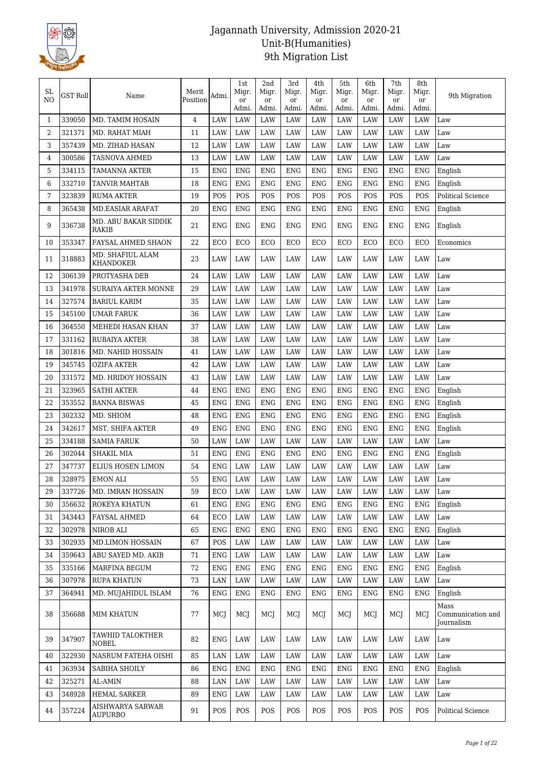

| SL.<br>NO | <b>GST Roll</b> | Name                                 | Merit<br>Position | Admi.      | 1st<br>Migr.<br><sub>or</sub><br>Admi. | 2nd<br>Migr.<br><sub>or</sub><br>Admi. | 3rd<br>Migr.<br><sub>or</sub><br>Admi. | 4th<br>Migr.<br>or<br>Admi. | 5th<br>Migr.<br>or<br>Admi. | 6th<br>Migr.<br>or<br>Admi. | 7th<br>Migr.<br>or<br>Admi. | 8th<br>Migr.<br>or<br>Admi. | 9th Migration                           |
|-----------|-----------------|--------------------------------------|-------------------|------------|----------------------------------------|----------------------------------------|----------------------------------------|-----------------------------|-----------------------------|-----------------------------|-----------------------------|-----------------------------|-----------------------------------------|
| 1         | 339050          | MD. TAMIM HOSAIN                     | 4                 | LAW        | LAW                                    | LAW                                    | LAW                                    | LAW                         | LAW                         | LAW                         | LAW                         | LAW                         | Law                                     |
| 2         | 321371          | MD. RAHAT MIAH                       | 11                | LAW        | LAW                                    | LAW                                    | LAW                                    | LAW                         | LAW                         | LAW                         | LAW                         | LAW                         | Law                                     |
| 3         | 357439          | MD. ZIHAD HASAN                      | 12                | LAW        | LAW                                    | LAW                                    | LAW                                    | LAW                         | LAW                         | LAW                         | <b>LAW</b>                  | LAW                         | Law                                     |
| 4         | 300586          | <b>TASNOVA AHMED</b>                 | 13                | LAW        | LAW                                    | LAW                                    | LAW                                    | LAW                         | LAW                         | LAW                         | <b>LAW</b>                  | <b>LAW</b>                  | Law                                     |
| 5         | 334115          | TAMANNA AKTER                        | 15                | ENG        | ENG                                    | <b>ENG</b>                             | <b>ENG</b>                             | <b>ENG</b>                  | ENG                         | <b>ENG</b>                  | <b>ENG</b>                  | <b>ENG</b>                  | English                                 |
| 6         | 332710          | <b>TANVIR MAHTAB</b>                 | 18                | <b>ENG</b> | <b>ENG</b>                             | <b>ENG</b>                             | <b>ENG</b>                             | <b>ENG</b>                  | <b>ENG</b>                  | <b>ENG</b>                  | <b>ENG</b>                  | <b>ENG</b>                  | English                                 |
| 7         | 323839          | <b>RUMA AKTER</b>                    | 19                | POS        | POS                                    | POS                                    | POS                                    | POS                         | POS                         | POS                         | POS                         | POS                         | <b>Political Science</b>                |
| 8         | 365438          | <b>MD.EASIAR ARAFAT</b>              | 20                | ENG        | ENG                                    | <b>ENG</b>                             | <b>ENG</b>                             | <b>ENG</b>                  | ENG                         | ${\rm ENG}$                 | <b>ENG</b>                  | ENG                         | English                                 |
| 9         | 336738          | MD. ABU BAKAR SIDDIK<br>RAKIB        | 21                | ENG        | ENG                                    | ENG                                    | ENG                                    | ENG                         | ENG                         | ENG                         | ENG                         | ENG                         | English                                 |
| 10        | 353347          | FAYSAL AHMED SHAON                   | 22                | ECO        | ECO                                    | ECO                                    | ECO                                    | ECO                         | ECO                         | ECO                         | ECO                         | ECO                         | Economics                               |
| 11        | 318883          | MD. SHAFIUL ALAM<br><b>KHANDOKER</b> | 23                | LAW        | LAW                                    | LAW                                    | LAW                                    | LAW                         | LAW                         | LAW                         | LAW                         | <b>LAW</b>                  | Law                                     |
| 12        | 306139          | PROTYASHA DEB                        | 24                | LAW        | LAW                                    | LAW                                    | LAW                                    | LAW                         | LAW                         | LAW                         | LAW                         | LAW                         | Law                                     |
| 13        | 341978          | <b>SURAIYA AKTER MONNE</b>           | 29                | LAW        | LAW                                    | LAW                                    | LAW                                    | LAW                         | LAW                         | LAW                         | LAW                         | LAW                         | Law                                     |
| 14        | 327574          | <b>BARIUL KARIM</b>                  | 35                | LAW        | LAW                                    | LAW                                    | LAW                                    | LAW                         | LAW                         | LAW                         | LAW                         | <b>LAW</b>                  | Law                                     |
| 15        | 345100          | <b>UMAR FARUK</b>                    | 36                | LAW        | LAW                                    | LAW                                    | LAW                                    | LAW                         | LAW                         | LAW                         | LAW                         | LAW                         | Law                                     |
| 16        | 364550          | MEHEDI HASAN KHAN                    | 37                | LAW        | LAW                                    | LAW                                    | LAW                                    | LAW                         | LAW                         | LAW                         | LAW                         | LAW                         | Law                                     |
| 17        | 331162          | <b>RUBAIYA AKTER</b>                 | 38                | LAW        | LAW                                    | LAW                                    | LAW                                    | LAW                         | LAW                         | LAW                         | LAW                         | LAW                         | Law                                     |
| 18        | 301816          | MD. NAHID HOSSAIN                    | 41                | LAW        | LAW                                    | LAW                                    | LAW                                    | LAW                         | LAW                         | LAW                         | LAW                         | LAW                         | Law                                     |
| 19        | 345745          | <b>OZIFA AKTER</b>                   | 42                | LAW        | LAW                                    | LAW                                    | LAW                                    | LAW                         | LAW                         | LAW                         | <b>LAW</b>                  | LAW                         | Law                                     |
| 20        | 331572          | MD. HRIDOY HOSSAIN                   | 43                | LAW        | LAW                                    | LAW                                    | LAW                                    | LAW                         | LAW                         | LAW                         | <b>LAW</b>                  | LAW                         | Law                                     |
| 21        | 323965          | <b>SATHI AKTER</b>                   | 44                | <b>ENG</b> | <b>ENG</b>                             | <b>ENG</b>                             | <b>ENG</b>                             | <b>ENG</b>                  | <b>ENG</b>                  | <b>ENG</b>                  | <b>ENG</b>                  | <b>ENG</b>                  | English                                 |
| 22        | 353552          | <b>BANNA BISWAS</b>                  | 45                | <b>ENG</b> | <b>ENG</b>                             | <b>ENG</b>                             | <b>ENG</b>                             | <b>ENG</b>                  | <b>ENG</b>                  | <b>ENG</b>                  | <b>ENG</b>                  | <b>ENG</b>                  | English                                 |
| 23        | 302332          | MD. SHIOM                            | 48                | <b>ENG</b> | <b>ENG</b>                             | <b>ENG</b>                             | <b>ENG</b>                             | <b>ENG</b>                  | <b>ENG</b>                  | <b>ENG</b>                  | <b>ENG</b>                  | <b>ENG</b>                  | English                                 |
| 24        | 342617          | MST. SHIFA AKTER                     | 49                | ENG        | ENG                                    | <b>ENG</b>                             | <b>ENG</b>                             | <b>ENG</b>                  | <b>ENG</b>                  | ENG                         | <b>ENG</b>                  | ENG                         | English                                 |
| 25        | 334188          | <b>SAMIA FARUK</b>                   | 50                | LAW        | LAW                                    | LAW                                    | LAW                                    | LAW                         | LAW                         | LAW                         | <b>LAW</b>                  | LAW                         | Law                                     |
| 26        | 302044          | <b>SHAKIL MIA</b>                    | 51                | <b>ENG</b> | <b>ENG</b>                             | <b>ENG</b>                             | <b>ENG</b>                             | <b>ENG</b>                  | <b>ENG</b>                  | <b>ENG</b>                  | <b>ENG</b>                  | <b>ENG</b>                  | English                                 |
| 27        | 347737          | ELIUS HOSEN LIMON                    | 54                | <b>ENG</b> | LAW                                    | LAW                                    | LAW                                    | LAW                         | LAW                         | LAW                         | LAW                         | LAW                         | Law                                     |
| 28        | 328975          | EMON ALI                             | 55                | <b>ENG</b> | LAW                                    | LAW                                    | LAW                                    | LAW                         | LAW                         | LAW                         | LAW                         | LAW                         | Law                                     |
| 29        | 337726          | MD. IMRAN HOSSAIN                    | 59                | ECO        | LAW                                    | LAW                                    | LAW                                    | LAW                         | LAW                         | LAW                         | LAW                         | <b>LAW</b>                  | Law                                     |
| 30        | 356632          | ROKEYA KHATUN                        | 61                | ENG        | <b>ENG</b>                             | <b>ENG</b>                             | <b>ENG</b>                             | <b>ENG</b>                  | <b>ENG</b>                  | <b>ENG</b>                  | <b>ENG</b>                  | <b>ENG</b>                  | English                                 |
| 31        | 343443          | FAYSAL AHMED                         | 64                | ECO        | LAW                                    | LAW                                    | LAW                                    | LAW                         | LAW                         | LAW                         | LAW                         | <b>LAW</b>                  | Law                                     |
| 32        | 302978          | NIROB ALI                            | 65                | <b>ENG</b> | ENG                                    | ENG                                    | ENG                                    | ENG                         | <b>ENG</b>                  | <b>ENG</b>                  | <b>ENG</b>                  | <b>ENG</b>                  | English                                 |
| 33        | 302935          | <b>MD.LIMON HOSSAIN</b>              | 67                | POS        | LAW                                    | LAW                                    | LAW                                    | LAW                         | LAW                         | LAW                         | LAW                         | LAW                         | Law                                     |
| 34        | 359643          | ABU SAYED MD. AKIB                   | 71                | <b>ENG</b> | LAW                                    | LAW                                    | LAW                                    | LAW                         | LAW                         | LAW                         | LAW                         | LAW                         | Law                                     |
| 35        | 335166          | MARFINA BEGUM                        | 72                | <b>ENG</b> | <b>ENG</b>                             | <b>ENG</b>                             | ENG                                    | <b>ENG</b>                  | <b>ENG</b>                  | <b>ENG</b>                  | <b>ENG</b>                  | <b>ENG</b>                  | English                                 |
| 36        | 307978          | <b>RUPA KHATUN</b>                   | 73                | LAN        | LAW                                    | LAW                                    | LAW                                    | LAW                         | LAW                         | LAW                         | LAW                         | <b>LAW</b>                  | Law                                     |
| 37        | 364941          | MD. MUJAHIDUL ISLAM                  | 76                | ENG        | <b>ENG</b>                             | <b>ENG</b>                             | ENG                                    | <b>ENG</b>                  | ENG                         | <b>ENG</b>                  | <b>ENG</b>                  | <b>ENG</b>                  | English                                 |
| 38        | 356688          | <b>MIM KHATUN</b>                    | 77                | MCJ        | MCJ                                    | MCJ                                    | MCJ                                    | MCI                         | MCJ                         | MCJ                         | MCJ                         | MCI                         | Mass<br>Communication and<br>Journalism |
| 39        | 347907          | TAWHID TALOKTHER<br><b>NOBEL</b>     | 82                | ENG        | LAW                                    | LAW                                    | LAW                                    | LAW                         | LAW                         | LAW                         | LAW                         | <b>LAW</b>                  | Law                                     |
| 40        | 322930          | NASRUM FATEHA OISHI                  | 85                | LAN        | LAW                                    | LAW                                    | LAW                                    | LAW                         | LAW                         | LAW                         | LAW                         | LAW                         | Law                                     |
| 41        | 363934          | SABIHA SHOILY                        | 86                | <b>ENG</b> | <b>ENG</b>                             | <b>ENG</b>                             | <b>ENG</b>                             | <b>ENG</b>                  | <b>ENG</b>                  | <b>ENG</b>                  | <b>ENG</b>                  | ENG                         | English                                 |
| 42        | 325271          | <b>AL-AMIN</b>                       | 88                | LAN        | LAW                                    | LAW                                    | LAW                                    | LAW                         | LAW                         | LAW                         | LAW                         | LAW                         | Law                                     |
| 43        | 348928          | HEMAL SARKER                         | 89                | <b>ENG</b> | LAW                                    | LAW                                    | LAW                                    | LAW                         | LAW                         | LAW                         | LAW                         | <b>LAW</b>                  | Law                                     |
| 44        | 357224          | AISHWARYA SARWAR<br><b>AUPURBO</b>   | 91                | <b>POS</b> | POS                                    | POS                                    | POS                                    | POS                         | POS                         | POS                         | POS                         | POS                         | Political Science                       |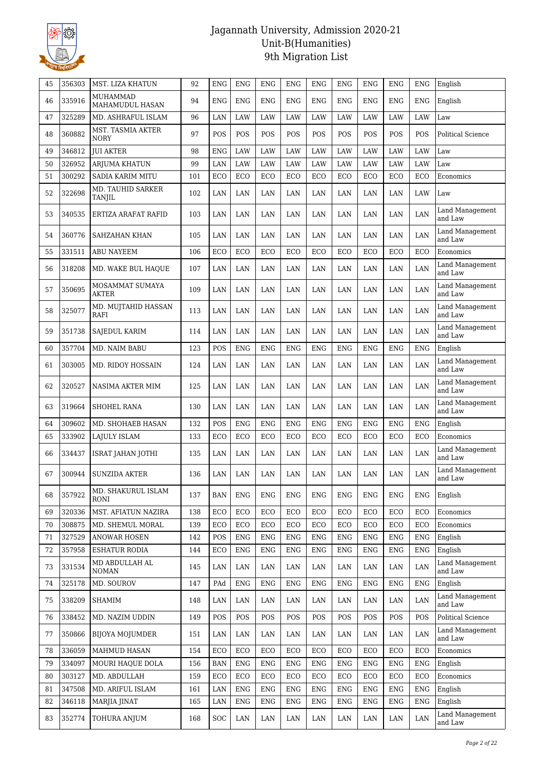

| 45 | 356303 | MST. LIZA KHATUN                   | 92  | <b>ENG</b> | <b>ENG</b> | <b>ENG</b> | <b>ENG</b> | <b>ENG</b> | <b>ENG</b>  | <b>ENG</b>  | <b>ENG</b>  | <b>ENG</b> | English                           |
|----|--------|------------------------------------|-----|------------|------------|------------|------------|------------|-------------|-------------|-------------|------------|-----------------------------------|
| 46 | 335916 | <b>MUHAMMAD</b><br>MAHAMUDUL HASAN | 94  | <b>ENG</b> | ENG        | <b>ENG</b> | <b>ENG</b> | <b>ENG</b> | <b>ENG</b>  | <b>ENG</b>  | <b>ENG</b>  | <b>ENG</b> | English                           |
| 47 | 325289 | MD. ASHRAFUL ISLAM                 | 96  | LAN        | LAW        | LAW        | LAW        | LAW        | LAW         | LAW         | LAW         | LAW        | Law                               |
| 48 | 360882 | MST. TASMIA AKTER<br><b>NORY</b>   | 97  | POS        | POS        | POS        | POS        | POS        | POS         | POS         | POS         | POS        | Political Science                 |
| 49 | 346812 | <b>JUI AKTER</b>                   | 98  | <b>ENG</b> | LAW        | LAW        | LAW        | LAW        | LAW         | LAW         | LAW         | LAW        | Law                               |
| 50 | 326952 | <b>ARJUMA KHATUN</b>               | 99  | LAN        | LAW        | LAW        | LAW        | LAW        | LAW         | LAW         | LAW         | LAW        | Law                               |
| 51 | 300292 | SADIA KARIM MITU                   | 101 | ECO        | ECO        | ECO        | ECO        | ECO        | ECO         | ECO         | ECO         | ECO        | Economics                         |
| 52 | 322698 | MD. TAUHID SARKER<br><b>TANJIL</b> | 102 | LAN        | LAN        | LAN        | LAN        | LAN        | LAN         | LAN         | LAN         | LAW        | Law                               |
| 53 | 340535 | ERTIZA ARAFAT RAFID                | 103 | LAN        | LAN        | LAN        | LAN        | LAN        | LAN         | LAN         | LAN         | LAN        | Land Management<br>and Law        |
| 54 | 360776 | SAHZAHAN KHAN                      | 105 | LAN        | LAN        | LAN        | LAN        | LAN        | LAN         | LAN         | LAN         | LAN        | Land Management<br>and Law        |
| 55 | 331511 | <b>ABU NAYEEM</b>                  | 106 | ECO        | ECO        | ECO        | ECO        | ECO        | ECO         | ECO         | ECO         | ECO        | Economics                         |
| 56 | 318208 | MD. WAKE BUL HAQUE                 | 107 | LAN        | LAN        | LAN        | LAN        | LAN        | LAN         | LAN         | LAN         | LAN        | Land Management<br>and Law        |
| 57 | 350695 | MOSAMMAT SUMAYA<br>AKTER           | 109 | LAN        | LAN        | LAN        | LAN        | LAN        | LAN         | LAN         | LAN         | LAN        | Land Management<br>and Law        |
| 58 | 325077 | MD. MUJTAHID HASSAN<br>RAFI        | 113 | LAN        | LAN        | LAN        | LAN        | LAN        | LAN         | LAN         | LAN         | LAN        | Land Management<br>and Law        |
| 59 | 351738 | SAJEDUL KARIM                      | 114 | LAN        | LAN        | LAN        | LAN        | LAN        | LAN         | LAN         | LAN         | LAN        | Land Management<br>and Law        |
| 60 | 357704 | MD. NAIM BABU                      | 123 | POS        | <b>ENG</b> | <b>ENG</b> | <b>ENG</b> | <b>ENG</b> | <b>ENG</b>  | <b>ENG</b>  | <b>ENG</b>  | <b>ENG</b> | English                           |
| 61 | 303005 | MD. RIDOY HOSSAIN                  | 124 | LAN        | LAN        | LAN        | LAN        | LAN        | LAN         | LAN         | LAN         | LAN        | Land Management<br>and Law        |
| 62 | 320527 | NASIMA AKTER MIM                   | 125 | LAN        | LAN        | LAN        | LAN        | LAN        | LAN         | LAN         | LAN         | LAN        | <b>Land Management</b><br>and Law |
| 63 | 319664 | <b>SHOHEL RANA</b>                 | 130 | LAN        | LAN        | LAN        | LAN        | LAN        | LAN         | LAN         | LAN         | LAN        | Land Management<br>and Law        |
| 64 | 309602 | MD. SHOHAEB HASAN                  | 132 | POS        | <b>ENG</b> | <b>ENG</b> | <b>ENG</b> | <b>ENG</b> | <b>ENG</b>  | <b>ENG</b>  | <b>ENG</b>  | <b>ENG</b> | English                           |
| 65 | 333902 | LAJULY ISLAM                       | 133 | ECO        | ECO        | ECO        | ECO        | ECO        | ECO         | ECO         | ECO         | ECO        | Economics                         |
| 66 | 334437 | ISRAT JAHAN JOTHI                  | 135 | LAN        | LAN        | LAN        | LAN        | LAN        | LAN         | LAN         | LAN         | LAN        | Land Management<br>and Law        |
| 67 | 300944 | <b>SUNZIDA AKTER</b>               | 136 | LAN        | LAN        | LAN        | LAN        | LAN        | LAN         | LAN         | LAN         | LAN        | Land Management<br>and Law        |
| 68 | 357922 | MD. SHAKURUL ISLAM<br>RONI         | 137 | <b>BAN</b> | <b>ENG</b> | ENG        | ENG        | ENG        | <b>ENG</b>  | <b>ENG</b>  | <b>ENG</b>  | <b>ENG</b> | English                           |
| 69 | 320336 | MST. AFIATUN NAZIRA                | 138 | ECO        | ECO        | ECO        | ECO        | ECO        | ECO         | ECO         | ECO         | ECO        | Economics                         |
| 70 | 308875 | MD. SHEMUL MORAL                   | 139 | ECO        | ECO        | ECO        | ECO        | ECO        | ECO         | ECO         | ECO         | ECO        | Economics                         |
| 71 | 327529 | <b>ANOWAR HOSEN</b>                | 142 | POS        | <b>ENG</b> | <b>ENG</b> | <b>ENG</b> | ENG        | <b>ENG</b>  | <b>ENG</b>  | <b>ENG</b>  | <b>ENG</b> | English                           |
| 72 | 357958 | <b>ESHATUR RODIA</b>               | 144 | ECO        | <b>ENG</b> | <b>ENG</b> | <b>ENG</b> | <b>ENG</b> | <b>ENG</b>  | <b>ENG</b>  | ${\rm ENG}$ | <b>ENG</b> | English                           |
| 73 | 331534 | MD ABDULLAH AL<br><b>NOMAN</b>     | 145 | LAN        | LAN        | LAN        | LAN        | LAN        | LAN         | LAN         | LAN         | LAN        | <b>Land Management</b><br>and Law |
| 74 | 325178 | MD. SOUROV                         | 147 | PAd        | <b>ENG</b> | <b>ENG</b> | <b>ENG</b> | <b>ENG</b> | ${\rm ENG}$ | ${\rm ENG}$ | ${\rm ENG}$ | ENG        | English                           |
| 75 | 338209 | <b>SHAMIM</b>                      | 148 | LAN        | LAN        | LAN        | LAN        | LAN        | LAN         | LAN         | LAN         | LAN        | Land Management<br>and Law        |
| 76 | 338452 | MD. NAZIM UDDIN                    | 149 | POS        | POS        | POS        | POS        | POS        | POS         | POS         | POS         | POS        | Political Science                 |
| 77 | 350866 | <b>BIJOYA MOJUMDER</b>             | 151 | LAN        | LAN        | LAN        | LAN        | LAN        | LAN         | LAN         | LAN         | LAN        | Land Management<br>and Law        |
| 78 | 336059 | MAHMUD HASAN                       | 154 | ECO        | ECO        | ECO        | ECO        | ECO        | ECO         | ECO         | ECO         | ECO        | Economics                         |
| 79 | 334097 | MOURI HAQUE DOLA                   | 156 | <b>BAN</b> | <b>ENG</b> | <b>ENG</b> | <b>ENG</b> | <b>ENG</b> | <b>ENG</b>  | <b>ENG</b>  | <b>ENG</b>  | <b>ENG</b> | English                           |
| 80 | 303127 | MD. ABDULLAH                       | 159 | ECO        | ECO        | ECO        | ECO        | ECO        | ECO         | ECO         | ECO         | ECO        | Economics                         |
| 81 | 347508 | MD. ARIFUL ISLAM                   | 161 | LAN        | <b>ENG</b> | <b>ENG</b> | <b>ENG</b> | <b>ENG</b> | ${\rm ENG}$ | ${\rm ENG}$ | ${\rm ENG}$ | <b>ENG</b> | English                           |
| 82 | 346118 | MARJIA JINAT                       | 165 | LAN        | <b>ENG</b> | ENG        | ENG        | ENG        | ENG         | <b>ENG</b>  | <b>ENG</b>  | <b>ENG</b> | English                           |
| 83 | 352774 | TOHURA ANJUM                       | 168 | <b>SOC</b> | LAN        | LAN        | LAN        | LAN        | LAN         | LAN         | LAN         | LAN        | Land Management<br>and Law        |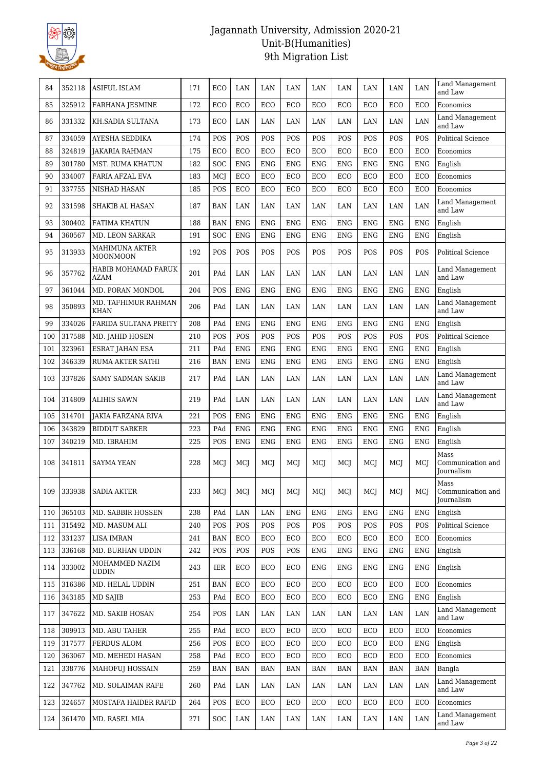

| 84  | 352118 | <b>ASIFUL ISLAM</b>                | 171 | ECO        | LAN        | LAN        | LAN         | LAN        | LAN        | LAN         | LAN         | LAN         | Land Management<br>and Law                     |
|-----|--------|------------------------------------|-----|------------|------------|------------|-------------|------------|------------|-------------|-------------|-------------|------------------------------------------------|
| 85  | 325912 | <b>FARHANA JESMINE</b>             | 172 | ECO        | ECO        | ECO        | ECO         | ECO        | ECO        | ECO         | ECO         | ECO         | Economics                                      |
| 86  | 331332 | KH.SADIA SULTANA                   | 173 | ECO        | LAN        | LAN        | LAN         | LAN        | LAN        | LAN         | LAN         | LAN         | Land Management<br>and Law                     |
| 87  | 334059 | AYESHA SEDDIKA                     | 174 | POS        | POS        | POS        | POS         | POS        | POS        | POS         | POS         | POS         | <b>Political Science</b>                       |
| 88  | 324819 | <b>JAKARIA RAHMAN</b>              | 175 | ECO        | ECO        | ECO        | ECO         | ECO        | ECO        | ECO         | ECO         | ECO         | Economics                                      |
| 89  | 301780 | <b>MST. RUMA KHATUN</b>            | 182 | <b>SOC</b> | <b>ENG</b> | <b>ENG</b> | <b>ENG</b>  | <b>ENG</b> | <b>ENG</b> | <b>ENG</b>  | <b>ENG</b>  | <b>ENG</b>  | English                                        |
| 90  | 334007 | <b>FARIA AFZAL EVA</b>             | 183 | MCJ        | ECO        | ECO        | ECO         | ECO        | ECO        | ECO         | ECO         | ECO         | Economics                                      |
| 91  | 337755 | NISHAD HASAN                       | 185 | POS        | ECO        | ECO        | ECO         | ECO        | ECO        | ECO         | ECO         | ECO         | Economics                                      |
| 92  | 331598 | <b>SHAKIB AL HASAN</b>             | 187 | <b>BAN</b> | LAN        | LAN        | LAN         | LAN        | LAN        | LAN         | LAN         | LAN         | Land Management<br>and Law                     |
| 93  | 300402 | <b>FATIMA KHATUN</b>               | 188 | <b>BAN</b> | <b>ENG</b> | <b>ENG</b> | ${\rm ENG}$ | <b>ENG</b> | <b>ENG</b> | <b>ENG</b>  | <b>ENG</b>  | <b>ENG</b>  | English                                        |
| 94  | 360567 | <b>MD. LEON SARKAR</b>             | 191 | <b>SOC</b> | <b>ENG</b> | <b>ENG</b> | <b>ENG</b>  | <b>ENG</b> | <b>ENG</b> | ENG         | <b>ENG</b>  | <b>ENG</b>  | English                                        |
| 95  | 313933 | MAHIMUNA AKTER<br><b>MOONMOON</b>  | 192 | POS        | POS        | <b>POS</b> | POS         | POS        | POS        | POS         | POS         | POS         | Political Science                              |
| 96  | 357762 | HABIB MOHAMAD FARUK<br>AZAM        | 201 | PAd        | LAN        | LAN        | LAN         | LAN        | LAN        | LAN         | LAN         | LAN         | Land Management<br>and Law                     |
| 97  | 361044 | MD. PORAN MONDOL                   | 204 | POS        | <b>ENG</b> | <b>ENG</b> | <b>ENG</b>  | <b>ENG</b> | <b>ENG</b> | ENG         | <b>ENG</b>  | <b>ENG</b>  | English                                        |
| 98  | 350893 | MD. TAFHIMUR RAHMAN<br><b>KHAN</b> | 206 | PAd        | LAN        | LAN        | LAN         | LAN        | LAN        | LAN         | LAN         | LAN         | Land Management<br>and Law                     |
| 99  | 334026 | FARIDA SULTANA PREITY              | 208 | PAd        | <b>ENG</b> | <b>ENG</b> | ENG         | <b>ENG</b> | <b>ENG</b> | ENG         | <b>ENG</b>  | <b>ENG</b>  | English                                        |
| 100 | 317588 | MD. JAHID HOSEN                    | 210 | <b>POS</b> | POS        | POS        | POS         | POS        | POS        | POS         | POS         | POS         | Political Science                              |
| 101 | 323961 | <b>ESRAT JAHAN ESA</b>             | 211 | PAd        | <b>ENG</b> | <b>ENG</b> | <b>ENG</b>  | <b>ENG</b> | <b>ENG</b> | <b>ENG</b>  | <b>ENG</b>  | <b>ENG</b>  | English                                        |
| 102 | 346339 | <b>RUMA AKTER SATHI</b>            | 216 | <b>BAN</b> | <b>ENG</b> | <b>ENG</b> | <b>ENG</b>  | <b>ENG</b> | <b>ENG</b> | ENG         | <b>ENG</b>  | <b>ENG</b>  | English                                        |
| 103 | 337826 | SAMY SADMAN SAKIB                  | 217 | PAd        | LAN        | LAN        | LAN         | LAN        | LAN        | LAN         | LAN         | LAN         | Land Management<br>and Law                     |
| 104 | 314809 | <b>ALIHIS SAWN</b>                 | 219 | PAd        | LAN        | LAN        | LAN         | LAN        | LAN        | LAN         | LAN         | LAN         | Land Management<br>and Law                     |
| 105 | 314701 | <b>JAKIA FARZANA RIVA</b>          | 221 | POS        | <b>ENG</b> | <b>ENG</b> | <b>ENG</b>  | <b>ENG</b> | <b>ENG</b> | <b>ENG</b>  | <b>ENG</b>  | <b>ENG</b>  | English                                        |
| 106 | 343829 | <b>BIDDUT SARKER</b>               | 223 | PAd        | <b>ENG</b> | <b>ENG</b> | <b>ENG</b>  | <b>ENG</b> | <b>ENG</b> | ENG         | <b>ENG</b>  | <b>ENG</b>  | English                                        |
| 107 | 340219 | MD. IBRAHIM                        | 225 | POS        | ENG        | <b>ENG</b> | ENG         | ENG        | <b>ENG</b> | <b>ENG</b>  | <b>ENG</b>  | <b>ENG</b>  | English                                        |
| 108 | 341811 | <b>SAYMA YEAN</b>                  | 228 | MCJ        | MCI        | MCI        | MCI         | MCI        | MCI        | MCI         | MCJ         | MCI         | Mass<br>Communication and<br>Journalism        |
| 109 | 333938 | <b>SADIA AKTER</b>                 | 233 | MCJ        | MCJ        | MCJ        | MCJ         | MCJ        | MCJ        | MCJ         | MCJ         | MCJ         | Mass<br>Communication and<br><b>Journalism</b> |
| 110 | 365103 | MD. SABBIR HOSSEN                  | 238 | PAd        | LAN        | LAN        | <b>ENG</b>  | <b>ENG</b> | <b>ENG</b> | ${\rm ENG}$ | <b>ENG</b>  | <b>ENG</b>  | English                                        |
| 111 | 315492 | MD. MASUM ALI                      | 240 | POS        | POS        | POS        | POS         | POS        | POS        | POS         | POS         | POS         | Political Science                              |
| 112 | 331237 | <b>LISA IMRAN</b>                  | 241 | <b>BAN</b> | ECO        | ECO        | ECO         | ECO        | ECO        | ECO         | ECO         | ECO         | Economics                                      |
| 113 | 336168 | MD. BURHAN UDDIN                   | 242 | POS        | POS        | POS        | POS         | <b>ENG</b> | <b>ENG</b> | ${\rm ENG}$ | ${\rm ENG}$ | <b>ENG</b>  | English                                        |
| 114 | 333002 | MOHAMMED NAZIM<br><b>UDDIN</b>     | 243 | IER        | ECO        | ECO        | ECO         | ENG        | ENG        | ENG         | <b>ENG</b>  | ${\rm ENG}$ | English                                        |
| 115 | 316386 | MD. HELAL UDDIN                    | 251 | <b>BAN</b> | ECO        | ECO        | ECO         | ECO        | ECO        | ECO         | ECO         | ECO         | Economics                                      |
| 116 | 343185 | MD SAJIB                           | 253 | PAd        | ECO        | ECO        | ECO         | ECO        | ECO        | ECO         | <b>ENG</b>  | <b>ENG</b>  | English                                        |
| 117 | 347622 | MD. SAKIB HOSAN                    | 254 | POS        | LAN        | LAN        | LAN         | LAN        | LAN        | LAN         | LAN         | LAN         | Land Management<br>and Law                     |
| 118 | 309913 | MD. ABU TAHER                      | 255 | PAd        | ECO        | ECO        | ECO         | ECO        | ECO        | ECO         | ECO         | ECO         | Economics                                      |
| 119 | 317577 | FERDUS ALOM                        | 256 | POS        | ECO        | ECO        | ECO         | ECO        | ECO        | ECO         | ECO         | <b>ENG</b>  | English                                        |
| 120 | 363067 | MD. MEHEDI HASAN                   | 258 | PAd        | ECO        | ECO        | ECO         | ECO        | ECO        | ECO         | ECO         | ECO         | Economics                                      |
| 121 | 338776 | <b>MAHOFUJ HOSSAIN</b>             | 259 | <b>BAN</b> | <b>BAN</b> | <b>BAN</b> | <b>BAN</b>  | <b>BAN</b> | BAN        | <b>BAN</b>  | <b>BAN</b>  | <b>BAN</b>  | Bangla                                         |
| 122 | 347762 | MD. SOLAIMAN RAFE                  | 260 | PAd        | LAN        | LAN        | LAN         | LAN        | LAN        | LAN         | LAN         | LAN         | Land Management<br>and Law                     |
| 123 | 324657 | MOSTAFA HAIDER RAFID               | 264 | POS        | ECO        | ECO        | ECO         | ECO        | ECO        | ECO         | ECO         | ECO         | Economics                                      |
| 124 | 361470 | MD. RASEL MIA                      | 271 | SOC        | LAN        | LAN        | LAN         | LAN        | LAN        | LAN         | LAN         | LAN         | Land Management<br>and Law                     |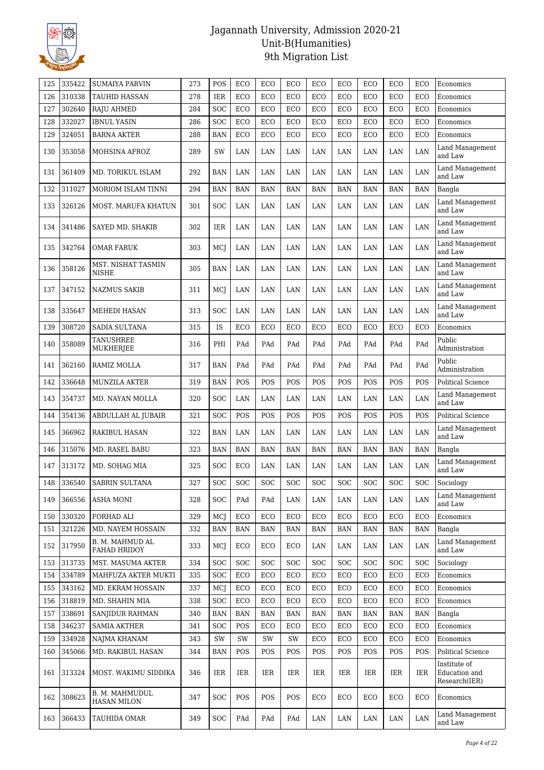

| 125 | 335422 | <b>SUMAIYA PARVIN</b>                | 273 | POS        | ECO        | ECO        | ECO        | ECO        | ECO        | ECO                  | ECO        | ECO        | Economics                                      |
|-----|--------|--------------------------------------|-----|------------|------------|------------|------------|------------|------------|----------------------|------------|------------|------------------------------------------------|
| 126 | 310338 | <b>TAUHID HASSAN</b>                 | 278 | IER        | <b>ECO</b> | ECO        | ECO        | ECO        | ECO        | ECO                  | ECO        | ECO        | Economics                                      |
| 127 | 302640 | <b>RAJU AHMED</b>                    | 284 | <b>SOC</b> | ECO        | ECO        | ECO        | ECO        | ECO        | ECO                  | ECO        | ECO        | Economics                                      |
| 128 | 332027 | <b>IBNUL YASIN</b>                   | 286 | SOC        | ECO        | ECO        | ECO        | ECO        | ECO        | ECO                  | ECO        | ECO        | Economics                                      |
| 129 | 324051 | <b>BARNA AKTER</b>                   | 288 | <b>BAN</b> | ECO        | ECO        | ECO        | ECO        | ECO        | ECO                  | ECO        | ECO        | Economics                                      |
| 130 | 353058 | MOHSINA AFROZ                        | 289 | SW         | LAN        | LAN        | LAN        | LAN        | LAN        | LAN                  | LAN        | LAN        | Land Management<br>and Law                     |
| 131 | 361409 | MD. TORIKUL ISLAM                    | 292 | <b>BAN</b> | LAN        | LAN        | LAN        | LAN        | LAN        | LAN                  | LAN        | LAN        | Land Management<br>and Law                     |
| 132 | 311027 | MORIOM ISLAM TINNI                   | 294 | <b>BAN</b> | <b>BAN</b> | <b>BAN</b> | <b>BAN</b> | <b>BAN</b> | <b>BAN</b> | <b>BAN</b>           | <b>BAN</b> | <b>BAN</b> | Bangla                                         |
| 133 | 326126 | <b>MOST. MARUFA KHATUN</b>           | 301 | <b>SOC</b> | LAN        | LAN        | LAN        | LAN        | LAN        | LAN                  | LAN        | LAN        | Land Management<br>and Law                     |
| 134 | 341486 | SAYED MD. SHAKIB                     | 302 | IER        | LAN        | LAN        | LAN        | LAN        | LAN        | LAN                  | LAN        | LAN        | Land Management<br>and Law                     |
| 135 | 342764 | <b>OMAR FARUK</b>                    | 303 | MCJ        | LAN        | LAN        | LAN        | LAN        | LAN        | LAN                  | LAN        | LAN        | Land Management<br>and Law                     |
| 136 | 358126 | MST. NISHAT TASMIN<br>NISHE          | 305 | <b>BAN</b> | LAN        | LAN        | LAN        | LAN        | LAN        | LAN                  | LAN        | LAN        | Land Management<br>and Law                     |
| 137 | 347152 | NAZMUS SAKIB                         | 311 | MCJ        | LAN        | LAN        | LAN        | LAN        | LAN        | LAN                  | LAN        | LAN        | Land Management<br>and Law                     |
| 138 | 335647 | MEHEDI HASAN                         | 313 | <b>SOC</b> | LAN        | LAN        | LAN        | LAN        | LAN        | LAN                  | LAN        | LAN        | Land Management<br>and Law                     |
| 139 | 308720 | <b>SADIA SULTANA</b>                 | 315 | <b>IS</b>  | ECO        | ECO        | ECO        | ECO        | ECO        | ECO                  | ECO        | ECO        | Economics                                      |
| 140 | 358089 | <b>TANUSHREE</b><br>MUKHERJEE        | 316 | PHI        | PAd        | PAd        | PAd        | PAd        | PAd        | PAd                  | PAd        | PAd        | Public<br>Administration                       |
| 141 | 362160 | RAMIZ MOLLA                          | 317 | BAN        | PAd        | PAd        | PAd        | PAd        | PAd        | PAd                  | PAd        | PAd        | Public<br>Administration                       |
| 142 | 336648 | <b>MUNZILA AKTER</b>                 | 319 | <b>BAN</b> | <b>POS</b> | <b>POS</b> | <b>POS</b> | POS        | POS        | POS                  | POS        | POS        | Political Science                              |
| 143 | 354737 | MD. NAYAN MOLLA                      | 320 | <b>SOC</b> | LAN        | LAN        | LAN        | LAN        | LAN        | LAN                  | LAN        | LAN        | Land Management<br>and Law                     |
| 144 | 354136 | ABDULLAH AL JUBAIR                   | 321 | <b>SOC</b> | POS        | POS        | POS        | POS        | POS        | POS                  | POS        | POS        | Political Science                              |
| 145 | 366962 | RAKIBUL HASAN                        | 322 | BAN        | LAN        | LAN        | LAN        | LAN        | LAN        | LAN                  | LAN        | LAN        | Land Management<br>and Law                     |
| 146 | 315076 | MD. RASEL BABU                       | 323 | <b>BAN</b> | <b>BAN</b> | <b>BAN</b> | <b>BAN</b> | <b>BAN</b> | <b>BAN</b> | <b>BAN</b>           | <b>BAN</b> | <b>BAN</b> | Bangla                                         |
| 147 | 313172 | MD. SOHAG MIA                        | 325 | <b>SOC</b> | <b>ECO</b> | LAN        | LAN        | LAN        | LAN        | LAN                  | LAN        | LAN        | Land Management<br>and Law                     |
| 148 | 336540 | <b>SABRIN SULTANA</b>                | 327 | SOC        | SOC        | SOC        | SOC        | SOC        | SOC        | <b>SOC</b>           | SOC        | <b>SOC</b> | Sociology                                      |
| 149 | 366556 | ASHA MONI                            | 328 | <b>SOC</b> | PAd        | PAd        | LAN        | LAN        | LAN        | LAN                  | LAN        | LAN        | Land Management<br>and Law                     |
| 150 | 330320 | FORHAD ALI                           | 329 | MCJ        | ECO        | ECO        | ECO        | ECO        | ECO        | ECO                  | ECO        | ECO        | Economics                                      |
| 151 | 321226 | MD. NAYEM HOSSAIN                    | 332 | <b>BAN</b> | <b>BAN</b> | <b>BAN</b> | <b>BAN</b> | <b>BAN</b> | <b>BAN</b> | <b>BAN</b>           | <b>BAN</b> | <b>BAN</b> | Bangla                                         |
| 152 | 317950 | B. M. MAHMUD AL<br>FAHAD HRIDOY      | 333 | MCI        | ECO        | ECO        | ECO        | LAN        | LAN        | LAN                  | LAN        | LAN        | Land Management<br>and Law                     |
| 153 | 313735 | MST. MASUMA AKTER                    | 334 | SOC        | <b>SOC</b> | SOC        | <b>SOC</b> | SOC        | SOC        | $\operatorname{SOC}$ | SOC        | SOC        | Sociology                                      |
| 154 | 334789 | MAHFUZA AKTER MUKTI                  | 335 | <b>SOC</b> | ECO        | ECO        | ECO        | ECO        | ECO        | ECO                  | ECO        | ECO        | Economics                                      |
| 155 | 343162 | MD. EKRAM HOSSAIN                    | 337 | MCJ        | ECO        | ECO        | ECO        | ECO        | ECO        | ECO                  | ECO        | ECO        | Economics                                      |
| 156 | 318819 | MD. SHAHIN MIA                       | 338 | SOC        | ECO        | ECO        | ECO        | ECO        | ECO        | ECO                  | ECO        | ECO        | Economics                                      |
| 157 | 338691 | SANJIDUR RAHMAN                      | 340 | BAN        | BAN        | <b>BAN</b> | <b>BAN</b> | <b>BAN</b> | BAN        | BAN                  | <b>BAN</b> | <b>BAN</b> | Bangla                                         |
| 158 | 346237 | <b>SAMIA AKTHER</b>                  | 341 | SOC        | POS        | ECO        | ECO        | ECO        | ECO        | ECO                  | ECO        | ECO        | Economics                                      |
| 159 | 334928 | NAJMA KHANAM                         | 343 | SW         | SW         | SW         | SW         | ECO        | ECO        | ECO                  | ECO        | ECO        | Economics                                      |
| 160 | 345066 | MD. RAKIBUL HASAN                    | 344 | BAN        | POS        | POS        | POS        | POS        | POS        | POS                  | POS        | POS        | Political Science                              |
| 161 | 313324 | MOST. WAKIMU SIDDIKA                 | 346 | IER        | IER        | IER        | IER        | <b>IER</b> | IER        | IER                  | IER        | IER        | Institute of<br>Education and<br>Research(IER) |
| 162 | 308623 | B. M. MAHMUDUL<br><b>HASAN MILON</b> | 347 | <b>SOC</b> | POS        | POS        | POS        | ECO        | ECO        | ECO                  | ECO        | ECO        | Economics                                      |
| 163 | 366433 | TAUHIDA OMAR                         | 349 | <b>SOC</b> | PAd        | PAd        | PAd        | LAN        | LAN        | LAN                  | LAN        | LAN        | Land Management<br>and Law                     |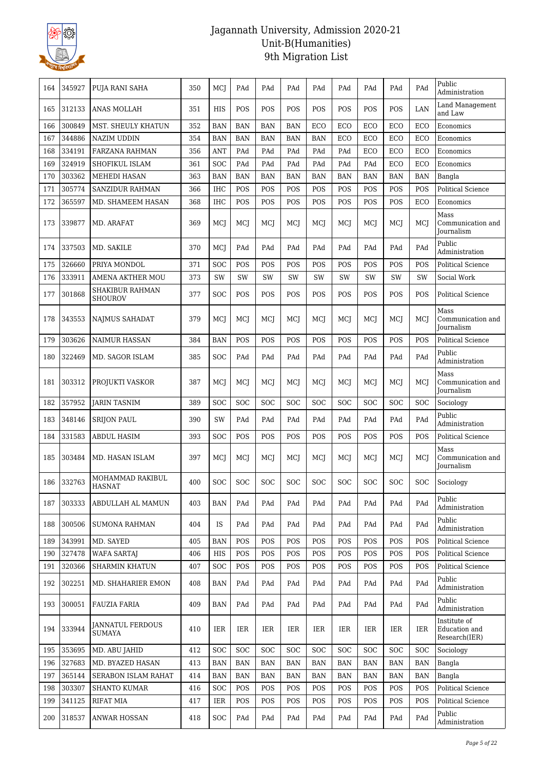

| 164 | 345927 | PUJA RANI SAHA                    | 350 | MCJ        | PAd        | PAd        | PAd        | PAd        | PAd        | PAd        | PAd        | PAd        | Public<br>Administration                       |
|-----|--------|-----------------------------------|-----|------------|------------|------------|------------|------------|------------|------------|------------|------------|------------------------------------------------|
| 165 | 312133 | <b>ANAS MOLLAH</b>                | 351 | HIS        | POS        | POS        | POS        | POS        | <b>POS</b> | POS        | POS        | LAN        | Land Management<br>and Law                     |
| 166 | 300849 | MST. SHEULY KHATUN                | 352 | <b>BAN</b> | <b>BAN</b> | <b>BAN</b> | <b>BAN</b> | ECO        | ECO        | ECO        | ECO        | ECO        | Economics                                      |
| 167 | 344886 | <b>NAZIM UDDIN</b>                | 354 | <b>BAN</b> | <b>BAN</b> | <b>BAN</b> | <b>BAN</b> | <b>BAN</b> | ECO        | ECO        | ECO        | ECO        | Economics                                      |
| 168 | 334191 | FARZANA RAHMAN                    | 356 | <b>ANT</b> | PAd        | PAd        | PAd        | PAd        | PAd        | ECO        | ECO        | ECO        | Economics                                      |
| 169 | 324919 | SHOFIKUL ISLAM                    | 361 | SOC        | PAd        | PAd        | PAd        | PAd        | PAd        | PAd        | ECO        | ECO        | Economics                                      |
| 170 | 303362 | MEHEDI HASAN                      | 363 | <b>BAN</b> | <b>BAN</b> | <b>BAN</b> | <b>BAN</b> | <b>BAN</b> | <b>BAN</b> | <b>BAN</b> | <b>BAN</b> | <b>BAN</b> | Bangla                                         |
| 171 | 305774 | <b>SANZIDUR RAHMAN</b>            | 366 | <b>IHC</b> | POS        | POS        | POS        | POS        | POS        | POS        | POS        | POS        | <b>Political Science</b>                       |
| 172 | 365597 | MD. SHAMEEM HASAN                 | 368 | <b>IHC</b> | POS        | POS        | POS        | POS        | POS        | POS        | POS        | ECO        | Economics                                      |
| 173 | 339877 | MD. ARAFAT                        | 369 | MCI        | MCI        | MCI        | MCI        | MCI        | MCI        | MCJ        | MCI        | MCI        | Mass<br>Communication and<br>Journalism        |
| 174 | 337503 | MD. SAKILE                        | 370 | MCJ        | PAd        | PAd        | PAd        | PAd        | PAd        | PAd        | PAd        | PAd        | Public<br>Administration                       |
| 175 | 326660 | PRIYA MONDOL                      | 371 | SOC        | POS        | POS        | POS        | POS        | POS        | POS        | POS        | POS        | <b>Political Science</b>                       |
| 176 | 333911 | AMENA AKTHER MOU                  | 373 | SW         | SW         | SW         | SW         | SW         | SW         | SW         | <b>SW</b>  | SW         | Social Work                                    |
| 177 | 301868 | SHAKIBUR RAHMAN<br><b>SHOUROV</b> | 377 | SOC        | POS        | POS        | POS        | POS        | <b>POS</b> | POS        | POS        | <b>POS</b> | Political Science                              |
| 178 | 343553 | <b>NAJMUS SAHADAT</b>             | 379 | MCI        | MCI        | MCJ        | MCI        | MCJ        | MCJ        | MCJ        | MCJ        | MCI        | Mass<br>Communication and<br>Journalism        |
| 179 | 303626 | <b>NAIMUR HASSAN</b>              | 384 | <b>BAN</b> | POS        | POS        | POS        | POS        | POS        | POS        | POS        | POS        | Political Science                              |
| 180 | 322469 | MD. SAGOR ISLAM                   | 385 | SOC        | PAd        | PAd        | PAd        | PAd        | PAd        | PAd        | PAd        | PAd        | Public<br>Administration                       |
| 181 | 303312 | PROJUKTI VASKOR                   | 387 | MCI        | MCI        | MCI        | MCI        | MCJ        | MCI        | MCI        | MCI        | MCI        | Mass<br>Communication and<br>Journalism        |
| 182 | 357952 | <b>JARIN TASNIM</b>               | 389 | SOC        | SOC        | SOC        | <b>SOC</b> | SOC        | <b>SOC</b> | SOC        | SOC        | SOC        | Sociology                                      |
| 183 | 348146 | <b>SRIJON PAUL</b>                | 390 | SW         | PAd        | PAd        | PAd        | PAd        | PAd        | PAd        | PAd        | PAd        | Public<br>Administration                       |
| 184 | 331583 | ABDUL HASIM                       | 393 | SOC        | POS        | POS        | POS        | POS        | POS        | POS        | POS        | POS        | <b>Political Science</b>                       |
| 185 | 303484 | MD. HASAN ISLAM                   | 397 | MCJ        | MCI        | MCI        | MCI        | MCJ        | MCI        | MCI        | MCJ        | MCI        | Mass<br>Communication and<br>Journalism        |
| 186 | 332763 | MOHAMMAD RAKIBUL<br><b>HASNAT</b> | 400 | SOC        | SOC        | SOC        | <b>SOC</b> | <b>SOC</b> | SOC        | <b>SOC</b> | SOC        | <b>SOC</b> | Sociology                                      |
| 187 | 303333 | ABDULLAH AL MAMUN                 | 403 | BAN        | PAd        | PAd        | PAd        | PAd        | PAd        | PAd        | PAd        | PAd        | Public<br>Administration                       |
| 188 | 300506 | <b>SUMONA RAHMAN</b>              | 404 | IS         | PAd        | PAd        | PAd        | PAd        | PAd        | PAd        | PAd        | PAd        | Public<br>Administration                       |
| 189 | 343991 | MD. SAYED                         | 405 | <b>BAN</b> | POS        | POS        | POS        | POS        | POS        | POS        | POS        | POS        | <b>Political Science</b>                       |
| 190 | 327478 | <b>WAFA SARTAJ</b>                | 406 | HIS        | POS        | POS        | POS        | POS        | POS        | POS        | POS        | POS        | Political Science                              |
| 191 | 320366 | <b>SHARMIN KHATUN</b>             | 407 | SOC        | POS        | POS        | POS        | POS        | POS        | POS        | POS        | POS        | Political Science                              |
| 192 | 302251 | MD. SHAHARIER EMON                | 408 | BAN        | PAd        | PAd        | PAd        | PAd        | PAd        | PAd        | PAd        | PAd        | Public<br>Administration                       |
| 193 | 300051 | <b>FAUZIA FARIA</b>               | 409 | BAN        | PAd        | PAd        | PAd        | PAd        | PAd        | PAd        | PAd        | PAd        | Public<br>Administration                       |
| 194 | 333944 | <b>JANNATUL FERDOUS</b><br>SUMAYA | 410 | IER        | IER        | IER        | <b>IER</b> | IER        | IER        | IER        | IER        | IER        | Institute of<br>Education and<br>Research(IER) |
| 195 | 353695 | MD. ABU JAHID                     | 412 | SOC        | SOC        | SOC        | <b>SOC</b> | <b>SOC</b> | <b>SOC</b> | <b>SOC</b> | <b>SOC</b> | SOC        | Sociology                                      |
| 196 | 327683 | MD. BYAZED HASAN                  | 413 | <b>BAN</b> | <b>BAN</b> | <b>BAN</b> | BAN        | BAN        | <b>BAN</b> | <b>BAN</b> | <b>BAN</b> | <b>BAN</b> | Bangla                                         |
| 197 | 365144 | SERABON ISLAM RAHAT               | 414 | <b>BAN</b> | BAN        | BAN        | <b>BAN</b> | <b>BAN</b> | <b>BAN</b> | BAN        | <b>BAN</b> | <b>BAN</b> | Bangla                                         |
| 198 | 303307 | <b>SHANTO KUMAR</b>               | 416 | SOC        | POS        | POS        | POS        | POS        | POS        | POS        | POS        | POS        | <b>Political Science</b>                       |
| 199 | 341125 | <b>RIFAT MIA</b>                  | 417 | IER        | POS        | POS        | POS        | POS        | POS        | POS        | POS        | POS        | Political Science                              |
| 200 | 318537 | ANWAR HOSSAN                      | 418 | SOC        | PAd        | PAd        | PAd        | PAd        | PAd        | PAd        | PAd        | PAd        | Public<br>Administration                       |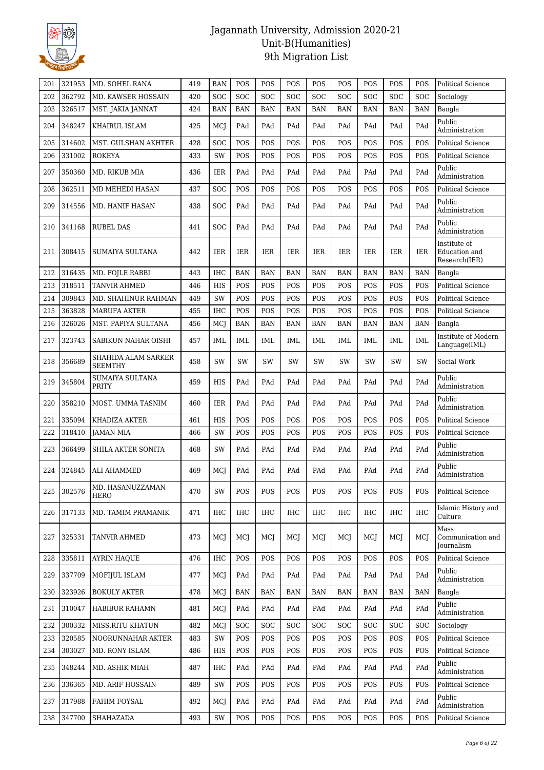

| 201 | 321953 | MD. SOHEL RANA                        | 419 | <b>BAN</b> | POS        | POS        | <b>POS</b> | POS        | POS        | POS        | POS        | POS        | <b>Political Science</b>                       |
|-----|--------|---------------------------------------|-----|------------|------------|------------|------------|------------|------------|------------|------------|------------|------------------------------------------------|
| 202 | 362792 | MD. KAWSER HOSSAIN                    | 420 | SOC        | <b>SOC</b> | <b>SOC</b> | <b>SOC</b> | SOC        | <b>SOC</b> | <b>SOC</b> | SOC        | <b>SOC</b> | Sociology                                      |
| 203 | 326517 | MST. JAKIA JANNAT                     | 424 | <b>BAN</b> | <b>BAN</b> | <b>BAN</b> | <b>BAN</b> | <b>BAN</b> | <b>BAN</b> | <b>BAN</b> | <b>BAN</b> | <b>BAN</b> | Bangla                                         |
| 204 | 348247 | KHAIRUL ISLAM                         | 425 | MCJ        | PAd        | PAd        | PAd        | PAd        | PAd        | PAd        | PAd        | PAd        | Public<br>Administration                       |
| 205 | 314602 | <b>MST. GULSHAN AKHTER</b>            | 428 | <b>SOC</b> | POS        | POS        | POS        | POS        | POS        | POS        | POS        | POS        | <b>Political Science</b>                       |
| 206 | 331002 | <b>ROKEYA</b>                         | 433 | SW         | POS        | POS        | POS        | POS        | POS        | POS        | POS        | POS        | <b>Political Science</b>                       |
| 207 | 350360 | MD. RIKUB MIA                         | 436 | IER        | PAd        | PAd        | PAd        | PAd        | PAd        | PAd        | PAd        | PAd        | Public<br>Administration                       |
| 208 | 362511 | MD MEHEDI HASAN                       | 437 | SOC        | POS        | POS        | POS        | POS        | POS        | POS        | POS        | POS        | <b>Political Science</b>                       |
| 209 | 314556 | MD. HANIF HASAN                       | 438 | <b>SOC</b> | PAd        | PAd        | PAd        | PAd        | PAd        | PAd        | PAd        | PAd        | Public<br>Administration                       |
| 210 | 341168 | <b>RUBEL DAS</b>                      | 441 | <b>SOC</b> | PAd        | PAd        | PAd        | PAd        | PAd        | PAd        | PAd        | PAd        | Public<br>Administration                       |
| 211 | 308415 | <b>SUMAIYA SULTANA</b>                | 442 | <b>IER</b> | IER        | <b>IER</b> | <b>IER</b> | <b>IER</b> | <b>IER</b> | <b>IER</b> | <b>IER</b> | <b>IER</b> | Institute of<br>Education and<br>Research(IER) |
| 212 | 316435 | MD. FOJLE RABBI                       | 443 | IHC        | <b>BAN</b> | <b>BAN</b> | <b>BAN</b> | <b>BAN</b> | <b>BAN</b> | <b>BAN</b> | <b>BAN</b> | <b>BAN</b> | Bangla                                         |
| 213 | 318511 | <b>TANVIR AHMED</b>                   | 446 | <b>HIS</b> | POS        | POS        | POS        | POS        | POS        | POS        | POS        | POS        | <b>Political Science</b>                       |
| 214 | 309843 | MD. SHAHINUR RAHMAN                   | 449 | SW         | POS        | POS        | POS        | POS        | POS        | POS        | POS        | POS        | Political Science                              |
| 215 | 363828 | <b>MARUFA AKTER</b>                   | 455 | <b>IHC</b> | POS        | POS        | <b>POS</b> | POS        | POS        | POS        | POS        | POS        | Political Science                              |
| 216 | 326026 | MST. PAPIYA SULTANA                   | 456 | MCJ        | <b>BAN</b> | <b>BAN</b> | <b>BAN</b> | <b>BAN</b> | <b>BAN</b> | <b>BAN</b> | <b>BAN</b> | <b>BAN</b> | Bangla                                         |
| 217 | 323743 | SABIKUN NAHAR OISHI                   | 457 | IML        | IML        | IML        | IML        | IML        | <b>IML</b> | IML        | <b>IML</b> | <b>IML</b> | Institute of Modern<br>Language(IML)           |
| 218 | 356689 | SHAHIDA ALAM SARKER<br><b>SEEMTHY</b> | 458 | SW         | SW         | SW         | <b>SW</b>  | <b>SW</b>  | <b>SW</b>  | <b>SW</b>  | SW         | SW         | Social Work                                    |
| 219 | 345804 | SUMAIYA SULTANA<br><b>PRITY</b>       | 459 | HIS        | PAd        | PAd        | PAd        | PAd        | PAd        | PAd        | PAd        | PAd        | Public<br>Administration                       |
| 220 | 358210 | MOST. UMMA TASNIM                     | 460 | <b>IER</b> | PAd        | PAd        | PAd        | PAd        | PAd        | PAd        | PAd        | PAd        | Public<br>Administration                       |
| 221 | 335094 | KHADIZA AKTER                         | 461 | <b>HIS</b> | POS        | POS        | POS        | POS        | POS        | POS        | POS        | POS        | <b>Political Science</b>                       |
| 222 | 318410 | <b>JAMAN MIA</b>                      | 466 | SW         | POS        | POS        | POS        | POS        | POS        | POS        | POS        | POS        | <b>Political Science</b>                       |
| 223 | 366499 | SHILA AKTER SONITA                    | 468 | SW         | PAd        | PAd        | PAd        | PAd        | PAd        | PAd        | PAd        | PAd        | Public<br>Administration                       |
| 224 | 324845 | ALI AHAMMED                           | 469 | MCJ        | PAd        | PAd        | PAd        | PAd        | PAd        | PAd        | PAd        | PAd        | Public<br>Administration                       |
| 225 | 302576 | MD. HASANUZZAMAN<br><b>HERO</b>       | 470 | SW         | POS        | POS        | POS        | POS        | POS        | POS        | POS        | POS        | Political Science                              |
| 226 | 317133 | MD. TAMIM PRAMANIK                    | 471 | IHC        | <b>IHC</b> | IHC        | <b>IHC</b> | IHC        | IHC        | IHC        | IHC        | <b>IHC</b> | Islamic History and<br>Culture                 |
| 227 | 325331 | TANVIR AHMED                          | 473 | <b>MCJ</b> | MCJ        | MCJ        | MCI        | MCJ        | MCJ        | MCJ        | MCJ        | MCJ        | Mass<br>Communication and<br>Journalism        |
| 228 | 335811 | <b>AYRIN HAQUE</b>                    | 476 | <b>IHC</b> | POS        | POS        | POS        | POS        | POS        | POS        | POS        | POS        | <b>Political Science</b>                       |
| 229 | 337709 | MOFIJUL ISLAM                         | 477 | MCJ        | PAd        | PAd        | PAd        | PAd        | PAd        | PAd        | PAd        | PAd        | Public<br>Administration                       |
| 230 | 323926 | <b>BOKULY AKTER</b>                   | 478 | MCJ        | <b>BAN</b> | BAN        | BAN        | <b>BAN</b> | <b>BAN</b> | BAN        | BAN        | BAN        | Bangla                                         |
| 231 | 310047 | HABIBUR RAHAMN                        | 481 | <b>MCJ</b> | PAd        | PAd        | PAd        | PAd        | PAd        | PAd        | PAd        | PAd        | Public<br>Administration                       |
| 232 | 300332 | MISS.RITU KHATUN                      | 482 | <b>MCJ</b> | SOC        | SOC        | SOC        | <b>SOC</b> | SOC        | SOC        | SOC        | SOC        | Sociology                                      |
| 233 | 320585 | NOORUNNAHAR AKTER                     | 483 | SW         | POS        | POS        | POS        | POS        | POS        | POS        | POS        | POS        | <b>Political Science</b>                       |
| 234 | 303027 | MD. RONY ISLAM                        | 486 | HIS        | POS        | POS        | POS        | POS        | POS        | POS        | POS        | POS        | Political Science                              |
| 235 | 348244 | MD. ASHIK MIAH                        | 487 | IHC        | PAd        | PAd        | PAd        | PAd        | PAd        | PAd        | PAd        | PAd        | Public<br>Administration                       |
| 236 | 336365 | MD. ARIF HOSSAIN                      | 489 | SW         | POS        | POS        | POS        | POS        | POS        | POS        | POS        | POS        | <b>Political Science</b>                       |
| 237 | 317988 | FAHIM FOYSAL                          | 492 | <b>MCJ</b> | PAd        | PAd        | PAd        | PAd        | PAd        | PAd        | PAd        | PAd        | Public<br>Administration                       |
| 238 | 347700 | SHAHAZADA                             | 493 | SW         | POS        | POS        | POS        | POS        | POS        | POS        | POS        | POS        | Political Science                              |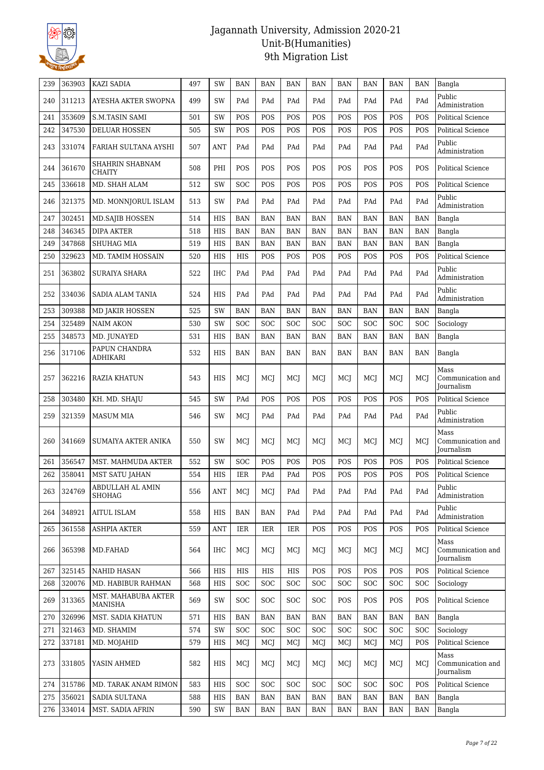

| 239 | 363903 | KAZI SADIA                            | 497 | SW         | BAN        | BAN        | <b>BAN</b> | <b>BAN</b> | <b>BAN</b> | <b>BAN</b> | <b>BAN</b> | <b>BAN</b> | Bangla                                         |
|-----|--------|---------------------------------------|-----|------------|------------|------------|------------|------------|------------|------------|------------|------------|------------------------------------------------|
| 240 | 311213 | AYESHA AKTER SWOPNA                   | 499 | SW         | PAd        | PAd        | PAd        | PAd        | PAd        | PAd        | PAd        | PAd        | Public<br>Administration                       |
| 241 | 353609 | <b>S.M.TASIN SAMI</b>                 | 501 | SW         | POS        | POS        | POS        | POS        | POS        | POS        | POS        | POS        | <b>Political Science</b>                       |
| 242 | 347530 | <b>DELUAR HOSSEN</b>                  | 505 | SW         | POS        | POS        | POS        | POS        | POS        | POS        | POS        | POS        | Political Science                              |
| 243 | 331074 | FARIAH SULTANA AYSHI                  | 507 | ANT        | PAd        | PAd        | PAd        | PAd        | PAd        | PAd        | PAd        | PAd        | Public<br>Administration                       |
| 244 | 361670 | SHAHRIN SHABNAM<br>CHAITY             | 508 | PHI        | POS        | POS        | POS        | POS        | POS        | POS        | POS        | POS        | Political Science                              |
| 245 | 336618 | MD. SHAH ALAM                         | 512 | SW         | SOC        | POS        | <b>POS</b> | POS        | <b>POS</b> | POS        | POS        | POS        | Political Science                              |
| 246 | 321375 | MD. MONNJORUL ISLAM                   | 513 | SW         | PAd        | PAd        | PAd        | PAd        | PAd        | PAd        | PAd        | PAd        | Public<br>Administration                       |
| 247 | 302451 | <b>MD.SAJIB HOSSEN</b>                | 514 | HIS        | <b>BAN</b> | <b>BAN</b> | <b>BAN</b> | <b>BAN</b> | <b>BAN</b> | <b>BAN</b> | <b>BAN</b> | <b>BAN</b> | Bangla                                         |
| 248 | 346345 | <b>DIPA AKTER</b>                     | 518 | HIS        | <b>BAN</b> | <b>BAN</b> | <b>BAN</b> | <b>BAN</b> | <b>BAN</b> | <b>BAN</b> | <b>BAN</b> | <b>BAN</b> | Bangla                                         |
| 249 | 347868 | SHUHAG MIA                            | 519 | <b>HIS</b> | <b>BAN</b> | <b>BAN</b> | <b>BAN</b> | <b>BAN</b> | <b>BAN</b> | <b>BAN</b> | <b>BAN</b> | <b>BAN</b> | Bangla                                         |
| 250 | 329623 | MD. TAMIM HOSSAIN                     | 520 | HIS        | HIS        | POS        | POS        | POS        | POS        | POS        | POS        | POS        | <b>Political Science</b>                       |
| 251 | 363802 | <b>SURAIYA SHARA</b>                  | 522 | IHC        | PAd        | PAd        | PAd        | PAd        | PAd        | PAd        | PAd        | PAd        | Public<br>Administration                       |
| 252 | 334036 | <b>SADIA ALAM TANIA</b>               | 524 | <b>HIS</b> | PAd        | PAd        | PAd        | PAd        | PAd        | PAd        | PAd        | PAd        | Public<br>Administration                       |
| 253 | 309388 | <b>MD JAKIR HOSSEN</b>                | 525 | SW         | <b>BAN</b> | <b>BAN</b> | <b>BAN</b> | <b>BAN</b> | <b>BAN</b> | <b>BAN</b> | <b>BAN</b> | <b>BAN</b> | Bangla                                         |
| 254 | 325489 | <b>NAIM AKON</b>                      | 530 | SW         | SOC        | SOC        | SOC        | SOC        | <b>SOC</b> | <b>SOC</b> | SOC        | SOC        | Sociology                                      |
| 255 | 348573 | MD. JUNAYED                           | 531 | HIS        | <b>BAN</b> | <b>BAN</b> | <b>BAN</b> | <b>BAN</b> | <b>BAN</b> | <b>BAN</b> | <b>BAN</b> | <b>BAN</b> | Bangla                                         |
| 256 | 317106 | PAPUN CHANDRA<br><b>ADHIKARI</b>      | 532 | HIS        | <b>BAN</b> | <b>BAN</b> | <b>BAN</b> | <b>BAN</b> | <b>BAN</b> | <b>BAN</b> | <b>BAN</b> | <b>BAN</b> | Bangla                                         |
| 257 | 362216 | RAZIA KHATUN                          | 543 | <b>HIS</b> | MCJ        | MCI        | MCI        | MCJ        | MCJ        | MCJ        | MCJ        | MCI        | Mass<br>Communication and<br>Journalism        |
| 258 | 303480 | KH. MD. SHAJU                         | 545 | SW         | PAd        | POS        | POS        | POS        | POS        | POS        | POS        | POS        | <b>Political Science</b>                       |
| 259 | 321359 | <b>MASUM MIA</b>                      | 546 | SW         | MCJ        | PAd        | PAd        | PAd        | PAd        | PAd        | PAd        | PAd        | Public<br>Administration                       |
| 260 | 341669 | SUMAIYA AKTER ANIKA                   | 550 | SW         | MCI        | MCI        | MCI        | MCJ        | MCI        | MCI        | MCI        | MCI        | Mass<br>Communication and<br>Journalism        |
| 261 | 356547 | MST. MAHMUDA AKTER                    | 552 | SW         | SOC        | POS        | POS        | POS        | POS        | POS        | POS        | POS        | <b>Political Science</b>                       |
| 262 | 358041 | <b>MST SATU JAHAN</b>                 | 554 | <b>HIS</b> | <b>IER</b> | PAd        | PAd        | POS        | POS        | POS        | POS        | POS        | <b>Political Science</b>                       |
| 263 | 324769 | ABDULLAH AL AMIN<br>SHOHAG            | 556 | ANT        | MCJ        | MCI        | PAd        | PAd        | PAd        | PAd        | PAd        | PAd        | Public<br>Administration                       |
| 264 | 348921 | <b>AITUL ISLAM</b>                    | 558 | HIS        | <b>BAN</b> | <b>BAN</b> | PAd        | PAd        | PAd        | PAd        | PAd        | PAd        | Public<br>Administration                       |
| 265 | 361558 | <b>ASHPIA AKTER</b>                   | 559 | <b>ANT</b> | IER        | IER        | IER        | POS        | POS        | POS        | POS        | POS        | Political Science                              |
| 266 | 365398 | MD.FAHAD                              | 564 | IHC        | MCJ        | MCI        | MCJ        | MCJ        | MCJ        | MCI        | MCJ        | MCI        | Mass<br>Communication and<br><b>Journalism</b> |
| 267 | 325145 | <b>NAHID HASAN</b>                    | 566 | HIS        | HIS        | HIS        | <b>HIS</b> | POS        | POS        | POS        | POS        | POS        | Political Science                              |
| 268 | 320076 | MD. HABIBUR RAHMAN                    | 568 | HIS        | <b>SOC</b> | <b>SOC</b> | <b>SOC</b> | <b>SOC</b> | <b>SOC</b> | <b>SOC</b> | <b>SOC</b> | <b>SOC</b> | Sociology                                      |
| 269 | 313365 | MST. MAHABUBA AKTER<br><b>MANISHA</b> | 569 | SW         | <b>SOC</b> | SOC        | <b>SOC</b> | <b>SOC</b> | POS        | POS        | POS        | POS        | Political Science                              |
| 270 | 326996 | MST. SADIA KHATUN                     | 571 | <b>HIS</b> | <b>BAN</b> | BAN        | <b>BAN</b> | <b>BAN</b> | <b>BAN</b> | <b>BAN</b> | <b>BAN</b> | <b>BAN</b> | Bangla                                         |
| 271 | 321463 | MD. SHAMIM                            | 574 | SW         | <b>SOC</b> | <b>SOC</b> | <b>SOC</b> | <b>SOC</b> | <b>SOC</b> | <b>SOC</b> | SOC        | <b>SOC</b> | Sociology                                      |
| 272 | 337181 | MD. MOJAHID                           | 579 | HIS        | MCJ        | MCJ        | MCJ        | MCJ        | MCI        | MCJ        | MCJ        | POS        | Political Science                              |
| 273 | 331805 | YASIN AHMED                           | 582 | HIS        | MCJ        | MCJ        | MCJ        | MCJ        | MCJ        | MCJ        | MCJ        | MCI        | Mass<br>Communication and<br>Journalism        |
| 274 | 315786 | MD. TARAK ANAM RIMON                  | 583 | HIS        | <b>SOC</b> | SOC        | <b>SOC</b> | <b>SOC</b> | <b>SOC</b> | <b>SOC</b> | <b>SOC</b> | POS        | <b>Political Science</b>                       |
| 275 | 356021 | SADIA SULTANA                         | 588 | HIS        | <b>BAN</b> | <b>BAN</b> | BAN        | <b>BAN</b> | <b>BAN</b> | <b>BAN</b> | <b>BAN</b> | <b>BAN</b> | Bangla                                         |
| 276 | 334014 | MST. SADIA AFRIN                      | 590 | SW         | <b>BAN</b> | <b>BAN</b> | <b>BAN</b> | <b>BAN</b> | <b>BAN</b> | <b>BAN</b> | BAN        | <b>BAN</b> | Bangla                                         |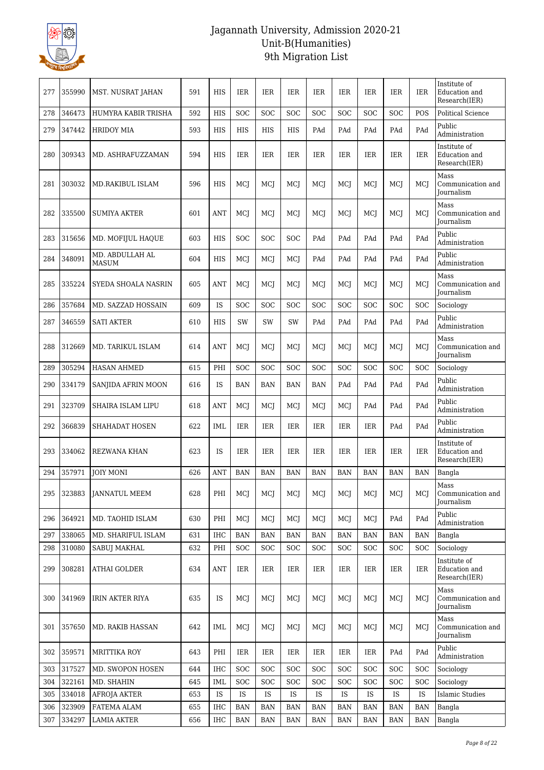

| 277 | 355990 | MST. NUSRAT JAHAN        | 591 | <b>HIS</b> | IER        | <b>IER</b> | <b>IER</b> | <b>IER</b> | <b>IER</b> | <b>IER</b> | <b>IER</b> | <b>IER</b> | Institute of<br>Education and<br>Research(IER) |
|-----|--------|--------------------------|-----|------------|------------|------------|------------|------------|------------|------------|------------|------------|------------------------------------------------|
| 278 | 346473 | HUMYRA KABIR TRISHA      | 592 | <b>HIS</b> | SOC        | SOC        | <b>SOC</b> | <b>SOC</b> | <b>SOC</b> | SOC        | SOC        | POS        | <b>Political Science</b>                       |
| 279 | 347442 | <b>HRIDOY MIA</b>        | 593 | <b>HIS</b> | <b>HIS</b> | HIS        | HIS        | PAd        | PAd        | PAd        | PAd        | PAd        | Public<br>Administration                       |
| 280 | 309343 | MD. ASHRAFUZZAMAN        | 594 | HIS        | IER        | IER        | IER        | IER        | IER        | <b>IER</b> | IER        | IER        | Institute of<br>Education and<br>Research(IER) |
| 281 | 303032 | <b>MD.RAKIBUL ISLAM</b>  | 596 | <b>HIS</b> | MCI        | MCI        | MCI        | MCI        | MCI        | MCI        | MCI        | MCI        | Mass<br>Communication and<br>Journalism        |
| 282 | 335500 | <b>SUMIYA AKTER</b>      | 601 | ANT        | MCJ        | MCJ        | MCJ        | MCI        | MCI        | MCI        | MCI        | MCI        | Mass<br>Communication and<br>Journalism        |
| 283 | 315656 | MD. MOFIJUL HAQUE        | 603 | HIS        | <b>SOC</b> | <b>SOC</b> | <b>SOC</b> | PAd        | PAd        | PAd        | PAd        | PAd        | Public<br>Administration                       |
| 284 | 348091 | MD. ABDULLAH AL<br>MASUM | 604 | HIS        | MCI        | MCI        | MCJ        | PAd        | PAd        | PAd        | PAd        | PAd        | Public<br>Administration                       |
| 285 | 335224 | SYEDA SHOALA NASRIN      | 605 | <b>ANT</b> | MCJ        | MCJ        | MCJ        | MCJ        | MCI        | MCJ        | MCI        | MCI        | Mass<br>Communication and<br>Journalism        |
| 286 | 357684 | MD. SAZZAD HOSSAIN       | 609 | <b>IS</b>  | SOC        | <b>SOC</b> | SOC        | <b>SOC</b> | SOC        | SOC        | SOC        | SOC        | Sociology                                      |
| 287 | 346559 | <b>SATI AKTER</b>        | 610 | <b>HIS</b> | SW         | SW         | SW         | PAd        | PAd        | PAd        | PAd        | PAd        | Public<br>Administration                       |
| 288 | 312669 | MD. TARIKUL ISLAM        | 614 | <b>ANT</b> | MCI        | MCI        | MCI        | MCI        | MCI        | MCI        | MCI        | MCI        | Mass<br>Communication and<br>Journalism        |
| 289 | 305294 | <b>HASAN AHMED</b>       | 615 | PHI        | SOC        | SOC        | SOC        | SOC        | SOC        | SOC        | SOC        | SOC        | Sociology                                      |
| 290 | 334179 | SANJIDA AFRIN MOON       | 616 | IS         | <b>BAN</b> | BAN        | <b>BAN</b> | <b>BAN</b> | PAd        | PAd        | PAd        | PAd        | Public<br>Administration                       |
| 291 | 323709 | SHAIRA ISLAM LIPU        | 618 | ANT        | MCI        | MCI        | MCI        | MCI        | MCI        | PAd        | PAd        | PAd        | Public<br>Administration                       |
| 292 | 366839 | SHAHADAT HOSEN           | 622 | <b>IML</b> | IER        | IER        | <b>IER</b> | IER        | <b>IER</b> | <b>IER</b> | PAd        | PAd        | Public<br>Administration                       |
| 293 | 334062 | <b>REZWANA KHAN</b>      | 623 | <b>IS</b>  | IER        | IER        | IER        | IER        | <b>IER</b> | IER        | IER        | <b>IER</b> | Institute of<br>Education and<br>Research(IER) |
| 294 | 357971 | <b>JOIY MONI</b>         | 626 | <b>ANT</b> | <b>BAN</b> | <b>BAN</b> | <b>BAN</b> | <b>BAN</b> | <b>BAN</b> | BAN        | <b>BAN</b> | <b>BAN</b> | Bangla                                         |
| 295 | 323883 | <b>JANNATUL MEEM</b>     | 628 | PHI        | MCJ        | MCJ        | MCJ        | MCI        | MCJ        | MCJ        | MCJ        | MCI        | Mass<br>Communication and<br><b>Journalism</b> |
| 296 | 364921 | MD. TAOHID ISLAM         | 630 | PHI        | MCJ        | MCJ        | MCJ        | MCJ        | MCI        | MCJ        | PAd        | PAd        | Public<br>Administration                       |
| 297 | 338065 | MD. SHARIFUL ISLAM       | 631 | IHC        | <b>BAN</b> | <b>BAN</b> | <b>BAN</b> | <b>BAN</b> | <b>BAN</b> | <b>BAN</b> | <b>BAN</b> | <b>BAN</b> | Bangla                                         |
| 298 | 310080 | SABUJ MAKHAL             | 632 | PHI        | SOC        | SOC        | SOC        | SOC        | <b>SOC</b> | SOC        | <b>SOC</b> | <b>SOC</b> | Sociology                                      |
| 299 | 308281 | <b>ATHAI GOLDER</b>      | 634 | ANT        | IER        | IER        | IER        | IER        | IER        | IER        | IER        | <b>IER</b> | Institute of<br>Education and<br>Research(IER) |
| 300 | 341969 | IRIN AKTER RIYA          | 635 | IS         | MCI        | MCI        | MCJ        | MCI        | MCI        | MCI        | MCI        | <b>MCI</b> | Mass<br>Communication and<br>Journalism        |
| 301 | 357650 | MD. RAKIB HASSAN         | 642 | IML        | MCJ        | MCJ        | MCJ        | MCJ        | MCJ        | MCJ        | MCJ        | MCJ        | Mass<br>Communication and<br>Journalism        |
| 302 | 359571 | <b>MRITTIKA ROY</b>      | 643 | PHI        | IER        | <b>IER</b> | <b>IER</b> | IER        | IER        | IER        | PAd        | PAd        | Public<br>Administration                       |
| 303 | 317527 | MD. SWOPON HOSEN         | 644 | <b>IHC</b> | <b>SOC</b> | <b>SOC</b> | <b>SOC</b> | <b>SOC</b> | <b>SOC</b> | <b>SOC</b> | <b>SOC</b> | SOC        | Sociology                                      |
| 304 | 322161 | MD. SHAHIN               | 645 | IML        | <b>SOC</b> | <b>SOC</b> | <b>SOC</b> | <b>SOC</b> | <b>SOC</b> | SOC        | <b>SOC</b> | SOC        | Sociology                                      |
| 305 | 334018 | AFROJA AKTER             | 653 | IS         | IS         | IS         | IS         | IS         | IS         | IS         | IS         | IS         | <b>Islamic Studies</b>                         |
| 306 | 323909 | FATEMA ALAM              | 655 | <b>IHC</b> | <b>BAN</b> | <b>BAN</b> | <b>BAN</b> | <b>BAN</b> | <b>BAN</b> | <b>BAN</b> | <b>BAN</b> | <b>BAN</b> | Bangla                                         |
| 307 | 334297 | <b>LAMIA AKTER</b>       | 656 | IHC        | <b>BAN</b> | BAN        | <b>BAN</b> | BAN        | <b>BAN</b> | BAN        | <b>BAN</b> | <b>BAN</b> | Bangla                                         |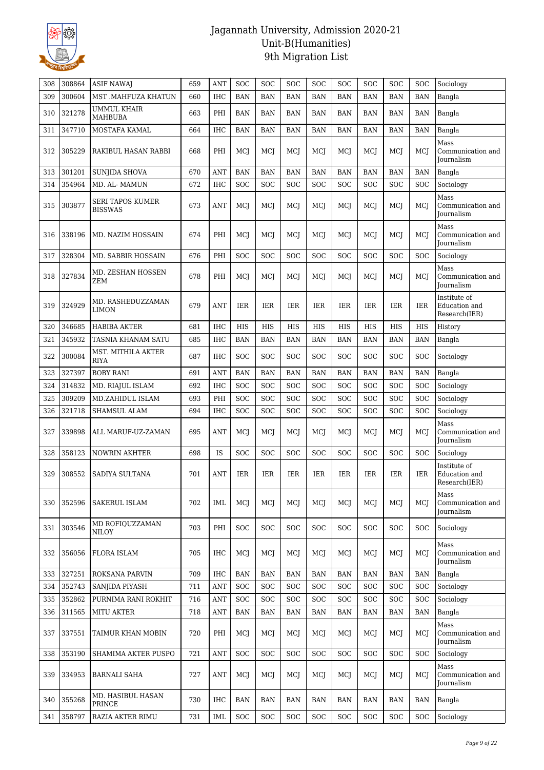

| 308 | 308864 | <b>ASIF NAWAJ</b>                  | 659 | ANT        | SOC        | SOC        | SOC        | SOC        | SOC        | SOC        | SOC        | SOC        | Sociology                                      |
|-----|--------|------------------------------------|-----|------------|------------|------------|------------|------------|------------|------------|------------|------------|------------------------------------------------|
| 309 | 300604 | MST .MAHFUZA KHATUN                | 660 | <b>IHC</b> | <b>BAN</b> | <b>BAN</b> | <b>BAN</b> | <b>BAN</b> | <b>BAN</b> | <b>BAN</b> | <b>BAN</b> | <b>BAN</b> | Bangla                                         |
| 310 | 321278 | UMMUL KHAIR                        | 663 | PHI        | <b>BAN</b> | <b>BAN</b> | <b>BAN</b> | <b>BAN</b> | <b>BAN</b> | <b>BAN</b> | <b>BAN</b> | <b>BAN</b> | Bangla                                         |
| 311 | 347710 | MAHBUBA<br>MOSTAFA KAMAL           | 664 | <b>IHC</b> | <b>BAN</b> | <b>BAN</b> | <b>BAN</b> | <b>BAN</b> | <b>BAN</b> | <b>BAN</b> | <b>BAN</b> | <b>BAN</b> | Bangla                                         |
|     |        |                                    |     |            |            |            |            |            |            |            |            |            | Mass                                           |
| 312 | 305229 | RAKIBUL HASAN RABBI                | 668 | PHI        | MCJ        | MCI        | MCJ        | MCI        | MCI        | MCI        | MCI        | MCI        | Communication and<br>Journalism                |
| 313 | 301201 | <b>SUNJIDA SHOVA</b>               | 670 | <b>ANT</b> | <b>BAN</b> | <b>BAN</b> | <b>BAN</b> | <b>BAN</b> | <b>BAN</b> | <b>BAN</b> | <b>BAN</b> | <b>BAN</b> | Bangla                                         |
| 314 | 354964 | MD. AL- MAMUN                      | 672 | <b>IHC</b> | <b>SOC</b> | <b>SOC</b> | <b>SOC</b> | <b>SOC</b> | <b>SOC</b> | <b>SOC</b> | SOC        | <b>SOC</b> | Sociology                                      |
| 315 | 303877 | SERI TAPOS KUMER<br><b>BISSWAS</b> | 673 | <b>ANT</b> | MCJ        | MCJ        | MCJ        | MCJ        | MCJ        | MCJ        | MCI        | MCI        | Mass<br>Communication and<br>Journalism        |
| 316 | 338196 | MD. NAZIM HOSSAIN                  | 674 | PHI        | MCJ        | MCI        | MCI        | MCI        | MCI        | MCJ        | MCJ        | MCJ        | Mass<br>Communication and<br><b>Journalism</b> |
| 317 | 328304 | MD. SABBIR HOSSAIN                 | 676 | PHI        | <b>SOC</b> | <b>SOC</b> | <b>SOC</b> | <b>SOC</b> | <b>SOC</b> | <b>SOC</b> | <b>SOC</b> | <b>SOC</b> | Sociology                                      |
| 318 | 327834 | MD. ZESHAN HOSSEN<br>ZEM           | 678 | PHI        | MCJ        | MCI        | MCJ        | MCI        | MCJ        | MCI        | MCI        | MCI        | Mass<br>Communication and<br>Journalism        |
| 319 | 324929 | MD. RASHEDUZZAMAN<br><b>LIMON</b>  | 679 | <b>ANT</b> | IER        | IER        | IER        | IER        | <b>IER</b> | IER        | <b>IER</b> | IER        | Institute of<br>Education and<br>Research(IER) |
| 320 | 346685 | <b>HABIBA AKTER</b>                | 681 | <b>IHC</b> | <b>HIS</b> | <b>HIS</b> | <b>HIS</b> | HIS        | HIS        | <b>HIS</b> | <b>HIS</b> | <b>HIS</b> | History                                        |
| 321 | 345932 | TASNIA KHANAM SATU                 | 685 | IHC        | <b>BAN</b> | <b>BAN</b> | <b>BAN</b> | <b>BAN</b> | <b>BAN</b> | <b>BAN</b> | <b>BAN</b> | <b>BAN</b> | Bangla                                         |
| 322 | 300084 | MST. MITHILA AKTER<br>RIYA         | 687 | <b>IHC</b> | <b>SOC</b> | <b>SOC</b> | <b>SOC</b> | <b>SOC</b> | SOC        | SOC        | <b>SOC</b> | <b>SOC</b> | Sociology                                      |
| 323 | 327397 | <b>BOBY RANI</b>                   | 691 | ANT        | <b>BAN</b> | <b>BAN</b> | <b>BAN</b> | <b>BAN</b> | <b>BAN</b> | <b>BAN</b> | <b>BAN</b> | <b>BAN</b> | Bangla                                         |
| 324 | 314832 | MD. RIAJUL ISLAM                   | 692 | <b>IHC</b> | <b>SOC</b> | <b>SOC</b> | <b>SOC</b> | <b>SOC</b> | <b>SOC</b> | SOC        | <b>SOC</b> | <b>SOC</b> | Sociology                                      |
| 325 | 309209 | MD.ZAHIDUL ISLAM                   | 693 | PHI        | <b>SOC</b> | <b>SOC</b> | <b>SOC</b> | <b>SOC</b> | <b>SOC</b> | SOC        | <b>SOC</b> | <b>SOC</b> | Sociology                                      |
| 326 | 321718 | <b>SHAMSUL ALAM</b>                | 694 | <b>IHC</b> | <b>SOC</b> | <b>SOC</b> | <b>SOC</b> | SOC        | <b>SOC</b> | SOC        | <b>SOC</b> | <b>SOC</b> | Sociology                                      |
| 327 | 339898 | ALL MARUF-UZ-ZAMAN                 | 695 | ANT        | MCJ        | MCI        | MCI        | MCJ        | MCJ        | MCJ        | MCJ        | MCI        | Mass<br>Communication and<br><b>Journalism</b> |
| 328 | 358123 | <b>NOWRIN AKHTER</b>               | 698 | IS         | SOC        | SOC        | SOC        | SOC        | SOC        | SOC        | <b>SOC</b> | <b>SOC</b> | Sociology                                      |
| 329 | 308552 | SADIYA SULTANA                     | 701 | ANT        | <b>IER</b> | <b>IER</b> | <b>IER</b> | <b>IER</b> | <b>IER</b> | <b>IER</b> | <b>IER</b> | IER        | Institute of<br>Education and<br>Research(IER) |
| 330 | 352596 | SAKERUL ISLAM                      | 702 | <b>IML</b> | MCJ        | MCJ        | MCJ        | MCJ        | MCJ        | MCI        | MCJ        | MCJ        | Mass<br>Communication and<br><b>Journalism</b> |
| 331 | 303546 | MD ROFIQUZZAMAN<br>NILOY           | 703 | PHI        | <b>SOC</b> | SOC        | SOC        | <b>SOC</b> | <b>SOC</b> | SOC        | <b>SOC</b> | <b>SOC</b> | Sociology                                      |
| 332 | 356056 | FLORA ISLAM                        | 705 | IHC        | MCJ        | MCI        | MCJ        | MCI        | MCJ        | MCJ        | MCJ        | MCI        | Mass<br>Communication and<br>Journalism        |
| 333 | 327251 | <b>ROKSANA PARVIN</b>              | 709 | <b>IHC</b> | <b>BAN</b> | <b>BAN</b> | <b>BAN</b> | BAN        | <b>BAN</b> | <b>BAN</b> | <b>BAN</b> | <b>BAN</b> | Bangla                                         |
| 334 | 352743 | SANJIDA PIYASH                     | 711 | <b>ANT</b> | SOC        | <b>SOC</b> | <b>SOC</b> | SOC        | <b>SOC</b> | SOC        | <b>SOC</b> | <b>SOC</b> | Sociology                                      |
| 335 | 352862 | PURNIMA RANI ROKHIT                | 716 | <b>ANT</b> | <b>SOC</b> | <b>SOC</b> | <b>SOC</b> | <b>SOC</b> | <b>SOC</b> | SOC        | SOC        | <b>SOC</b> | Sociology                                      |
| 336 | 311565 | <b>MITU AKTER</b>                  | 718 | ANT        | <b>BAN</b> | <b>BAN</b> | <b>BAN</b> | <b>BAN</b> | <b>BAN</b> | <b>BAN</b> | <b>BAN</b> | <b>BAN</b> | Bangla                                         |
| 337 | 337551 | TAIMUR KHAN MOBIN                  | 720 | PHI        | MCJ        | MCJ        | MCJ        | MCJ        | MCJ        | MCI        | MCI        | MCI        | Mass<br>Communication and<br>Journalism        |
| 338 | 353190 | SHAMIMA AKTER PUSPO                | 721 | ANT        | <b>SOC</b> | SOC        | <b>SOC</b> | SOC        | <b>SOC</b> | SOC        | <b>SOC</b> | <b>SOC</b> | Sociology                                      |
| 339 | 334953 | <b>BARNALI SAHA</b>                | 727 | <b>ANT</b> | MCJ        | MCJ        | MCJ        | MCJ        | MCJ        | MCJ        | MCJ        | MCI        | Mass<br>Communication and<br>Journalism        |
| 340 | 355268 | MD. HASIBUL HASAN<br>PRINCE        | 730 | IHC        | <b>BAN</b> | BAN        | BAN        | BAN        | BAN        | <b>BAN</b> | <b>BAN</b> | <b>BAN</b> | Bangla                                         |
| 341 | 358797 | RAZIA AKTER RIMU                   | 731 | <b>IML</b> | <b>SOC</b> | <b>SOC</b> | <b>SOC</b> | <b>SOC</b> | <b>SOC</b> | SOC        | <b>SOC</b> | <b>SOC</b> | Sociology                                      |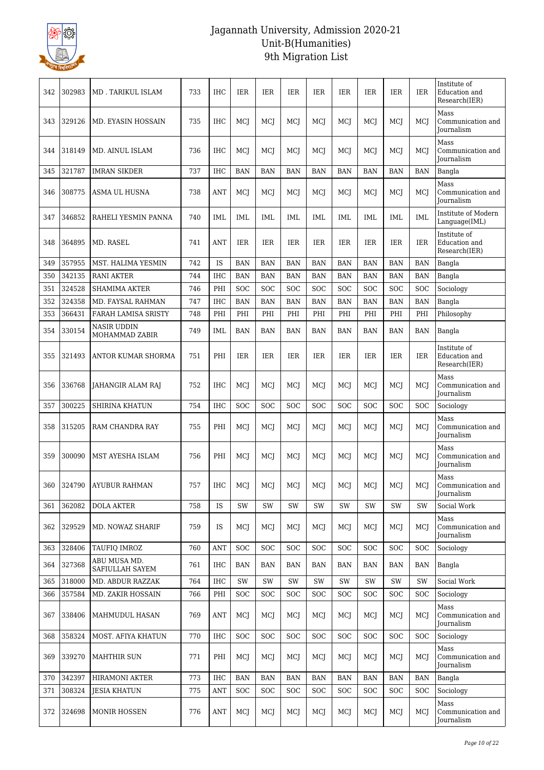

| 342 | 302983 | <b>MD. TARIKUL ISLAM</b>        | 733 | <b>IHC</b>        | <b>IER</b> | <b>IER</b>   | IER        | IER        | <b>IER</b> | <b>IER</b> | <b>IER</b> | <b>IER</b> | Institute of<br>Education and<br>Research(IER) |
|-----|--------|---------------------------------|-----|-------------------|------------|--------------|------------|------------|------------|------------|------------|------------|------------------------------------------------|
| 343 | 329126 | MD. EYASIN HOSSAIN              | 735 | IHC               | MCI        | MCI          | MCI        | MCI        | MCI        | MCI        | MCJ        | MCI        | Mass<br>Communication and<br>Journalism        |
| 344 | 318149 | MD. AINUL ISLAM                 | 736 | <b>IHC</b>        | MCI        | MCI          | MCI        | MCI        | MCI        | MCI        | <b>MCI</b> | MCI        | Mass<br>Communication and<br>Journalism        |
| 345 | 321787 | <b>IMRAN SIKDER</b>             | 737 | <b>IHC</b>        | <b>BAN</b> | <b>BAN</b>   | <b>BAN</b> | <b>BAN</b> | <b>BAN</b> | <b>BAN</b> | <b>BAN</b> | <b>BAN</b> | Bangla                                         |
| 346 | 308775 | ASMA UL HUSNA                   | 738 | ANT               | MCJ        | MCJ          | MCJ        | MCJ        | MCJ        | MCJ        | MCJ        | MCJ        | Mass<br>Communication and<br>Journalism        |
| 347 | 346852 | RAHELI YESMIN PANNA             | 740 | IML               | IML        | IML          | IML        | IML        | IML        | IML        | IML        | IML        | Institute of Modern<br>Language(IML)           |
| 348 | 364895 | MD. RASEL                       | 741 | ANT               | IER        | <b>IER</b>   | <b>IER</b> | <b>IER</b> | <b>IER</b> | <b>IER</b> | <b>IER</b> | IER        | Institute of<br>Education and<br>Research(IER) |
| 349 | 357955 | MST. HALIMA YESMIN              | 742 | IS                | <b>BAN</b> | <b>BAN</b>   | <b>BAN</b> | BAN        | <b>BAN</b> | BAN        | <b>BAN</b> | <b>BAN</b> | Bangla                                         |
| 350 | 342135 | <b>RANI AKTER</b>               | 744 | IHC               | <b>BAN</b> | <b>BAN</b>   | <b>BAN</b> | <b>BAN</b> | <b>BAN</b> | <b>BAN</b> | <b>BAN</b> | <b>BAN</b> | Bangla                                         |
| 351 | 324528 | SHAMIMA AKTER                   | 746 | PHI               | <b>SOC</b> | <b>SOC</b>   | SOC        | <b>SOC</b> | <b>SOC</b> | SOC        | <b>SOC</b> | SOC        | Sociology                                      |
| 352 | 324358 | MD. FAYSAL RAHMAN               | 747 | IHC               | <b>BAN</b> | <b>BAN</b>   | <b>BAN</b> | <b>BAN</b> | <b>BAN</b> | <b>BAN</b> | <b>BAN</b> | <b>BAN</b> | Bangla                                         |
| 353 | 366431 | FARAH LAMISA SRISTY             | 748 | PHI               | PHI        | PHI          | PHI        | PHI        | PHI        | PHI        | PHI        | PHI        | Philosophy                                     |
| 354 | 330154 | NASIR UDDIN<br>MOHAMMAD ZABIR   | 749 | IML               | BAN        | BAN          | <b>BAN</b> | BAN        | <b>BAN</b> | BAN        | <b>BAN</b> | BAN        | Bangla                                         |
| 355 | 321493 | ANTOR KUMAR SHORMA              | 751 | PHI               | <b>IER</b> | <b>IER</b>   | <b>IER</b> | <b>IER</b> | <b>IER</b> | <b>IER</b> | <b>IER</b> | <b>IER</b> | Institute of<br>Education and<br>Research(IER) |
| 356 | 336768 | JAHANGIR ALAM RAJ               | 752 | IHC               | MCJ        | MCJ          | MCJ        | MCJ        | MCJ        | MCJ        | MCJ        | MCJ        | Mass<br>Communication and<br>Journalism        |
| 357 | 300225 | SHIRINA KHATUN                  | 754 | <b>IHC</b>        | <b>SOC</b> | SOC          | SOC        | <b>SOC</b> | <b>SOC</b> | SOC        | <b>SOC</b> | SOC        | Sociology                                      |
| 358 | 315205 | RAM CHANDRA RAY                 | 755 | PHI               | MCI        | MCI          | MCI        | MCI        | MCI        | MCI        | MCI        | MCI        | Mass<br>Communication and<br>Journalism        |
| 359 | 300090 | MST AYESHA ISLAM                | 756 | PHI               | MCI        | MCI          | MCJ        | MCI        | MCI        | MCI        | MCJ        | MCI        | Mass<br>Communication and<br>Journalism        |
| 360 | 324790 | <b>AYUBUR RAHMAN</b>            | 757 | $_{\mathrm{IHC}}$ | MCJ        | $_{\rm MCJ}$ | MCJ        | MCJ        | MCJ        | MCJ        | MCJ        | MCJ        | Mass<br>Communication and<br><b>Iournalism</b> |
| 361 | 362082 | <b>DOLA AKTER</b>               | 758 | IS                | SW         | <b>SW</b>    | SW         | SW         | SW         | SW         | SW         | SW         | Social Work                                    |
| 362 | 329529 | MD. NOWAZ SHARIF                | 759 | IS                | MCJ        | MCI          | MCJ        | MCJ        | MCJ        | MCJ        | MCJ        | MCI        | Mass<br>Communication and<br><b>Journalism</b> |
| 363 | 328406 | TAUFIQ IMROZ                    | 760 | ANT               | <b>SOC</b> | SOC          | <b>SOC</b> | <b>SOC</b> | <b>SOC</b> | SOC        | <b>SOC</b> | SOC        | Sociology                                      |
| 364 | 327368 | ABU MUSA MD.<br>SAFIULLAH SAYEM | 761 | <b>IHC</b>        | BAN        | BAN          | <b>BAN</b> | BAN        | <b>BAN</b> | <b>BAN</b> | <b>BAN</b> | <b>BAN</b> | Bangla                                         |
| 365 | 318000 | MD. ABDUR RAZZAK                | 764 | IHC               | SW         | SW           | SW         | SW         | SW         | SW         | SW         | SW         | Social Work                                    |
| 366 | 357584 | MD. ZAKIR HOSSAIN               | 766 | PHI               | <b>SOC</b> | <b>SOC</b>   | <b>SOC</b> | <b>SOC</b> | <b>SOC</b> | SOC        | <b>SOC</b> | <b>SOC</b> | Sociology                                      |
| 367 | 338406 | MAHMUDUL HASAN                  | 769 | ANT               | MCJ        | MCI          | MCJ        | MCJ        | MCJ        | MCJ        | MCI        | MCI        | Mass<br>Communication and<br><b>Journalism</b> |
| 368 | 358324 | MOST. AFIYA KHATUN              | 770 | <b>IHC</b>        | <b>SOC</b> | SOC          | SOC        | <b>SOC</b> | <b>SOC</b> | <b>SOC</b> | <b>SOC</b> | SOC        | Sociology                                      |
| 369 | 339270 | <b>MAHTHIR SUN</b>              | 771 | PHI               | MCJ        | MCI          | MCJ        | MCI        | MCJ        | MCI        | MCI        | MCI        | Mass<br>Communication and<br>Journalism        |
| 370 | 342397 | <b>HIRAMONI AKTER</b>           | 773 | <b>IHC</b>        | <b>BAN</b> | <b>BAN</b>   | <b>BAN</b> | BAN        | <b>BAN</b> | <b>BAN</b> | <b>BAN</b> | <b>BAN</b> | Bangla                                         |
| 371 | 308324 | <b>JESIA KHATUN</b>             | 775 | <b>ANT</b>        | <b>SOC</b> | <b>SOC</b>   | <b>SOC</b> | <b>SOC</b> | <b>SOC</b> | <b>SOC</b> | <b>SOC</b> | <b>SOC</b> | Sociology                                      |
| 372 | 324698 | <b>MONIR HOSSEN</b>             | 776 | ANT               | MCI        | MCJ          | MCJ        | MCJ        | MCJ        | MCI        | MCJ        | MCI        | Mass<br>Communication and<br>Journalism        |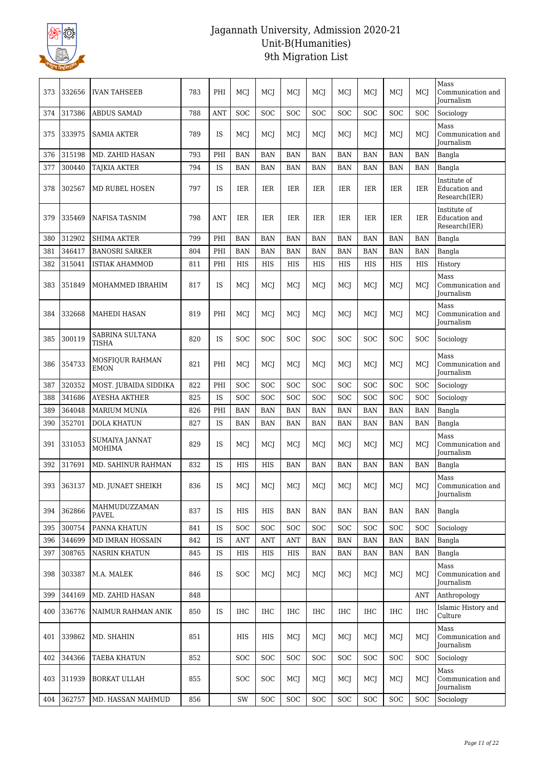

| 373 | 332656 | <b>IVAN TAHSEEB</b>             | 783 | PHI        | MCI        | MCI        | MCI        | MCI        | MCI        | MCI        | MCI        | MCI        | Mass<br>Communication and<br><b>Journalism</b> |
|-----|--------|---------------------------------|-----|------------|------------|------------|------------|------------|------------|------------|------------|------------|------------------------------------------------|
| 374 | 317386 | <b>ABDUS SAMAD</b>              | 788 | <b>ANT</b> | SOC        | <b>SOC</b> | <b>SOC</b> | SOC        | SOC        | SOC        | SOC        | SOC        | Sociology                                      |
| 375 | 333975 | <b>SAMIA AKTER</b>              | 789 | <b>IS</b>  | MCJ        | MCI        | MCJ        | MCJ        | MCJ        | MCJ        | MCJ        | MCI        | Mass<br>Communication and<br>Journalism        |
| 376 | 315198 | MD. ZAHID HASAN                 | 793 | PHI        | <b>BAN</b> | <b>BAN</b> | <b>BAN</b> | <b>BAN</b> | <b>BAN</b> | <b>BAN</b> | <b>BAN</b> | <b>BAN</b> | Bangla                                         |
| 377 | 300440 | <b>TAJKIA AKTER</b>             | 794 | IS         | <b>BAN</b> | <b>BAN</b> | <b>BAN</b> | BAN        | <b>BAN</b> | <b>BAN</b> | <b>BAN</b> | <b>BAN</b> | Bangla                                         |
| 378 | 302567 | <b>MD RUBEL HOSEN</b>           | 797 | <b>IS</b>  | <b>IER</b> | <b>IER</b> | <b>IER</b> | <b>IER</b> | <b>IER</b> | <b>IER</b> | <b>IER</b> | <b>IER</b> | Institute of<br>Education and<br>Research(IER) |
| 379 | 335469 | NAFISA TASNIM                   | 798 | ANT        | <b>IER</b> | <b>IER</b> | <b>IER</b> | <b>IER</b> | <b>IER</b> | <b>IER</b> | <b>IER</b> | <b>IER</b> | Institute of<br>Education and<br>Research(IER) |
| 380 | 312902 | <b>SHIMA AKTER</b>              | 799 | PHI        | <b>BAN</b> | <b>BAN</b> | <b>BAN</b> | BAN        | <b>BAN</b> | <b>BAN</b> | <b>BAN</b> | <b>BAN</b> | Bangla                                         |
| 381 | 346417 | <b>BANOSRI SARKER</b>           | 804 | PHI        | <b>BAN</b> | <b>BAN</b> | <b>BAN</b> | <b>BAN</b> | <b>BAN</b> | <b>BAN</b> | <b>BAN</b> | <b>BAN</b> | Bangla                                         |
| 382 | 315041 | <b>ISTIAK AHAMMOD</b>           | 811 | PHI        | HIS        | HIS        | HIS        | HIS        | HIS        | HIS        | HIS        | <b>HIS</b> | History                                        |
| 383 | 351849 | MOHAMMED IBRAHIM                | 817 | IS         | MCJ        | MCI        | MCI        | MCI        | MCJ        | MCJ        | MCJ        | MCI        | Mass<br>Communication and<br>Journalism        |
| 384 | 332668 | MAHEDI HASAN                    | 819 | PHI        | MCI        | MCI        | MCI        | MCI        | MCI        | MCI        | MCJ        | MCI        | Mass<br>Communication and<br><b>Journalism</b> |
| 385 | 300119 | SABRINA SULTANA<br>TISHA        | 820 | <b>IS</b>  | <b>SOC</b> | <b>SOC</b> | <b>SOC</b> | <b>SOC</b> | <b>SOC</b> | <b>SOC</b> | <b>SOC</b> | <b>SOC</b> | Sociology                                      |
| 386 | 354733 | MOSFIQUR RAHMAN<br><b>EMON</b>  | 821 | PHI        | MCI        | MCI        | MCJ        | MCJ        | MCJ        | MCI        | MCJ        | MCI        | Mass<br>Communication and<br>Journalism        |
| 387 | 320352 | MOST. JUBAIDA SIDDIKA           | 822 | PHI        | SOC        | SOC        | SOC        | <b>SOC</b> | SOC        | SOC        | SOC        | SOC        | Sociology                                      |
| 388 | 341686 | AYESHA AKTHER                   | 825 | IS         | <b>SOC</b> | <b>SOC</b> | <b>SOC</b> | SOC        | SOC        | SOC        | <b>SOC</b> | SOC        | Sociology                                      |
| 389 | 364048 | <b>MARIUM MUNIA</b>             | 826 | PHI        | <b>BAN</b> | <b>BAN</b> | <b>BAN</b> | <b>BAN</b> | <b>BAN</b> | <b>BAN</b> | <b>BAN</b> | <b>BAN</b> | Bangla                                         |
| 390 | 352701 | <b>DOLA KHATUN</b>              | 827 | <b>IS</b>  | <b>BAN</b> | <b>BAN</b> | <b>BAN</b> | <b>BAN</b> | <b>BAN</b> | <b>BAN</b> | <b>BAN</b> | <b>BAN</b> | Bangla                                         |
| 391 | 331053 | SUMAIYA JANNAT<br><b>MOHIMA</b> | 829 | <b>IS</b>  | MCJ        | MCI        | MCI        | MCI        | MCJ        | MCJ        | MCJ        | MCI        | Mass<br>Communication and<br>Journalism        |
| 392 | 317691 | MD. SAHINUR RAHMAN              | 832 | IS         | HIS        | HIS        | <b>BAN</b> | BAN        | <b>BAN</b> | <b>BAN</b> | <b>BAN</b> | <b>BAN</b> | Bangla                                         |
| 393 | 363137 | MD. JUNAET SHEIKH               | 836 | IS         | MCJ        | MCJ        | MCJ        | MCJ        | MCJ        | MCJ        | MCJ        | MCJ        | Mass<br>Communication and<br><b>Journalism</b> |
| 394 | 362866 | MAHMUDUZZAMAN<br>PAVEL          | 837 | IS         | <b>HIS</b> | HIS        | <b>BAN</b> | <b>BAN</b> | <b>BAN</b> | <b>BAN</b> | <b>BAN</b> | <b>BAN</b> | Bangla                                         |
| 395 | 300754 | PANNA KHATUN                    | 841 | IS         | SOC        | SOC        | SOC        | SOC        | SOC        | SOC        | SOC        | <b>SOC</b> | Sociology                                      |
| 396 | 344699 | MD IMRAN HOSSAIN                | 842 | IS         | ANT        | ANT        | ANT        | <b>BAN</b> | <b>BAN</b> | <b>BAN</b> | <b>BAN</b> | <b>BAN</b> | Bangla                                         |
| 397 | 308765 | <b>NASRIN KHATUN</b>            | 845 | IS         | <b>HIS</b> | <b>HIS</b> | HIS        | <b>BAN</b> | BAN        | <b>BAN</b> | <b>BAN</b> | <b>BAN</b> | Bangla                                         |
| 398 | 303387 | M.A. MALEK                      | 846 | IS         | <b>SOC</b> | MCJ        | MCJ        | MCI        | MCI        | MCJ        | MCJ        | MCI        | Mass<br>Communication and<br>Journalism        |
| 399 | 344169 | MD. ZAHID HASAN                 | 848 |            |            |            |            |            |            |            |            | <b>ANT</b> | Anthropology                                   |
| 400 | 336776 | NAIMUR RAHMAN ANIK              | 850 | IS         | <b>IHC</b> | <b>IHC</b> | <b>IHC</b> | IHC        | <b>IHC</b> | <b>IHC</b> | <b>IHC</b> | <b>IHC</b> | Islamic History and<br>Culture                 |
| 401 | 339862 | MD. SHAHIN                      | 851 |            | HIS        | HIS        | MCJ        | MCI        | MCJ        | MCJ        | MCI        | MCI        | Mass<br>Communication and<br><b>Journalism</b> |
| 402 | 344366 | <b>TAEBA KHATUN</b>             | 852 |            | <b>SOC</b> | SOC        | <b>SOC</b> | <b>SOC</b> | <b>SOC</b> | SOC        | <b>SOC</b> | <b>SOC</b> | Sociology                                      |
| 403 | 311939 | <b>BORKAT ULLAH</b>             | 855 |            | <b>SOC</b> | SOC        | MCJ        | MCI        | MCJ        | MCI        | MCJ        | MCI        | Mass<br>Communication and<br>Journalism        |
| 404 | 362757 | MD. HASSAN MAHMUD               | 856 |            | SW         | SOC        | SOC        | SOC        | <b>SOC</b> | SOC        | SOC        | <b>SOC</b> | Sociology                                      |
|     |        |                                 |     |            |            |            |            |            |            |            |            |            |                                                |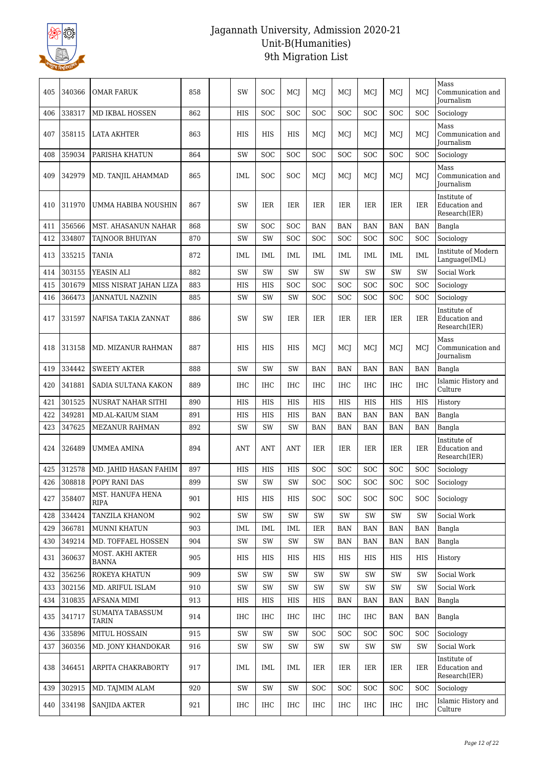

| 405 | 340366 | OMAR FARUK                       | 858 | SW            | <b>SOC</b> | MCI        | MCI        | MCI        | MCI        | MCI        | MCI        | Mass<br>Communication and<br><b>Journalism</b> |
|-----|--------|----------------------------------|-----|---------------|------------|------------|------------|------------|------------|------------|------------|------------------------------------------------|
| 406 | 338317 | MD IKBAL HOSSEN                  | 862 | <b>HIS</b>    | <b>SOC</b> | SOC        | <b>SOC</b> | SOC        | SOC        | SOC        | SOC        | Sociology                                      |
| 407 | 358115 | <b>LATA AKHTER</b>               | 863 | <b>HIS</b>    | <b>HIS</b> | <b>HIS</b> | MCJ        | MCJ        | MCJ        | MCJ        | MCI        | Mass<br>Communication and<br><b>Journalism</b> |
| 408 | 359034 | PARISHA KHATUN                   | 864 | SW            | SOC        | SOC        | SOC        | SOC        | SOC        | SOC        | SOC        | Sociology                                      |
| 409 | 342979 | MD. TANJIL AHAMMAD               | 865 | IML           | <b>SOC</b> | <b>SOC</b> | MCI        | MCJ        | MCJ        | MCJ        | MCI        | Mass<br>Communication and<br><b>Journalism</b> |
| 410 | 311970 | UMMA HABIBA NOUSHIN              | 867 | <b>SW</b>     | <b>IER</b> | <b>IER</b> | <b>IER</b> | <b>IER</b> | <b>IER</b> | <b>IER</b> | IER        | Institute of<br>Education and<br>Research(IER) |
| 411 | 356566 | MST. AHASANUN NAHAR              | 868 | <b>SW</b>     | <b>SOC</b> | SOC        | <b>BAN</b> | <b>BAN</b> | <b>BAN</b> | <b>BAN</b> | <b>BAN</b> | Bangla                                         |
| 412 | 334807 | TAJNOOR BHUIYAN                  | 870 | SW            | SW         | <b>SOC</b> | SOC        | SOC        | SOC        | <b>SOC</b> | <b>SOC</b> | Sociology                                      |
| 413 | 335215 | <b>TANIA</b>                     | 872 | <b>IML</b>    | <b>IML</b> | <b>IML</b> | <b>IML</b> | IML        | <b>IML</b> | <b>IML</b> | IML        | Institute of Modern<br>Language(IML)           |
| 414 | 303155 | YEASIN ALI                       | 882 | SW            | <b>SW</b>  | SW         | <b>SW</b>  | SW         | <b>SW</b>  | SW         | SW         | Social Work                                    |
| 415 | 301679 | MISS NISRAT JAHAN LIZA           | 883 | HIS           | HIS        | <b>SOC</b> | <b>SOC</b> | <b>SOC</b> | SOC        | <b>SOC</b> | SOC        | Sociology                                      |
| 416 | 366473 | <b>JANNATUL NAZNIN</b>           | 885 | SW            | SW         | SW         | SOC        | SOC        | SOC        | <b>SOC</b> | SOC        | Sociology                                      |
| 417 | 331597 | NAFISA TAKIA ZANNAT              | 886 | <b>SW</b>     | SW         | <b>IER</b> | <b>IER</b> | <b>IER</b> | <b>IER</b> | <b>IER</b> | IER        | Institute of<br>Education and<br>Research(IER) |
| 418 | 313158 | MD. MIZANUR RAHMAN               | 887 | <b>HIS</b>    | <b>HIS</b> | HIS        | MCJ        | MCJ        | MCI        | MCJ        | MCI        | Mass<br>Communication and<br>Journalism        |
| 419 | 334442 | <b>SWEETY AKTER</b>              | 888 | SW            | <b>SW</b>  | SW         | <b>BAN</b> | <b>BAN</b> | <b>BAN</b> | <b>BAN</b> | <b>BAN</b> | Bangla                                         |
| 420 | 341881 | SADIA SULTANA KAKON              | 889 | IHC           | <b>IHC</b> | IHC        | IHC        | IHC        | <b>IHC</b> | IHC        | <b>IHC</b> | Islamic History and<br>Culture                 |
| 421 | 301525 | NUSRAT NAHAR SITHI               | 890 | HIS           | <b>HIS</b> | HIS        | <b>HIS</b> | HIS        | <b>HIS</b> | <b>HIS</b> | HIS        | History                                        |
| 422 | 349281 | <b>MD.AL-KAIUM SIAM</b>          | 891 | HIS           | <b>HIS</b> | <b>HIS</b> | <b>BAN</b> | <b>BAN</b> | <b>BAN</b> | <b>BAN</b> | <b>BAN</b> | Bangla                                         |
| 423 | 347625 | MEZANUR RAHMAN                   | 892 | SW            | SW         | SW         | <b>BAN</b> | <b>BAN</b> | BAN        | BAN        | <b>BAN</b> | Bangla                                         |
| 424 | 326489 | <b>UMMEA AMINA</b>               | 894 | <b>ANT</b>    | ANT        | <b>ANT</b> | IER        | IER        | IER        | IER        | IER        | Institute of<br>Education and<br>Research(IER) |
| 425 | 312578 | MD. JAHID HASAN FAHIM            | 897 | HIS           | HIS        | <b>HIS</b> | <b>SOC</b> | SOC        | SOC        | SOC        | <b>SOC</b> | Sociology                                      |
| 426 | 308818 | POPY RANI DAS                    | 899 | SW            | <b>SW</b>  | SW         | <b>SOC</b> | <b>SOC</b> | <b>SOC</b> | SOC        | <b>SOC</b> | Sociology                                      |
| 427 | 358407 | MST. HANUFA HENA<br>RIPA         | 901 | <b>HIS</b>    | HIS        | HIS        | <b>SOC</b> | <b>SOC</b> | <b>SOC</b> | SOC        | <b>SOC</b> | Sociology                                      |
| 428 | 334424 | TANZILA KHANOM                   | 902 | SW            | SW         | SW         | SW         | SW         | SW         | SW         | SW         | Social Work                                    |
| 429 | 366781 | <b>MUNNI KHATUN</b>              | 903 | <b>IML</b>    | IML        | IML        | IER        | <b>BAN</b> | <b>BAN</b> | <b>BAN</b> | <b>BAN</b> | Bangla                                         |
| 430 | 349214 | MD. TOFFAEL HOSSEN               | 904 | SW            | SW         | SW         | SW         | <b>BAN</b> | <b>BAN</b> | <b>BAN</b> | <b>BAN</b> | Bangla                                         |
| 431 | 360637 | MOST. AKHI AKTER<br>BANNA        | 905 | HIS           | HIS        | HIS        | HIS        | HIS        | HIS        | HIS        | HIS        | History                                        |
| 432 | 356256 | ROKEYA KHATUN                    | 909 | SW            | SW         | SW         | SW         | SW         | SW         | SW         | SW         | Social Work                                    |
| 433 | 302156 | MD. ARIFUL ISLAM                 | 910 | SW            | SW         | SW         | SW         | SW         | SW         | SW         | SW         | Social Work                                    |
| 434 | 310835 | AFSANA MIMI                      | 913 | HIS           | HIS        | HIS        | HIS        | <b>BAN</b> | <b>BAN</b> | <b>BAN</b> | <b>BAN</b> | Bangla                                         |
| 435 | 341717 | SUMAIYA TABASSUM<br><b>TARIN</b> | 914 | IHC           | IHC        | IHC        | IHC        | IHC        | IHC        | <b>BAN</b> | BAN        | Bangla                                         |
| 436 | 335896 | MITUL HOSSAIN                    | 915 | SW            | SW         | SW         | <b>SOC</b> | <b>SOC</b> | SOC        | <b>SOC</b> | <b>SOC</b> | Sociology                                      |
| 437 | 360356 | MD. JONY KHANDOKAR               | 916 | SW            | SW         | SW         | SW         | SW         | SW         | SW         | SW         | Social Work                                    |
| 438 | 346451 | ARPITA CHAKRABORTY               | 917 | <b>IML</b>    | IML        | IML        | IER        | IER        | IER        | IER        | IER        | Institute of<br>Education and<br>Research(IER) |
| 439 | 302915 | MD. TAJMIM ALAM                  | 920 | $\mathrm{SW}$ | SW         | SW         | <b>SOC</b> | SOC        | SOC        | SOC        | <b>SOC</b> | Sociology                                      |
| 440 | 334198 | <b>SANJIDA AKTER</b>             | 921 | IHC           | IHC        | IHC        | IHC        | IHC        | IHC        | IHC        | <b>IHC</b> | Islamic History and<br>Culture                 |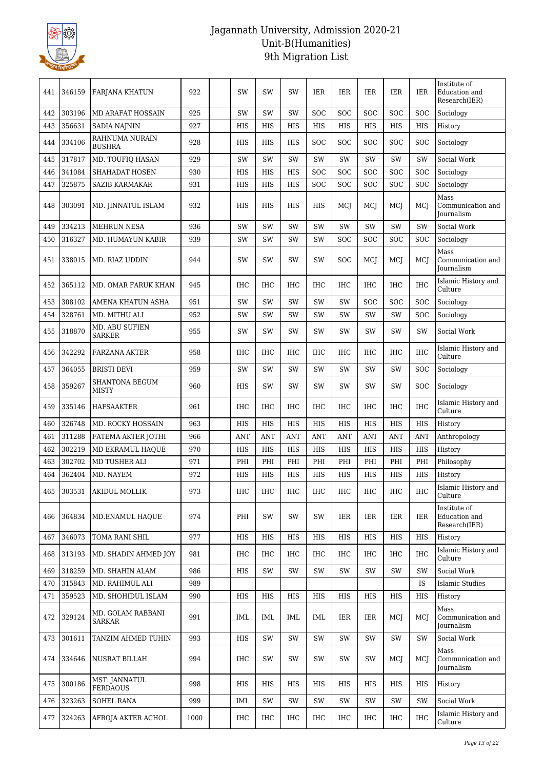

| 441 | 346159 | <b>FARJANA KHATUN</b>              | 922  | SW         | SW         | SW         | IER        | IER        | IER        | <b>IER</b> | <b>IER</b> | Institute of<br>Education and<br>Research(IER) |
|-----|--------|------------------------------------|------|------------|------------|------------|------------|------------|------------|------------|------------|------------------------------------------------|
| 442 | 303196 | <b>MD ARAFAT HOSSAIN</b>           | 925  | <b>SW</b>  | SW         | <b>SW</b>  | SOC        | SOC        | SOC        | SOC        | SOC        | Sociology                                      |
| 443 | 356631 | SADIA NAJNIN                       | 927  | <b>HIS</b> | HIS        | HIS        | <b>HIS</b> | <b>HIS</b> | <b>HIS</b> | <b>HIS</b> | <b>HIS</b> | History                                        |
| 444 | 334106 | RAHNUMA NURAIN<br><b>BUSHRA</b>    | 928  | HIS        | HIS        | HIS        | SOC        | SOC        | SOC        | SOC        | SOC        | Sociology                                      |
| 445 | 317817 | MD. TOUFIQ HASAN                   | 929  | SW         | SW         | SW         | <b>SW</b>  | SW         | <b>SW</b>  | SW         | SW         | Social Work                                    |
| 446 | 341084 | SHAHADAT HOSEN                     | 930  | HIS        | HIS        | HIS        | SOC        | <b>SOC</b> | SOC        | SOC        | SOC        | Sociology                                      |
| 447 | 325875 | <b>SAZIB KARMAKAR</b>              | 931  | HIS        | HIS        | HIS        | SOC        | <b>SOC</b> | SOC        | <b>SOC</b> | SOC        | Sociology                                      |
| 448 | 303091 | MD. JINNATUL ISLAM                 | 932  | HIS        | HIS        | HIS        | HIS        | MCJ        | MCJ        | MCJ        | MCI        | Mass<br>Communication and<br><b>Journalism</b> |
| 449 | 334213 | <b>MEHRUN NESA</b>                 | 936  | SW         | SW         | <b>SW</b>  | SW         | SW         | <b>SW</b>  | SW         | SW         | Social Work                                    |
| 450 | 316327 | MD. HUMAYUN KABIR                  | 939  | SW         | SW         | <b>SW</b>  | SW         | <b>SOC</b> | SOC        | SOC        | SOC        | Sociology                                      |
| 451 | 338015 | MD. RIAZ UDDIN                     | 944  | SW         | SW         | SW         | SW         | <b>SOC</b> | MCJ        | MCJ        | MCI        | Mass<br>Communication and<br>Journalism        |
| 452 | 365112 | MD. OMAR FARUK KHAN                | 945  | <b>IHC</b> | <b>IHC</b> | <b>IHC</b> | <b>IHC</b> | <b>IHC</b> | <b>IHC</b> | <b>IHC</b> | <b>IHC</b> | Islamic History and<br>Culture                 |
| 453 | 308102 | AMENA KHATUN ASHA                  | 951  | SW         | SW         | SW         | <b>SW</b>  | SW         | SOC        | SOC        | SOC        | Sociology                                      |
| 454 | 328761 | MD. MITHU ALI                      | 952  | SW         | SW         | SW         | SW         | <b>SW</b>  | <b>SW</b>  | SW         | SOC        | Sociology                                      |
| 455 | 318870 | MD. ABU SUFIEN<br>SARKER           | 955  | SW         | SW         | SW         | SW         | <b>SW</b>  | SW         | SW         | SW         | Social Work                                    |
| 456 | 342292 | FARZANA AKTER                      | 958  | <b>IHC</b> | <b>IHC</b> | <b>IHC</b> | <b>IHC</b> | <b>IHC</b> | IHC        | <b>IHC</b> | <b>IHC</b> | Islamic History and<br>Culture                 |
| 457 | 364055 | BRISTI DEVI                        | 959  | SW         | <b>SW</b>  | <b>SW</b>  | SW         | <b>SW</b>  | SW         | SW         | <b>SOC</b> | Sociology                                      |
| 458 | 359267 | SHANTONA BEGUM<br>MISTY            | 960  | HIS        | <b>SW</b>  | SW         | SW         | <b>SW</b>  | <b>SW</b>  | SW         | <b>SOC</b> | Sociology                                      |
| 459 | 335146 | <b>HAFSAAKTER</b>                  | 961  | <b>IHC</b> | <b>IHC</b> | <b>IHC</b> | <b>IHC</b> | <b>IHC</b> | <b>IHC</b> | <b>IHC</b> | <b>IHC</b> | Islamic History and<br>Culture                 |
| 460 | 326748 | <b>MD. ROCKY HOSSAIN</b>           | 963  | HIS        | HIS        | HIS        | HIS        | <b>HIS</b> | <b>HIS</b> | <b>HIS</b> | <b>HIS</b> | History                                        |
| 461 | 311288 | FATEMA AKTER JOTHI                 | 966  | <b>ANT</b> | <b>ANT</b> | <b>ANT</b> | <b>ANT</b> | <b>ANT</b> | <b>ANT</b> | <b>ANT</b> | <b>ANT</b> | Anthropology                                   |
| 462 | 302219 | MD EKRAMUL HAQUE                   | 970  | HIS        | HIS        | HIS        | HIS        | HIS        | <b>HIS</b> | <b>HIS</b> | <b>HIS</b> | History                                        |
| 463 | 302702 | MD TUSHER ALI                      | 971  | PHI        | PHI        | PHI        | PHI        | PHI        | PHI        | PHI        | PHI        | Philosophy                                     |
| 464 | 362404 | MD. NAYEM                          | 972  | <b>HIS</b> | <b>HIS</b> | <b>HIS</b> | <b>HIS</b> | <b>HIS</b> | <b>HIS</b> | <b>HIS</b> | HIS        | History                                        |
| 465 | 303531 | AKIDUL MOLLIK                      | 973  | IHC        | IHC        | IHC        | IHC        | IHC        | IHC        | IHC        | IHC        | Islamic History and<br>Culture                 |
| 466 | 364834 | MD.ENAMUL HAQUE                    | 974  | PHI        | <b>SW</b>  | SW         | SW         | IER        | IER        | IER        | IER        | Institute of<br>Education and<br>Research(IER) |
| 467 | 346073 | TOMA RANI SHIL                     | 977  | <b>HIS</b> | <b>HIS</b> | HIS        | HIS        | <b>HIS</b> | <b>HIS</b> | <b>HIS</b> | <b>HIS</b> | History                                        |
| 468 | 313193 | MD. SHADIN AHMED JOY               | 981  | IHC        | <b>IHC</b> | <b>IHC</b> | <b>IHC</b> | IHC        | <b>IHC</b> | <b>IHC</b> | <b>IHC</b> | Islamic History and<br>Culture                 |
| 469 | 318259 | MD. SHAHIN ALAM                    | 986  | HIS        | SW         | SW         | SW         | SW         | SW         | SW         | SW         | Social Work                                    |
| 470 | 315843 | MD. RAHIMUL ALI                    | 989  |            |            |            |            |            |            |            | IS         | <b>Islamic Studies</b>                         |
| 471 | 359523 | MD. SHOHIDUL ISLAM                 | 990  | HIS        | HIS        | HIS        | HIS        | HIS        | <b>HIS</b> | HIS        | HIS        | History                                        |
| 472 | 329124 | MD. GOLAM RABBANI<br><b>SARKAR</b> | 991  | IML        | <b>IML</b> | IML        | IML        | IER        | <b>IER</b> | MCJ        | MCI        | Mass<br>Communication and<br><b>Journalism</b> |
| 473 | 301611 | TANZIM AHMED TUHIN                 | 993  | HIS        | SW         | SW         | SW         | SW         | SW         | SW         | SW         | Social Work                                    |
| 474 | 334646 | NUSRAT BILLAH                      | 994  | IHC        | SW         | SW         | SW         | SW         | SW         | MCI        | MCI        | Mass<br>Communication and<br><b>Journalism</b> |
| 475 | 300186 | MST. JANNATUL<br><b>FERDAOUS</b>   | 998  | HIS        | <b>HIS</b> | HIS        | HIS        | HIS        | HIS        | HIS        | HIS        | History                                        |
| 476 | 323263 | SOHEL RANA                         | 999  | IML        | SW         | SW         | SW         | SW         | SW         | SW         | SW         | Social Work                                    |
| 477 | 324263 | AFROJA AKTER ACHOL                 | 1000 | IHC        | IHC        | IHC        | IHC        | IHC        | IHC        | IHC        | <b>IHC</b> | Islamic History and<br>Culture                 |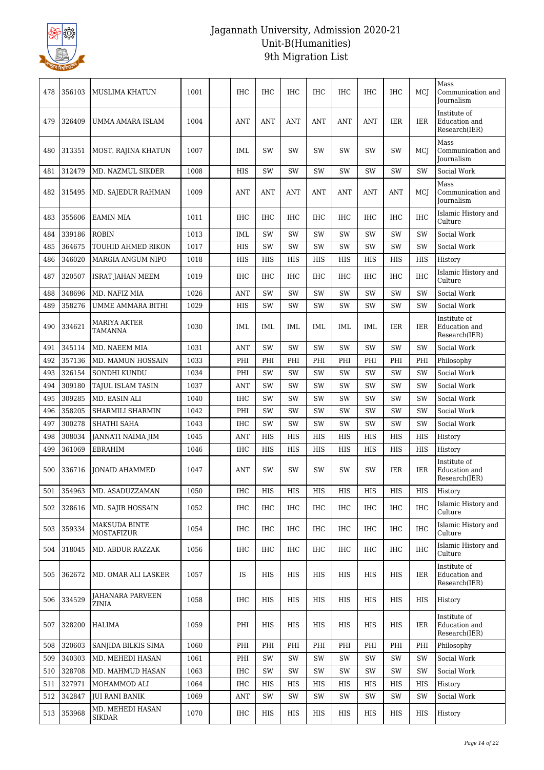

| 478 | 356103 | MUSLIMA KHATUN                          | 1001 | IHC        | IHC        | IHC        | IHC        | IHC        | <b>IHC</b> | <b>IHC</b> | MCI        | Mass<br>Communication and<br>Journalism        |
|-----|--------|-----------------------------------------|------|------------|------------|------------|------------|------------|------------|------------|------------|------------------------------------------------|
| 479 | 326409 | UMMA AMARA ISLAM                        | 1004 | <b>ANT</b> | ANT        | <b>ANT</b> | <b>ANT</b> | <b>ANT</b> | ANT        | <b>IER</b> | <b>IER</b> | Institute of<br>Education and<br>Research(IER) |
| 480 | 313351 | MOST. RAJINA KHATUN                     | 1007 | <b>IML</b> | SW         | SW         | <b>SW</b>  | <b>SW</b>  | SW         | SW         | MCI        | Mass<br>Communication and<br>Journalism        |
| 481 | 312479 | MD. NAZMUL SIKDER                       | 1008 | HIS        | SW         | <b>SW</b>  | SW         | <b>SW</b>  | SW         | SW         | SW         | Social Work                                    |
| 482 | 315495 | MD. SAJEDUR RAHMAN                      | 1009 | ANT        | ANT        | ANT        | ANT        | ANT        | <b>ANT</b> | <b>ANT</b> | MCI        | Mass<br>Communication and<br><b>Journalism</b> |
| 483 | 355606 | <b>EAMIN MIA</b>                        | 1011 | <b>IHC</b> | <b>IHC</b> | <b>IHC</b> | <b>IHC</b> | <b>IHC</b> | <b>IHC</b> | <b>IHC</b> | <b>IHC</b> | Islamic History and<br>Culture                 |
| 484 | 339186 | <b>ROBIN</b>                            | 1013 | <b>IML</b> | SW         | SW         | SW         | SW         | SW         | SW         | SW         | Social Work                                    |
| 485 | 364675 | TOUHID AHMED RIKON                      | 1017 | HIS        | SW         | SW         | SW         | SW         | SW         | SW         | SW         | Social Work                                    |
| 486 | 346020 | MARGIA ANGUM NIPO                       | 1018 | HIS        | HIS        | HIS        | HIS        | HIS        | HIS        | HIS        | HIS        | History                                        |
| 487 | 320507 | <b>ISRAT JAHAN MEEM</b>                 | 1019 | <b>IHC</b> | IHC        | <b>IHC</b> | <b>IHC</b> | IHC        | <b>IHC</b> | <b>IHC</b> | <b>IHC</b> | Islamic History and<br>Culture                 |
| 488 | 348696 | MD. NAFIZ MIA                           | 1026 | <b>ANT</b> | SW         | SW         | SW         | SW         | SW         | SW         | SW         | Social Work                                    |
| 489 | 358276 | UMME AMMARA BITHI                       | 1029 | HIS        | SW         | SW         | SW         | <b>SW</b>  | SW         | SW         | SW         | Social Work                                    |
| 490 | 334621 | MARIYA AKTER<br>TAMANNA                 | 1030 | <b>IML</b> | IML        | IML        | <b>IML</b> | <b>IML</b> | IML        | <b>IER</b> | <b>IER</b> | Institute of<br>Education and<br>Research(IER) |
| 491 | 345114 | MD. NAEEM MIA                           | 1031 | ANT        | SW         | SW         | <b>SW</b>  | <b>SW</b>  | SW         | SW         | SW         | Social Work                                    |
| 492 | 357136 | MD. MAMUN HOSSAIN                       | 1033 | PHI        | PHI        | PHI        | PHI        | PHI        | PHI        | PHI        | PHI        | Philosophy                                     |
| 493 | 326154 | SONDHI KUNDU                            | 1034 | PHI        | SW         | SW         | SW         | SW         | SW         | SW         | SW         | Social Work                                    |
| 494 | 309180 | TAJUL ISLAM TASIN                       | 1037 | ANT        | <b>SW</b>  | SW         | SW         | SW         | SW         | SW         | <b>SW</b>  | Social Work                                    |
| 495 | 309285 | MD. EASIN ALI                           | 1040 | <b>IHC</b> | SW         | SW         | SW         | <b>SW</b>  | SW         | SW         | SW         | Social Work                                    |
| 496 | 358205 | SHARMILI SHARMIN                        | 1042 | PHI        | SW         | SW         | <b>SW</b>  | <b>SW</b>  | SW         | SW         | SW         | Social Work                                    |
| 497 | 300278 | SHATHI SAHA                             | 1043 | <b>IHC</b> | SW         | SW         | SW         | SW         | SW         | SW         | SW         | Social Work                                    |
| 498 | 308034 | JANNATI NAIMA JIM                       | 1045 | <b>ANT</b> | HIS        | HIS        | HIS        | HIS        | <b>HIS</b> | <b>HIS</b> | <b>HIS</b> | History                                        |
| 499 | 361069 | EBRAHIM                                 | 1046 | <b>IHC</b> | HIS        | HIS        | HIS        | <b>HIS</b> | <b>HIS</b> | <b>HIS</b> | <b>HIS</b> | History                                        |
| 500 | 336716 | JONAID AHAMMED                          | 1047 | ANT        | <b>SW</b>  | SW         | <b>SW</b>  | <b>SW</b>  | SW         | IER        | <b>IER</b> | Institute of<br>Education and<br>Research(IER) |
| 501 | 354963 | MD. ASADUZZAMAN                         | 1050 | <b>IHC</b> | HIS        | HIS        | HIS        | HIS        | HIS        | HIS        | <b>HIS</b> | History                                        |
| 502 | 328616 | MD. SAJIB HOSSAIN                       | 1052 | <b>IHC</b> | <b>IHC</b> | <b>IHC</b> | <b>IHC</b> | IHC        | <b>IHC</b> | <b>IHC</b> | IHC        | Islamic History and<br>Culture                 |
| 503 | 359334 | <b>MAKSUDA BINTE</b><br>MOSTAFIZUR      | 1054 | <b>IHC</b> | IHC        | IHC        | IHC        | IHC        | <b>IHC</b> | IHC        | <b>IHC</b> | Islamic History and<br>Culture                 |
| 504 | 318045 | MD. ABDUR RAZZAK                        | 1056 | IHC        | IHC        | IHC        | IHC        | IHC        | IHC        | IHC        | IHC        | Islamic History and<br>Culture                 |
| 505 | 362672 | MD. OMAR ALI LASKER                     | 1057 | IS         | HIS        | HIS        | HIS        | HIS        | HIS        | HIS        | IER        | Institute of<br>Education and<br>Research(IER) |
| 506 | 334529 | <b>JAHANARA PARVEEN</b><br><b>ZINIA</b> | 1058 | <b>IHC</b> | HIS        | HIS        | HIS        | HIS        | HIS        | HIS        | HIS        | History                                        |
| 507 | 328200 | <b>HALIMA</b>                           | 1059 | PHI        | HIS        | HIS        | HIS        | HIS        | HIS        | HIS        | IER        | Institute of<br>Education and<br>Research(IER) |
| 508 | 320603 | SANJIDA BILKIS SIMA                     | 1060 | PHI        | PHI        | PHI        | PHI        | PHI        | PHI        | PHI        | PHI        | Philosophy                                     |
| 509 | 340303 | MD. MEHEDI HASAN                        | 1061 | PHI        | SW         | SW         | SW         | SW         | SW         | SW         | SW         | Social Work                                    |
| 510 | 328708 | MD. MAHMUD HASAN                        | 1063 | <b>IHC</b> | SW         | SW         | SW         | SW         | SW         | SW         | SW         | Social Work                                    |
| 511 | 327971 | MOHAMMOD ALI                            | 1064 | <b>IHC</b> | HIS        | HIS        | HIS        | HIS        | HIS        | HIS        | HIS        | History                                        |
| 512 | 342847 | <b>JUI RANI BANIK</b>                   | 1069 | ANT        | SW         | SW         | SW         | SW         | SW         | SW         | SW         | Social Work                                    |
| 513 | 353968 | MD. MEHEDI HASAN<br>SIKDAR              | 1070 | IHC        | HIS        | HIS        | HIS        | HIS        | HIS        | HIS        | HIS        | History                                        |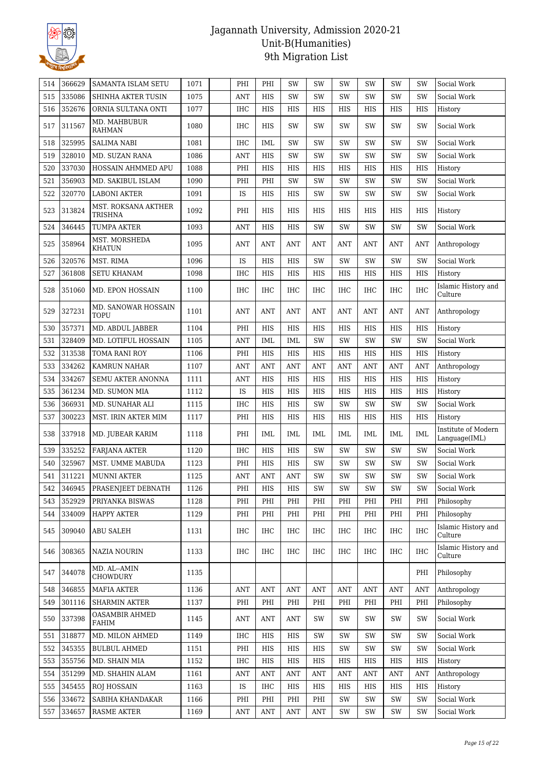

| 514 | 366629 | SAMANTA ISLAM SETU                 | 1071 | PHI        | PHI        | <b>SW</b>  | <b>SW</b>  | <b>SW</b>  | SW         | <b>SW</b>  | SW         | Social Work                          |
|-----|--------|------------------------------------|------|------------|------------|------------|------------|------------|------------|------------|------------|--------------------------------------|
| 515 | 335086 | SHINHA AKTER TUSIN                 | 1075 | ANT        | HIS        | SW         | SW         | SW         | <b>SW</b>  | SW         | SW         | Social Work                          |
| 516 | 352676 | ORNIA SULTANA ONTI                 | 1077 | <b>IHC</b> | HIS        | HIS        | HIS        | HIS        | HIS        | HIS        | <b>HIS</b> | History                              |
| 517 | 311567 | MD. MAHBUBUR<br><b>RAHMAN</b>      | 1080 | IHC        | <b>HIS</b> | <b>SW</b>  | SW         | <b>SW</b>  | <b>SW</b>  | <b>SW</b>  | SW         | Social Work                          |
| 518 | 325995 | <b>SALIMA NABI</b>                 | 1081 | IHC        | IML        | <b>SW</b>  | SW         | <b>SW</b>  | <b>SW</b>  | <b>SW</b>  | SW         | Social Work                          |
| 519 | 328010 | MD. SUZAN RANA                     | 1086 | ANT        | HIS        | SW         | SW         | SW         | SW         | SW         | SW         | Social Work                          |
| 520 | 337030 | HOSSAIN AHMMED APU                 | 1088 | PHI        | HIS        | HIS        | HIS        | HIS        | HIS        | <b>HIS</b> | HIS        | History                              |
| 521 | 356903 | MD. SAKIBUL ISLAM                  | 1090 | PHI        | PHI        | SW         | <b>SW</b>  | <b>SW</b>  | <b>SW</b>  | SW         | SW         | Social Work                          |
| 522 | 320770 | <b>LABONI AKTER</b>                | 1091 | IS         | HIS        | HIS        | SW         | SW         | SW         | SW         | SW         | Social Work                          |
| 523 | 313824 | MST. ROKSANA AKTHER<br>TRISHNA     | 1092 | PHI        | HIS        | HIS        | HIS        | HIS        | HIS        | HIS        | HIS        | History                              |
| 524 | 346445 | <b>TUMPA AKTER</b>                 | 1093 | <b>ANT</b> | HIS        | HIS        | <b>SW</b>  | <b>SW</b>  | <b>SW</b>  | SW         | SW         | Social Work                          |
| 525 | 358964 | MST. MORSHEDA<br><b>KHATUN</b>     | 1095 | ANT        | ANT        | ANT        | ANT        | ANT        | <b>ANT</b> | ANT        | <b>ANT</b> | Anthropology                         |
| 526 | 320576 | MST. RIMA                          | 1096 | IS         | HIS        | HIS        | SW         | SW         | SW         | SW         | SW         | Social Work                          |
| 527 | 361808 | <b>SETU KHANAM</b>                 | 1098 | <b>IHC</b> | HIS        | HIS        | HIS        | HIS        | HIS        | HIS        | <b>HIS</b> | History                              |
| 528 | 351060 | MD. EPON HOSSAIN                   | 1100 | <b>IHC</b> | <b>IHC</b> | <b>IHC</b> | IHC        | <b>IHC</b> | IHC        | IHC        | <b>IHC</b> | Islamic History and<br>Culture       |
| 529 | 327231 | MD. SANOWAR HOSSAIN<br><b>TOPU</b> | 1101 | <b>ANT</b> | <b>ANT</b> | <b>ANT</b> | ANT        | <b>ANT</b> | <b>ANT</b> | ANT        | ANT        | Anthropology                         |
| 530 | 357371 | MD. ABDUL JABBER                   | 1104 | PHI        | HIS        | HIS        | HIS        | HIS        | HIS        | HIS        | <b>HIS</b> | History                              |
| 531 | 328409 | MD. LOTIFUL HOSSAIN                | 1105 | ANT        | IML        | IML        | SW         | <b>SW</b>  | <b>SW</b>  | <b>SW</b>  | SW         | Social Work                          |
| 532 | 313538 | TOMA RANI ROY                      | 1106 | PHI        | HIS        | HIS        | HIS        | HIS        | <b>HIS</b> | <b>HIS</b> | HIS        | History                              |
| 533 | 334262 | <b>KAMRUN NAHAR</b>                | 1107 | <b>ANT</b> | <b>ANT</b> | <b>ANT</b> | <b>ANT</b> | <b>ANT</b> | <b>ANT</b> | <b>ANT</b> | <b>ANT</b> | Anthropology                         |
| 534 | 334267 | <b>SEMU AKTER ANONNA</b>           | 1111 | ANT        | HIS        | HIS        | HIS        | HIS        | HIS        | HIS        | HIS        | History                              |
| 535 | 361234 | MD. SUMON MIA                      | 1112 | IS         | HIS        | HIS        | HIS        | HIS        | HIS        | <b>HIS</b> | HIS        | History                              |
| 536 | 366931 | MD. SUNAHAR ALI                    | 1115 | <b>IHC</b> | <b>HIS</b> | HIS        | SW         | SW         | SW         | SW         | SW         | Social Work                          |
| 537 | 300223 | MST. IRIN AKTER MIM                | 1117 | PHI        | HIS        | HIS        | HIS        | HIS        | HIS        | HIS        | HIS        | History                              |
| 538 | 337918 | MD. JUBEAR KARIM                   | 1118 | PHI        | IML        | IML        | IML        | IML        | IML        | IML        | IML        | Institute of Modern<br>Language(IML) |
| 539 | 335252 | <b>FARJANA AKTER</b>               | 1120 | IHC        | HIS        | HIS        | <b>SW</b>  | <b>SW</b>  | <b>SW</b>  | <b>SW</b>  | SW         | Social Work                          |
| 540 | 325967 | MST. UMME MABUDA                   | 1123 | PHI        | HIS        | <b>HIS</b> | SW         | SW         | SW         | SW         | SW         | Social Work                          |
| 541 | 311221 | <b>MUNNI AKTER</b>                 | 1125 | <b>ANT</b> | <b>ANT</b> | <b>ANT</b> | SW         | SW         | SW         | SW         | SW         | Social Work                          |
| 542 | 346945 | PRASENJEET DEBNATH                 | 1126 | PHI        | HIS        | HIS        | SW         | SW         | SW         | SW         | SW         | Social Work                          |
| 543 | 352929 | PRIYANKA BISWAS                    | 1128 | PHI        | PHI        | PHI        | PHI        | PHI        | PHI        | PHI        | PHI        | Philosophy                           |
| 544 | 334009 | <b>HAPPY AKTER</b>                 | 1129 | PHI        | PHI        | PHI        | PHI        | PHI        | PHI        | PHI        | PHI        | Philosophy                           |
| 545 | 309040 | <b>ABU SALEH</b>                   | 1131 | <b>IHC</b> | <b>IHC</b> | <b>IHC</b> | IHC        | IHC        | IHC        | IHC        | <b>IHC</b> | Islamic History and<br>Culture       |
| 546 | 308365 | NAZIA NOURIN                       | 1133 | IHC        | IHC        | IHC        | IHC        | IHC        | IHC        | IHC        | IHC        | Islamic History and<br>Culture       |
| 547 | 344078 | MD. AL--AMIN<br><b>CHOWDURY</b>    | 1135 |            |            |            |            |            |            |            | PHI        | Philosophy                           |
| 548 | 346855 | <b>MAFIA AKTER</b>                 | 1136 | <b>ANT</b> | <b>ANT</b> | <b>ANT</b> | <b>ANT</b> | <b>ANT</b> | <b>ANT</b> | <b>ANT</b> | <b>ANT</b> | Anthropology                         |
| 549 | 301116 | <b>SHARMIN AKTER</b>               | 1137 | PHI        | PHI        | PHI        | PHI        | PHI        | PHI        | PHI        | PHI        | Philosophy                           |
| 550 | 337398 | OASAMBIR AHMED<br>FAHIM            | 1145 | ANT        | ANT        | ANT        | SW         | SW         | SW         | SW         | SW         | Social Work                          |
| 551 | 318877 | MD. MILON AHMED                    | 1149 | <b>IHC</b> | HIS        | HIS        | SW         | SW         | SW         | SW         | SW         | Social Work                          |
| 552 | 345355 | <b>BULBUL AHMED</b>                | 1151 | PHI        | HIS        | HIS        | HIS        | SW         | SW         | SW         | SW         | Social Work                          |
| 553 | 355756 | MD. SHAIN MIA                      | 1152 | IHC        | HIS        | HIS        | HIS        | HIS        | HIS        | HIS        | HIS        | History                              |
| 554 | 351299 | MD. SHAHIN ALAM                    | 1161 | ANT        | ANT        | ANT        | ANT        | ANT        | ANT        | <b>ANT</b> | ANT        | Anthropology                         |
| 555 | 345455 | <b>ROJ HOSSAIN</b>                 | 1163 | IS         | IHC        | HIS        | HIS        | HIS        | HIS        | HIS        | HIS        | History                              |
| 556 | 334672 | SABIHA KHANDAKAR                   | 1166 | PHI        | PHI        | PHI        | PHI        | SW         | SW         | SW         | SW         | Social Work                          |
| 557 | 334657 | <b>RASME AKTER</b>                 | 1169 | <b>ANT</b> | <b>ANT</b> | <b>ANT</b> | <b>ANT</b> | SW         | SW         | SW         | SW         | Social Work                          |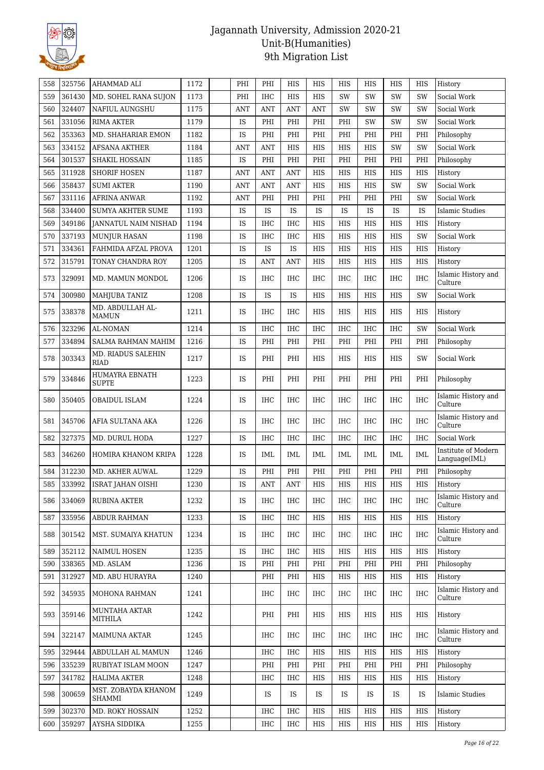

| 558 | 325756 | AHAMMAD ALI                       | 1172 | PHI        | PHI        | HIS            | HIS        | HIS          | HIS        | HIS        | HIS        | History                              |
|-----|--------|-----------------------------------|------|------------|------------|----------------|------------|--------------|------------|------------|------------|--------------------------------------|
| 559 | 361430 | MD. SOHEL RANA SUJON              | 1173 | PHI        | <b>IHC</b> | <b>HIS</b>     | <b>HIS</b> | SW           | SW         | SW         | SW         | Social Work                          |
| 560 | 324407 | <b>NAFIUL AUNGSHU</b>             | 1175 | ANT        | ANT        | ANT            | <b>ANT</b> | SW           | SW         | <b>SW</b>  | SW         | Social Work                          |
| 561 | 331056 | <b>RIMA AKTER</b>                 | 1179 | IS         | PHI        | PHI            | PHI        | PHI          | SW         | <b>SW</b>  | SW         | Social Work                          |
| 562 | 353363 | MD. SHAHARIAR EMON                | 1182 | IS         | PHI        | PHI            | PHI        | PHI          | PHI        | PHI        | PHI        | Philosophy                           |
| 563 | 334152 | <b>AFSANA AKTHER</b>              | 1184 | <b>ANT</b> | ANT        | HIS            | HIS        | HIS          | HIS        | SW         | SW         | Social Work                          |
| 564 | 301537 | <b>SHAKIL HOSSAIN</b>             | 1185 | IS         | PHI        | PHI            | PHI        | PHI          | PHI        | PHI        | PHI        | Philosophy                           |
| 565 | 311928 | <b>SHORIF HOSEN</b>               | 1187 | ANT        | <b>ANT</b> | <b>ANT</b>     | HIS        | HIS          | HIS        | HIS        | HIS        | History                              |
| 566 | 358437 | <b>SUMI AKTER</b>                 | 1190 | <b>ANT</b> | <b>ANT</b> | <b>ANT</b>     | HIS        | HIS          | HIS        | SW         | SW         | Social Work                          |
| 567 | 331116 | <b>AFRINA ANWAR</b>               | 1192 | <b>ANT</b> | PHI        | PHI            | PHI        | PHI          | PHI        | PHI        | SW         | Social Work                          |
| 568 | 334400 | <b>SUMYA AKHTER SUME</b>          | 1193 | IS         | <b>IS</b>  | IS             | <b>IS</b>  | IS           | <b>IS</b>  | IS         | IS         | Islamic Studies                      |
| 569 | 349186 | <b>JANNATUL NAIM NISHAD</b>       | 1194 | IS         | IHC        | <b>IHC</b>     | HIS        | HIS          | HIS        | HIS        | HIS        | History                              |
| 570 | 337193 | <b>MUNJUR HASAN</b>               | 1198 | IS         | IHC        | <b>IHC</b>     | HIS        | HIS          | HIS        | HIS        | SW         | Social Work                          |
| 571 | 334361 | FAHMIDA AFZAL PROVA               | 1201 | IS         | <b>IS</b>  | IS             | HIS        | <b>HIS</b>   | HIS        | <b>HIS</b> | <b>HIS</b> | History                              |
| 572 | 315791 | TONAY CHANDRA ROY                 | 1205 | IS         | ANT        | <b>ANT</b>     | HIS        | HIS          | HIS        | HIS        | HIS        | History                              |
| 573 | 329091 | MD. MAMUN MONDOL                  | 1206 | IS         | <b>IHC</b> | <b>IHC</b>     | <b>IHC</b> | IHC          | IHC        | <b>IHC</b> | <b>IHC</b> | Islamic History and<br>Culture       |
| 574 | 300980 | MAHJUBA TANIZ                     | 1208 | IS         | <b>IS</b>  | <b>IS</b>      | HIS        | <b>HIS</b>   | HIS        | HIS        | SW         | Social Work                          |
| 575 | 338378 | MD. ABDULLAH AL-<br><b>MAMUN</b>  | 1211 | IS         | IHC        | IHC            | HIS        | HIS          | HIS        | HIS        | HIS        | History                              |
| 576 | 323296 | AL-NOMAN                          | 1214 | IS         | <b>IHC</b> | IHC            | IHC        | IHC          | <b>IHC</b> | <b>IHC</b> | SW         | Social Work                          |
| 577 | 334894 | SALMA RAHMAN MAHIM                | 1216 | IS         | PHI        | PHI            | PHI        | PHI          | PHI        | PHI        | PHI        | Philosophy                           |
| 578 | 303343 | MD. RIADUS SALEHIN<br><b>RIAD</b> | 1217 | IS         | PHI        | PHI            | HIS        | <b>HIS</b>   | <b>HIS</b> | <b>HIS</b> | SW         | Social Work                          |
| 579 | 334846 | HUMAYRA EBNATH<br><b>SUPTE</b>    | 1223 | IS         | PHI        | PHI            | PHI        | PHI          | PHI        | PHI        | PHI        | Philosophy                           |
| 580 | 350405 | OBAIDUL ISLAM                     | 1224 | IS         | IHC        | IHC            | IHC        | IHC          | IHC        | <b>IHC</b> | <b>IHC</b> | Islamic History and<br>Culture       |
| 581 | 345706 | AFIA SULTANA AKA                  | 1226 | IS         | <b>IHC</b> | <b>IHC</b>     | IHC        | IHC          | <b>IHC</b> | <b>IHC</b> | <b>IHC</b> | Islamic History and<br>Culture       |
| 582 | 327375 | MD. DURUL HODA                    | 1227 | IS         | <b>IHC</b> | <b>IHC</b>     | <b>IHC</b> | <b>IHC</b>   | <b>IHC</b> | <b>IHC</b> | <b>IHC</b> | Social Work                          |
| 583 | 346260 | HOMIRA KHANOM KRIPA               | 1228 | IS         | IML        | IML            | IML        | IML          | IML        | <b>IML</b> | IML        | Institute of Modern<br>Language(IML) |
| 584 | 312230 | MD. AKHER AUWAL                   | 1229 | IS         | PHI        | PHI            | PHI        | PHI          | PHI        | PHI        | PHI        | Philosophy                           |
| 585 | 333992 | ISRAT JAHAN OISHI                 | 1230 | IS         | ANT        | $\mathbf{ANT}$ | HIS        | $_{\rm HIS}$ | HIS        | HIS        | HIS        | History                              |
| 586 | 334069 | RUBINA AKTER                      | 1232 | IS         | IHC        | IHC            | IHC        | IHC          | IHC        | IHC        | IHC        | Islamic History and<br>Culture       |
| 587 | 335956 | ABDUR RAHMAN                      | 1233 | IS         | IHC        | <b>IHC</b>     | HIS        | $_{\rm HIS}$ | HIS        | HIS        | HIS        | History                              |
| 588 | 301542 | MST. SUMAIYA KHATUN               | 1234 | IS         | IHC        | IHC            | IHC        | IHC          | IHC        | IHC        | IHC        | Islamic History and<br>Culture       |
| 589 | 352112 | NAIMUL HOSEN                      | 1235 | IS         | <b>IHC</b> | <b>IHC</b>     | HIS        | HIS          | HIS        | HIS        | HIS        | History                              |
| 590 | 338365 | MD. ASLAM                         | 1236 | IS         | PHI        | PHI            | PHI        | PHI          | PHI        | PHI        | PHI        | Philosophy                           |
| 591 | 312927 | MD. ABU HURAYRA                   | 1240 |            | PHI        | PHI            | HIS        | HIS          | HIS        | HIS        | HIS        | History                              |
| 592 | 345935 | MOHONA RAHMAN                     | 1241 |            | IHC        | IHC            | IHC        | IHC          | IHC        | IHC        | $\rm IHC$  | Islamic History and<br>Culture       |
| 593 | 359146 | MUNTAHA AKTAR<br>MITHILA          | 1242 |            | PHI        | PHI            | HIS        | HIS          | HIS        | HIS        | HIS        | History                              |
| 594 | 322147 | <b>MAIMUNA AKTAR</b>              | 1245 |            | <b>IHC</b> | <b>IHC</b>     | IHC        | IHC          | IHC        | <b>IHC</b> | IHC        | Islamic History and<br>Culture       |
| 595 | 329444 | ABDULLAH AL MAMUN                 | 1246 |            | IHC        | IHC            | HIS        | HIS          | HIS        | HIS        | HIS        | History                              |
| 596 | 335239 | RUBIYAT ISLAM MOON                | 1247 |            | PHI        | PHI            | PHI        | PHI          | PHI        | PHI        | PHI        | Philosophy                           |
| 597 | 341782 | HALIMA AKTER                      | 1248 |            | <b>IHC</b> | <b>IHC</b>     | HIS        | HIS          | HIS        | HIS        | HIS        | History                              |
| 598 | 300659 | MST. ZOBAYDA KHANOM<br>SHAMMI     | 1249 |            | IS.        | IS             | IS         | IS           | <b>IS</b>  | <b>IS</b>  | IS.        | <b>Islamic Studies</b>               |
| 599 | 302370 | MD. ROKY HOSSAIN                  | 1252 |            | IHC        | <b>IHC</b>     | HIS        | HIS          | HIS        | HIS        | HIS        | History                              |
| 600 | 359297 | AYSHA SIDDIKA                     | 1255 |            | IHC        | IHC            | HIS        | HIS          | HIS        | HIS        | HIS        | History                              |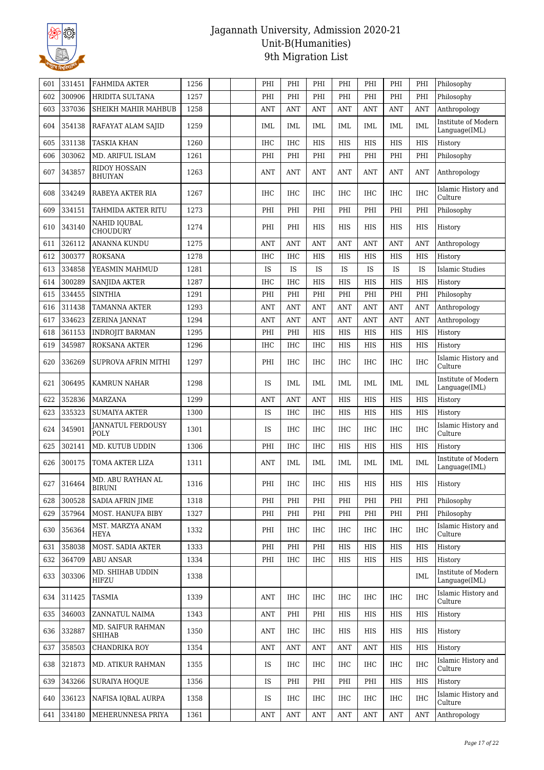

| 601 | 331451 | <b>FAHMIDA AKTER</b>               | 1256 |  | PHI        | PHI        | PHI            | PHI        | PHI          | PHI                              | PHI          | Philosophy                           |
|-----|--------|------------------------------------|------|--|------------|------------|----------------|------------|--------------|----------------------------------|--------------|--------------------------------------|
| 602 | 300906 | HRIDITA SULTANA                    | 1257 |  | PHI        | PHI        | PHI            | PHI        | PHI          | PHI                              | PHI          | Philosophy                           |
| 603 | 337036 | SHEIKH MAHIR MAHBUB                | 1258 |  | ANT        | ANT        | ANT            | ANT        | ANT          | <b>ANT</b>                       | <b>ANT</b>   | Anthropology                         |
| 604 | 354138 | RAFAYAT ALAM SAJID                 | 1259 |  | IML        | IML        | IML            | IML        | IML          | IML                              | IML          | Institute of Modern<br>Language(IML) |
| 605 | 331138 | TASKIA KHAN                        | 1260 |  | <b>IHC</b> | <b>IHC</b> | <b>HIS</b>     | <b>HIS</b> | <b>HIS</b>   | <b>HIS</b>                       | <b>HIS</b>   | History                              |
| 606 | 303062 | MD. ARIFUL ISLAM                   | 1261 |  | PHI        | PHI        | PHI            | PHI        | PHI          | PHI                              | PHI          | Philosophy                           |
| 607 | 343857 | RIDOY HOSSAIN<br><b>BHUIYAN</b>    | 1263 |  | ANT        | <b>ANT</b> | <b>ANT</b>     | <b>ANT</b> | ANT          | <b>ANT</b>                       | <b>ANT</b>   | Anthropology                         |
| 608 | 334249 | RABEYA AKTER RIA                   | 1267 |  | <b>IHC</b> | <b>IHC</b> | <b>IHC</b>     | <b>IHC</b> | <b>IHC</b>   | <b>IHC</b>                       | <b>IHC</b>   | Islamic History and<br>Culture       |
| 609 | 334151 | TAHMIDA AKTER RITU                 | 1273 |  | PHI        | PHI        | PHI            | PHI        | PHI          | PHI                              | PHI          | Philosophy                           |
| 610 | 343140 | NAHID IQUBAL<br><b>CHOUDURY</b>    | 1274 |  | PHI        | PHI        | <b>HIS</b>     | <b>HIS</b> | <b>HIS</b>   | <b>HIS</b>                       | <b>HIS</b>   | History                              |
| 611 | 326112 | ANANNA KUNDU                       | 1275 |  | ANT        | <b>ANT</b> | <b>ANT</b>     | <b>ANT</b> | ANT          | <b>ANT</b>                       | <b>ANT</b>   | Anthropology                         |
| 612 | 300377 | ROKSANA                            | 1278 |  | <b>IHC</b> | <b>IHC</b> | HIS            | HIS        | <b>HIS</b>   | HIS                              | <b>HIS</b>   | History                              |
| 613 | 334858 | YEASMIN MAHMUD                     | 1281 |  | IS         | IS         | IS             | IS         | IS           | IS                               | IS           | <b>Islamic Studies</b>               |
| 614 | 300289 | <b>SANJIDA AKTER</b>               | 1287 |  | IHC        | IHC        | HIS            | <b>HIS</b> | <b>HIS</b>   | <b>HIS</b>                       | <b>HIS</b>   | History                              |
| 615 | 334455 | <b>SINTHIA</b>                     | 1291 |  | PHI        | PHI        | PHI            | PHI        | PHI          | PHI                              | PHI          | Philosophy                           |
| 616 | 311438 | TAMANNA AKTER                      | 1293 |  | ANT        | <b>ANT</b> | <b>ANT</b>     | <b>ANT</b> | <b>ANT</b>   | <b>ANT</b>                       | <b>ANT</b>   | Anthropology                         |
| 617 | 334623 | ZERINA JANNAT                      | 1294 |  | ANT        | <b>ANT</b> | <b>ANT</b>     | <b>ANT</b> | <b>ANT</b>   | ANT                              | <b>ANT</b>   | Anthropology                         |
| 618 | 361153 | <b>INDROJIT BARMAN</b>             | 1295 |  | PHI        | PHI        | HIS            | HIS        | HIS          | <b>HIS</b>                       | <b>HIS</b>   | History                              |
| 619 | 345987 | <b>ROKSANA AKTER</b>               | 1296 |  | <b>IHC</b> | <b>IHC</b> | IHC            | HIS        | HIS          | HIS                              | HIS          | History                              |
| 620 | 336269 | SUPROVA AFRIN MITHI                | 1297 |  | PHI        | IHC        | IHC            | IHC        | IHC          | <b>IHC</b>                       | <b>IHC</b>   | Islamic History and<br>Culture       |
| 621 | 306495 | KAMRUN NAHAR                       | 1298 |  | IS         | <b>IML</b> | IML            | <b>IML</b> | <b>IML</b>   | <b>IML</b>                       | <b>IML</b>   | Institute of Modern<br>Language(IML) |
| 622 | 352836 | <b>MARZANA</b>                     | 1299 |  | ANT        | ANT        | <b>ANT</b>     | HIS        | HIS          | HIS                              | HIS          | History                              |
| 623 | 335323 | <b>SUMAIYA AKTER</b>               | 1300 |  | IS         | <b>IHC</b> | IHC            | HIS        | HIS          | HIS                              | HIS          | History                              |
| 624 | 345901 | <b>JANNATUL FERDOUSY</b><br>POLY   | 1301 |  | IS         | IHC        | <b>IHC</b>     | <b>IHC</b> | <b>IHC</b>   | <b>IHC</b>                       | <b>IHC</b>   | Islamic History and<br>Culture       |
| 625 | 302141 | MD. KUTUB UDDIN                    | 1306 |  | PHI        | <b>IHC</b> | <b>IHC</b>     | <b>HIS</b> | <b>HIS</b>   | <b>HIS</b>                       | <b>HIS</b>   | History                              |
| 626 | 300175 | TOMA AKTER LIZA                    | 1311 |  | ANT        | IML        | IML            | IML        | IML          | IML                              | IML          | Institute of Modern<br>Language(IML) |
| 627 | 316464 | MD. ABU RAYHAN AL<br><b>BIRUNI</b> | 1316 |  | PHI        | IHC        | IHC            | HIS        | HIS          | <b>HIS</b>                       | $_{\rm HIS}$ | History                              |
| 628 | 300528 | SADIA AFRIN JIME                   | 1318 |  | PHI        | PHI        | PHI            | PHI        | PHI          | PHI                              | PHI          | Philosophy                           |
| 629 | 357964 | MOST. HANUFA BIBY                  | 1327 |  | PHI        | PHI        | PHI            | PHI        | PHI          | PHI                              | PHI          | Philosophy                           |
| 630 | 356364 | MST. MARZYA ANAM<br>HEYA           | 1332 |  | PHI        | IHC        | IHC            | <b>IHC</b> | IHC          | <b>IHC</b>                       | <b>IHC</b>   | Islamic History and<br>Culture       |
| 631 | 358038 | MOST. SADIA AKTER                  | 1333 |  | PHI        | PHI        | PHI            | HIS        | HIS          | HIS                              | HIS          | History                              |
| 632 | 364709 | <b>ABU ANSAR</b>                   | 1334 |  | PHI        | <b>IHC</b> | <b>IHC</b>     | HIS        | $_{\rm HIS}$ | HIS                              | HIS          | History                              |
| 633 | 303306 | MD. SHIHAB UDDIN<br>HIFZU          | 1338 |  |            |            |                |            |              |                                  | <b>IML</b>   | Institute of Modern<br>Language(IML) |
| 634 | 311425 | TASMIA                             | 1339 |  | ANT        | IHC        | IHC            | IHC        | <b>IHC</b>   | <b>IHC</b>                       | IHC          | Islamic History and<br>Culture       |
| 635 | 346003 | ZANNATUL NAIMA                     | 1343 |  | ANT        | PHI        | PHI            | HIS        | HIS          | HIS                              | HIS          | History                              |
| 636 | 332887 | MD. SAIFUR RAHMAN<br>SHIHAB        | 1350 |  | ANT        | IHC        | IHC            | HIS        | <b>HIS</b>   | HIS                              | HIS          | History                              |
| 637 | 358503 | CHANDRIKA ROY                      | 1354 |  | ANT        | <b>ANT</b> | <b>ANT</b>     | <b>ANT</b> | <b>ANT</b>   | HIS                              | HIS          | History                              |
| 638 | 321873 | MD. ATIKUR RAHMAN                  | 1355 |  | IS         | IHC        | IHC            | IHC        | IHC          | IHC                              | <b>IHC</b>   | Islamic History and<br>Culture       |
| 639 | 343266 | <b>SURAIYA HOQUE</b>               | 1356 |  | IS         | PHI        | PHI            | PHI        | PHI          | HIS                              | HIS          | History                              |
| 640 | 336123 | NAFISA IQBAL AURPA                 | 1358 |  | IS         | IHC        | IHC            | IHC        | IHC          | IHC                              | <b>IHC</b>   | Islamic History and<br>Culture       |
| 641 | 334180 | MEHERUNNESA PRIYA                  | 1361 |  | <b>ANT</b> | ANT        | $\mathbf{ANT}$ | <b>ANT</b> | ANT          | $\mathbf{A}\mathbf{N}\mathbf{T}$ | <b>ANT</b>   | Anthropology                         |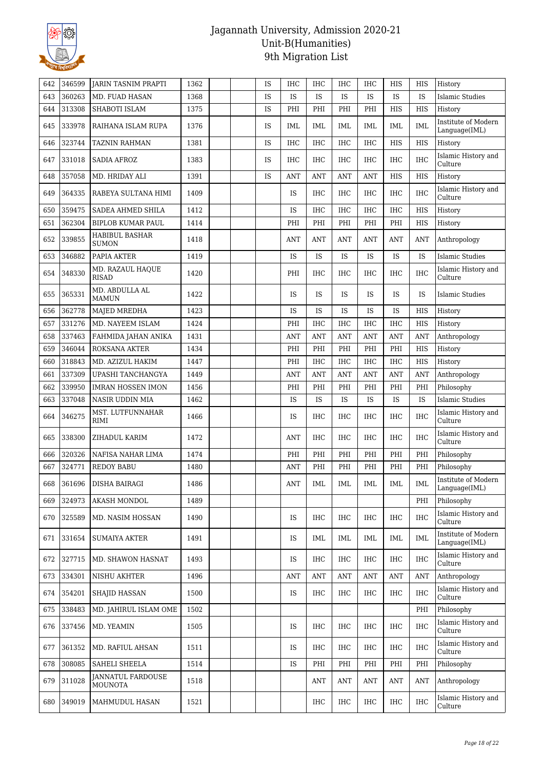

| 642 | 346599     | <b>JARIN TASNIM PRAPTI</b>                 | 1362 |  | IS        | IHC        | IHC        | IHC        | IHC        | HIS        | HIS        | History                              |
|-----|------------|--------------------------------------------|------|--|-----------|------------|------------|------------|------------|------------|------------|--------------------------------------|
| 643 | 360263     | MD. FUAD HASAN                             | 1368 |  | IS        | IS         | <b>IS</b>  | <b>IS</b>  | <b>IS</b>  | <b>IS</b>  | <b>IS</b>  | Islamic Studies                      |
| 644 | 313308     | SHABOTI ISLAM                              | 1375 |  | IS        | PHI        | PHI        | PHI        | PHI        | HIS        | <b>HIS</b> | History                              |
| 645 | 333978     | RAIHANA ISLAM RUPA                         | 1376 |  | IS        | IML        | IML        | IML        | IML        | IML        | IML        | Institute of Modern<br>Language(IML) |
| 646 | 323744     | TAZNIN RAHMAN                              | 1381 |  | IS        | IHC        | IHC        | IHC        | <b>IHC</b> | HIS        | HIS        | History                              |
| 647 | 331018     | SADIA AFROZ                                | 1383 |  | <b>IS</b> | IHC        | IHC        | IHC        | <b>IHC</b> | IHC        | <b>IHC</b> | Islamic History and<br>Culture       |
| 648 | 357058     | MD. HRIDAY ALI                             | 1391 |  | IS        | <b>ANT</b> | <b>ANT</b> | <b>ANT</b> | <b>ANT</b> | <b>HIS</b> | <b>HIS</b> | History                              |
| 649 | 364335     | RABEYA SULTANA HIMI                        | 1409 |  |           | IS         | <b>IHC</b> | IHC        | <b>IHC</b> | IHC        | <b>IHC</b> | Islamic History and<br>Culture       |
| 650 | 359475     | SADEA AHMED SHILA                          | 1412 |  |           | IS         | <b>IHC</b> | IHC        | <b>IHC</b> | IHC        | HIS        | History                              |
| 651 | 362304     | <b>BIPLOB KUMAR PAUL</b>                   | 1414 |  |           | PHI        | PHI        | PHI        | PHI        | PHI        | HIS        | History                              |
| 652 | 339855     | <b>HABIBUL BASHAR</b><br><b>SUMON</b>      | 1418 |  |           | <b>ANT</b> | <b>ANT</b> | <b>ANT</b> | ANT        | <b>ANT</b> | <b>ANT</b> | Anthropology                         |
| 653 | 346882     | PAPIA AKTER                                | 1419 |  |           | IS         | IS         | <b>IS</b>  | IS         | IS         | IS         | Islamic Studies                      |
| 654 | 348330     | MD. RAZAUL HAQUE<br><b>RISAD</b>           | 1420 |  |           | PHI        | <b>IHC</b> | <b>IHC</b> | <b>IHC</b> | <b>IHC</b> | <b>IHC</b> | Islamic History and<br>Culture       |
| 655 | 365331     | MD. ABDULLA AL<br><b>MAMUN</b>             | 1422 |  |           | IS         | <b>IS</b>  | <b>IS</b>  | <b>IS</b>  | <b>IS</b>  | <b>IS</b>  | Islamic Studies                      |
| 656 | 362778     | MAJED MREDHA                               | 1423 |  |           | IS         | <b>IS</b>  | <b>IS</b>  | <b>IS</b>  | IS         | HIS        | History                              |
| 657 | 331276     | MD. NAYEEM ISLAM                           | 1424 |  |           | PHI        | <b>IHC</b> | IHC        | <b>IHC</b> | IHC        | HIS        | History                              |
| 658 | 337463     | FAHMIDA JAHAN ANIKA                        | 1431 |  |           | ANT        | <b>ANT</b> | <b>ANT</b> | <b>ANT</b> | <b>ANT</b> | <b>ANT</b> | Anthropology                         |
| 659 | 346044     | ROKSANA AKTER                              | 1434 |  |           | PHI        | PHI        | PHI        | PHI        | PHI        | <b>HIS</b> | History                              |
| 660 | 318843     | MD. AZIZUL HAKIM                           | 1447 |  |           | PHI        | <b>IHC</b> | IHC        | <b>IHC</b> | IHC        | HIS        | History                              |
| 661 | 337309     | UPASHI TANCHANGYA                          | 1449 |  |           | <b>ANT</b> | <b>ANT</b> | <b>ANT</b> | <b>ANT</b> | <b>ANT</b> | <b>ANT</b> | Anthropology                         |
| 662 | 339950     | <b>IMRAN HOSSEN IMON</b>                   | 1456 |  |           | PHI        | PHI        | PHI        | PHI        | PHI        | PHI        | Philosophy                           |
| 663 | 337048     | NASIR UDDIN MIA                            | 1462 |  |           | IS         | IS         | IS         | IS         | IS         | IS         | Islamic Studies                      |
| 664 | 346275     | MST. LUTFUNNAHAR<br>RIMI                   | 1466 |  |           | IS         | <b>IHC</b> | IHC        | <b>IHC</b> | IHC        | <b>IHC</b> | Islamic History and<br>Culture       |
| 665 | 338300     | ZIHADUL KARIM                              | 1472 |  |           | ANT        | IHC        | <b>IHC</b> | <b>IHC</b> | IHC        | <b>IHC</b> | Islamic History and<br>Culture       |
| 666 | 320326     | NAFISA NAHAR LIMA                          | 1474 |  |           | PHI        | PHI        | PHI        | PHI        | PHI        | PHI        | Philosophy                           |
| 667 | 324771     | <b>REDOY BABU</b>                          | 1480 |  |           | ANT        | PHI        | PHI        | PHI        | PHI        | PHI        | Philosophy                           |
|     | 668 361696 | <b>DISHA BAIRAGI</b>                       | 1486 |  |           | ANT        | <b>IML</b> | <b>IML</b> | IML        | IML        | <b>IML</b> | Institute of Modern<br>Language(IML) |
| 669 | 324973     | <b>AKASH MONDOL</b>                        | 1489 |  |           |            |            |            |            |            | PHI        | Philosophy                           |
| 670 | 325589     | MD. NASIM HOSSAN                           | 1490 |  |           | IS         | <b>IHC</b> | <b>IHC</b> | <b>IHC</b> | IHC        | <b>IHC</b> | Islamic History and<br>Culture       |
| 671 | 331654     | <b>SUMAIYA AKTER</b>                       | 1491 |  |           | IS         | IML        | IML        | IML        | IML        | IML        | Institute of Modern<br>Language(IML) |
| 672 | 327715     | MD. SHAWON HASNAT                          | 1493 |  |           | IS         | IHC        | <b>IHC</b> | IHC        | IHC        | <b>IHC</b> | Islamic History and<br>Culture       |
| 673 | 334301     | NISHU AKHTER                               | 1496 |  |           | <b>ANT</b> | ANT        | ANT        | <b>ANT</b> | <b>ANT</b> | <b>ANT</b> | Anthropology                         |
| 674 | 354201     | <b>SHAJID HASSAN</b>                       | 1500 |  |           | IS         | <b>IHC</b> | <b>IHC</b> | <b>IHC</b> | <b>IHC</b> | <b>IHC</b> | Islamic History and<br>Culture       |
| 675 | 338483     | MD. JAHIRUL ISLAM OME                      | 1502 |  |           |            |            |            |            |            | PHI        | Philosophy                           |
| 676 | 337456     | MD. YEAMIN                                 | 1505 |  |           | IS         | IHC        | <b>IHC</b> | IHC        | <b>IHC</b> | <b>IHC</b> | Islamic History and<br>Culture       |
| 677 | 361352     | MD. RAFIUL AHSAN                           | 1511 |  |           | IS         | IHC        | IHC        | IHC        | IHC        | <b>IHC</b> | Islamic History and<br>Culture       |
| 678 | 308085     | SAHELI SHEELA                              | 1514 |  |           | IS         | PHI        | PHI        | PHI        | PHI        | PHI        | Philosophy                           |
| 679 | 311028     | <b>JANNATUL FARDOUSE</b><br><b>MOUNOTA</b> | 1518 |  |           |            | <b>ANT</b> | <b>ANT</b> | <b>ANT</b> | <b>ANT</b> | <b>ANT</b> | Anthropology                         |
| 680 | 349019     | MAHMUDUL HASAN                             | 1521 |  |           |            | IHC        | IHC        | <b>IHC</b> | IHC        | IHC        | Islamic History and<br>Culture       |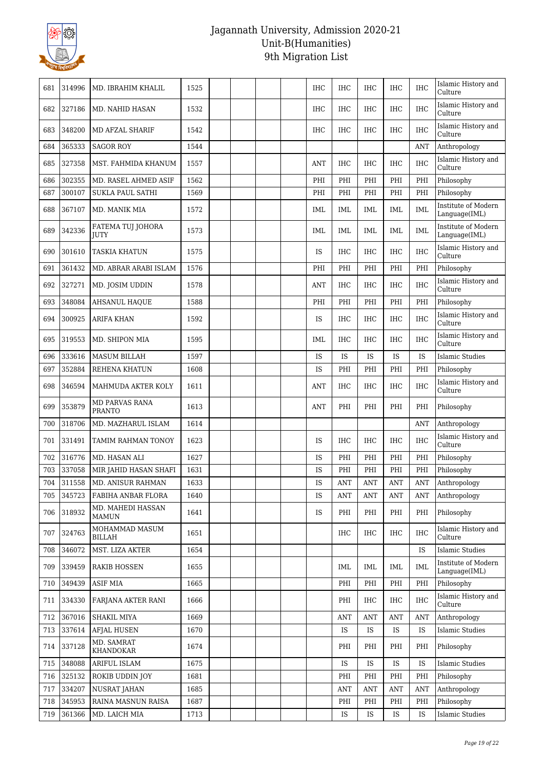

| 681 | 314996 | MD. IBRAHIM KHALIL                | 1525 |  |  | IHC        | IHC        | IHC        | IHC                              | <b>IHC</b> | Islamic History and<br>Culture       |
|-----|--------|-----------------------------------|------|--|--|------------|------------|------------|----------------------------------|------------|--------------------------------------|
| 682 | 327186 | MD. NAHID HASAN                   | 1532 |  |  | IHC        | <b>IHC</b> | <b>IHC</b> | <b>IHC</b>                       | <b>IHC</b> | Islamic History and<br>Culture       |
| 683 | 348200 | MD AFZAL SHARIF                   | 1542 |  |  | <b>IHC</b> | <b>IHC</b> | <b>IHC</b> | <b>IHC</b>                       | <b>IHC</b> | Islamic History and<br>Culture       |
| 684 | 365333 | <b>SAGOR ROY</b>                  | 1544 |  |  |            |            |            |                                  | <b>ANT</b> | Anthropology                         |
| 685 | 327358 | MST. FAHMIDA KHANUM               | 1557 |  |  | ANT        | IHC        | <b>IHC</b> | <b>IHC</b>                       | <b>IHC</b> | Islamic History and<br>Culture       |
| 686 | 302355 | MD. RASEL AHMED ASIF              | 1562 |  |  | PHI        | PHI        | PHI        | PHI                              | PHI        | Philosophy                           |
| 687 | 300107 | <b>SUKLA PAUL SATHI</b>           | 1569 |  |  | PHI        | PHI        | PHI        | PHI                              | PHI        | Philosophy                           |
| 688 | 367107 | MD. MANIK MIA                     | 1572 |  |  | <b>IML</b> | <b>IML</b> | IML        | IML                              | <b>IML</b> | Institute of Modern<br>Language(IML) |
| 689 | 342336 | FATEMA TUJ JOHORA<br><b>JUTY</b>  | 1573 |  |  | IML        | IML        | IML        | IML                              | IML        | Institute of Modern<br>Language(IML) |
| 690 | 301610 | <b>TASKIA KHATUN</b>              | 1575 |  |  | <b>IS</b>  | <b>IHC</b> | <b>IHC</b> | <b>IHC</b>                       | <b>IHC</b> | Islamic History and<br>Culture       |
| 691 | 361432 | MD. ABRAR ARABI ISLAM             | 1576 |  |  | PHI        | PHI        | PHI        | PHI                              | PHI        | Philosophy                           |
| 692 | 327271 | MD. JOSIM UDDIN                   | 1578 |  |  | ANT        | <b>IHC</b> | IHC        | <b>IHC</b>                       | <b>IHC</b> | Islamic History and<br>Culture       |
| 693 | 348084 | <b>AHSANUL HAQUE</b>              | 1588 |  |  | PHI        | PHI        | PHI        | PHI                              | PHI        | Philosophy                           |
| 694 | 300925 | ARIFA KHAN                        | 1592 |  |  | IS         | IHC        | <b>IHC</b> | <b>IHC</b>                       | <b>IHC</b> | Islamic History and<br>Culture       |
| 695 | 319553 | MD. SHIPON MIA                    | 1595 |  |  | IML        | IHC        | <b>IHC</b> | <b>IHC</b>                       | <b>IHC</b> | Islamic History and<br>Culture       |
| 696 | 333616 | <b>MASUM BILLAH</b>               | 1597 |  |  | IS         | IS         | IS         | <b>IS</b>                        | IS         | <b>Islamic Studies</b>               |
| 697 | 352884 | REHENA KHATUN                     | 1608 |  |  | IS         | PHI        | PHI        | PHI                              | PHI        | Philosophy                           |
| 698 | 346594 | MAHMUDA AKTER KOLY                | 1611 |  |  | <b>ANT</b> | IHC        | <b>IHC</b> | <b>IHC</b>                       | <b>IHC</b> | Islamic History and<br>Culture       |
| 699 | 353879 | MD PARVAS RANA<br><b>PRANTO</b>   | 1613 |  |  | <b>ANT</b> | PHI        | PHI        | PHI                              | PHI        | Philosophy                           |
| 700 | 318706 | MD. MAZHARUL ISLAM                | 1614 |  |  |            |            |            |                                  | <b>ANT</b> | Anthropology                         |
| 701 | 331491 | TAMIM RAHMAN TONOY                | 1623 |  |  | IS         | IHC        | <b>IHC</b> | <b>IHC</b>                       | <b>IHC</b> | Islamic History and<br>Culture       |
| 702 | 316776 | MD. HASAN ALI                     | 1627 |  |  | IS         | PHI        | PHI        | PHI                              | PHI        | Philosophy                           |
| 703 | 337058 | MIR JAHID HASAN SHAFI             | 1631 |  |  | IS         | PHI        | PHI        | PHI                              | PHI        | Philosophy                           |
| 704 | 311558 | MD. ANISUR RAHMAN                 | 1633 |  |  | IS         | ANT        | ANT        | <b>ANT</b>                       | ANT        | Anthropology                         |
| 705 | 345723 | FABIHA ANBAR FLORA                | 1640 |  |  | IS         | <b>ANT</b> | <b>ANT</b> | <b>ANT</b>                       | ANT        | Anthropology                         |
| 706 | 318932 | MD. MAHEDI HASSAN<br><b>MAMUN</b> | 1641 |  |  | IS         | PHI        | PHI        | PHI                              | PHI        | Philosophy                           |
| 707 | 324763 | MOHAMMAD MASUM<br>BILLAH          | 1651 |  |  |            | IHC        | IHC        | IHC                              | <b>IHC</b> | Islamic History and<br>Culture       |
| 708 | 346072 | MST. LIZA AKTER                   | 1654 |  |  |            |            |            |                                  | IS         | <b>Islamic Studies</b>               |
| 709 | 339459 | <b>RAKIB HOSSEN</b>               | 1655 |  |  |            | IML        | IML        | <b>IML</b>                       | IML        | Institute of Modern<br>Language(IML) |
| 710 | 349439 | <b>ASIF MIA</b>                   | 1665 |  |  |            | PHI        | PHI        | PHI                              | PHI        | Philosophy                           |
| 711 | 334330 | <b>FARJANA AKTER RANI</b>         | 1666 |  |  |            | PHI        | IHC        | IHC                              | IHC        | Islamic History and<br>Culture       |
| 712 | 367016 | SHAKIL MIYA                       | 1669 |  |  |            | <b>ANT</b> | ANT        | <b>ANT</b>                       | ANT        | Anthropology                         |
| 713 | 337614 | <b>AFJAL HUSEN</b>                | 1670 |  |  |            | <b>IS</b>  | <b>IS</b>  | IS                               | IS         | <b>Islamic Studies</b>               |
| 714 | 337128 | MD. SAMRAT<br>KHANDOKAR           | 1674 |  |  |            | PHI        | PHI        | PHI                              | PHI        | Philosophy                           |
| 715 | 348088 | ARIFUL ISLAM                      | 1675 |  |  |            | IS         | IS         | IS                               | IS         | <b>Islamic Studies</b>               |
| 716 | 325132 | ROKIB UDDIN JOY                   | 1681 |  |  |            | PHI        | PHI        | PHI                              | PHI        | Philosophy                           |
| 717 | 334207 | <b>NUSRAT JAHAN</b>               | 1685 |  |  |            | <b>ANT</b> | <b>ANT</b> | $\mathbf{A}\mathbf{N}\mathbf{T}$ | <b>ANT</b> | Anthropology                         |
| 718 | 345953 | RAINA MASNUN RAISA                | 1687 |  |  |            | PHI        | PHI        | PHI                              | PHI        | Philosophy                           |
| 719 | 361366 | MD. LAICH MIA                     | 1713 |  |  |            | IS         | IS         | IS                               | IS         | <b>Islamic Studies</b>               |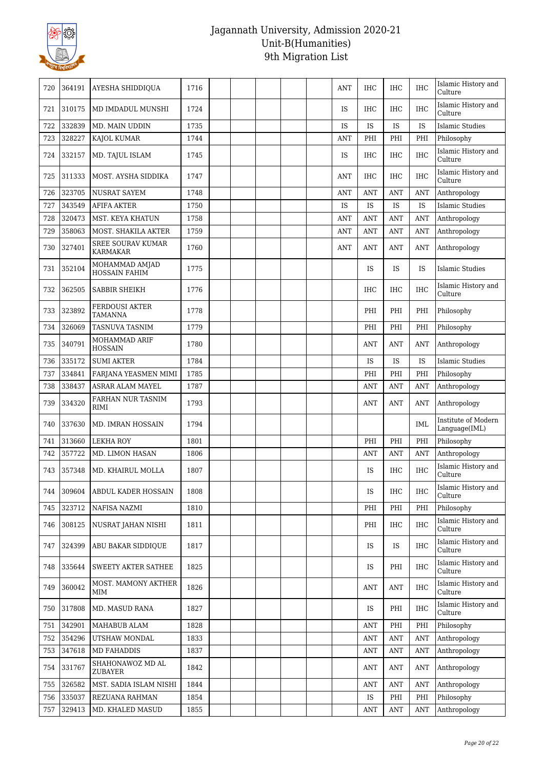

| 720 | 364191 | AYESHA SHIDDIQUA                            | 1716 |  |  | ANT        | IHC        | IHC        | <b>IHC</b> | Islamic History and<br>Culture       |
|-----|--------|---------------------------------------------|------|--|--|------------|------------|------------|------------|--------------------------------------|
| 721 | 310175 | MD IMDADUL MUNSHI                           | 1724 |  |  | <b>IS</b>  | <b>IHC</b> | <b>IHC</b> | <b>IHC</b> | Islamic History and<br>Culture       |
| 722 | 332839 | MD. MAIN UDDIN                              | 1735 |  |  | <b>IS</b>  | <b>IS</b>  | <b>IS</b>  | IS         | <b>Islamic Studies</b>               |
| 723 | 328227 | KAJOL KUMAR                                 | 1744 |  |  | <b>ANT</b> | PHI        | PHI        | PHI        | Philosophy                           |
| 724 | 332157 | MD. TAJUL ISLAM                             | 1745 |  |  | IS         | IHC        | <b>IHC</b> | IHC        | Islamic History and<br>Culture       |
| 725 | 311333 | MOST. AYSHA SIDDIKA                         | 1747 |  |  | <b>ANT</b> | <b>IHC</b> | <b>IHC</b> | <b>IHC</b> | Islamic History and<br>Culture       |
| 726 | 323705 | <b>NUSRAT SAYEM</b>                         | 1748 |  |  | <b>ANT</b> | <b>ANT</b> | ANT        | <b>ANT</b> | Anthropology                         |
| 727 | 343549 | <b>AFIFA AKTER</b>                          | 1750 |  |  | IS         | IS         | IS         | IS         | <b>Islamic Studies</b>               |
| 728 | 320473 | MST. KEYA KHATUN                            | 1758 |  |  | <b>ANT</b> | <b>ANT</b> | ANT        | ANT        | Anthropology                         |
| 729 | 358063 | MOST. SHAKILA AKTER                         | 1759 |  |  | <b>ANT</b> | <b>ANT</b> | <b>ANT</b> | ANT        | Anthropology                         |
| 730 | 327401 | <b>SREE SOURAV KUMAR</b><br><b>KARMAKAR</b> | 1760 |  |  | <b>ANT</b> | <b>ANT</b> | ANT        | ANT        | Anthropology                         |
| 731 | 352104 | MOHAMMAD AMJAD<br><b>HOSSAIN FAHIM</b>      | 1775 |  |  |            | IS         | IS         | IS         | Islamic Studies                      |
| 732 | 362505 | SABBIR SHEIKH                               | 1776 |  |  |            | <b>IHC</b> | <b>IHC</b> | <b>IHC</b> | Islamic History and<br>Culture       |
| 733 | 323892 | <b>FERDOUSI AKTER</b><br><b>TAMANNA</b>     | 1778 |  |  |            | PHI        | PHI        | PHI        | Philosophy                           |
| 734 | 326069 | <b>TASNUVA TASNIM</b>                       | 1779 |  |  |            | PHI        | PHI        | PHI        | Philosophy                           |
| 735 | 340791 | MOHAMMAD ARIF<br><b>HOSSAIN</b>             | 1780 |  |  |            | ANT        | ANT        | ANT        | Anthropology                         |
| 736 | 335172 | <b>SUMI AKTER</b>                           | 1784 |  |  |            | <b>IS</b>  | <b>IS</b>  | IS         | Islamic Studies                      |
| 737 | 334841 | FARJANA YEASMEN MIMI                        | 1785 |  |  |            | PHI        | PHI        | PHI        | Philosophy                           |
| 738 | 338437 | <b>ASRAR ALAM MAYEL</b>                     | 1787 |  |  |            | <b>ANT</b> | ANT        | <b>ANT</b> | Anthropology                         |
| 739 | 334320 | FARHAN NUR TASNIM<br><b>RIMI</b>            | 1793 |  |  |            | ANT        | ANT        | ANT        | Anthropology                         |
| 740 | 337630 | MD. IMRAN HOSSAIN                           | 1794 |  |  |            |            |            | <b>IML</b> | Institute of Modern<br>Language(IML) |
| 741 | 313660 | <b>LEKHA ROY</b>                            | 1801 |  |  |            | PHI        | PHI        | PHI        | Philosophy                           |
| 742 | 357722 | MD. LIMON HASAN                             | 1806 |  |  |            | <b>ANT</b> | ANT        | <b>ANT</b> | Anthropology                         |
| 743 | 357348 | MD. KHAIRUL MOLLA                           | 1807 |  |  |            | IS         | <b>IHC</b> | <b>IHC</b> | Islamic History and<br>Culture       |
| 744 | 309604 | ABDUL KADER HOSSAIN                         | 1808 |  |  |            | IS         | IHC        | IHC        | Islamic History and<br>Culture       |
| 745 | 323712 | NAFISA NAZMI                                | 1810 |  |  |            | PHI        | PHI        | PHI        | Philosophy                           |
| 746 | 308125 | NUSRAT JAHAN NISHI                          | 1811 |  |  |            | PHI        | IHC        | <b>IHC</b> | Islamic History and<br>Culture       |
| 747 | 324399 | ABU BAKAR SIDDIQUE                          | 1817 |  |  |            | IS.        | IS         | IHC        | Islamic History and<br>Culture       |
| 748 | 335644 | SWEETY AKTER SATHEE                         | 1825 |  |  |            | IS.        | PHI        | <b>IHC</b> | Islamic History and<br>Culture       |
| 749 | 360042 | MOST. MAMONY AKTHER<br>MIM                  | 1826 |  |  |            | <b>ANT</b> | <b>ANT</b> | IHC        | Islamic History and<br>Culture       |
| 750 | 317808 | MD. MASUD RANA                              | 1827 |  |  |            | IS.        | PHI        | <b>IHC</b> | Islamic History and<br>Culture       |
| 751 | 342901 | MAHABUB ALAM                                | 1828 |  |  |            | ANT        | PHI        | PHI        | Philosophy                           |
| 752 | 354296 | UTSHAW MONDAL                               | 1833 |  |  |            | <b>ANT</b> | <b>ANT</b> | <b>ANT</b> | Anthropology                         |
| 753 | 347618 | MD FAHADDIS                                 | 1837 |  |  |            | <b>ANT</b> | <b>ANT</b> | <b>ANT</b> | Anthropology                         |
| 754 | 331767 | SHAHONAWOZ MD AL<br>ZUBAYER                 | 1842 |  |  |            | ANT        | ANT        | <b>ANT</b> | Anthropology                         |
| 755 | 326582 | MST. SADIA ISLAM NISHI                      | 1844 |  |  |            | <b>ANT</b> | <b>ANT</b> | ANT        | Anthropology                         |
| 756 | 335037 | REZUANA RAHMAN                              | 1854 |  |  |            | IS         | PHI        | PHI        | Philosophy                           |
| 757 | 329413 | MD. KHALED MASUD                            | 1855 |  |  |            | <b>ANT</b> | <b>ANT</b> | <b>ANT</b> | Anthropology                         |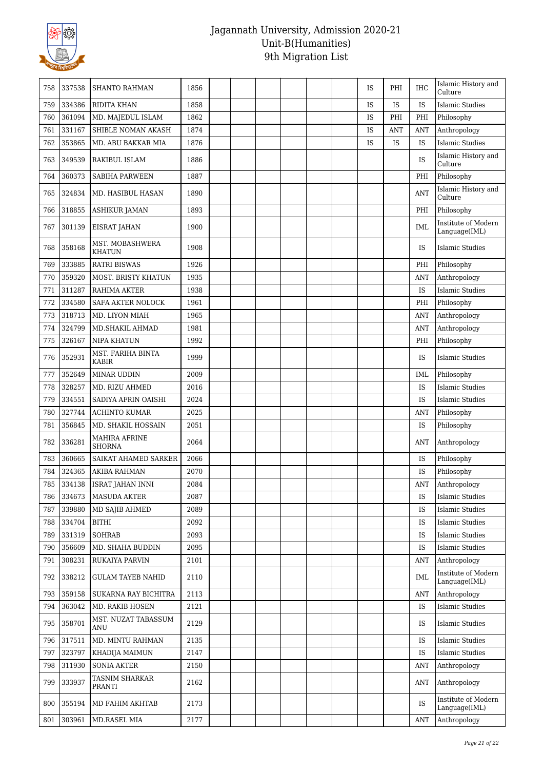

| 758 | 337538 | <b>SHANTO RAHMAN</b>                  | 1856 |  |  |  | IS        | PHI | IHC        | Islamic History and<br>Culture                  |
|-----|--------|---------------------------------------|------|--|--|--|-----------|-----|------------|-------------------------------------------------|
| 759 | 334386 | RIDITA KHAN                           | 1858 |  |  |  | IS        | IS  | IS         | <b>Islamic Studies</b>                          |
| 760 | 361094 | MD. MAJEDUL ISLAM                     | 1862 |  |  |  | IS        | PHI | PHI        | Philosophy                                      |
| 761 | 331167 | SHIBLE NOMAN AKASH                    | 1874 |  |  |  | <b>IS</b> | ANT | <b>ANT</b> | Anthropology                                    |
| 762 | 353865 | MD. ABU BAKKAR MIA                    | 1876 |  |  |  | IS        | IS  | IS         | <b>Islamic Studies</b>                          |
| 763 | 349539 | RAKIBUL ISLAM                         | 1886 |  |  |  |           |     | IS         | Islamic History and<br>Culture                  |
| 764 | 360373 | <b>SABIHA PARWEEN</b>                 | 1887 |  |  |  |           |     | PHI        | Philosophy                                      |
| 765 | 324834 | <b>MD. HASIBUL HASAN</b>              | 1890 |  |  |  |           |     | <b>ANT</b> | Islamic History and<br>Culture                  |
| 766 | 318855 | <b>ASHIKUR JAMAN</b>                  | 1893 |  |  |  |           |     | PHI        | Philosophy                                      |
| 767 | 301139 | EISRAT JAHAN                          | 1900 |  |  |  |           |     | <b>IML</b> | Institute of Modern<br>Language(IML)            |
| 768 | 358168 | MST. MOBASHWERA<br><b>KHATUN</b>      | 1908 |  |  |  |           |     | IS         | Islamic Studies                                 |
| 769 | 333885 | <b>RATRI BISWAS</b>                   | 1926 |  |  |  |           |     | PHI        | Philosophy                                      |
| 770 | 359320 | MOST. BRISTY KHATUN                   | 1935 |  |  |  |           |     | <b>ANT</b> | Anthropology                                    |
| 771 | 311287 | <b>RAHIMA AKTER</b>                   | 1938 |  |  |  |           |     | <b>IS</b>  | Islamic Studies                                 |
| 772 | 334580 | <b>SAFA AKTER NOLOCK</b>              | 1961 |  |  |  |           |     | PHI        | Philosophy                                      |
| 773 | 318713 | MD. LIYON MIAH                        | 1965 |  |  |  |           |     | <b>ANT</b> | Anthropology                                    |
| 774 | 324799 | MD.SHAKIL AHMAD                       | 1981 |  |  |  |           |     | <b>ANT</b> | Anthropology                                    |
| 775 | 326167 | <b>NIPA KHATUN</b>                    | 1992 |  |  |  |           |     | PHI        | Philosophy                                      |
| 776 | 352931 | MST. FARIHA BINTA<br><b>KABIR</b>     | 1999 |  |  |  |           |     | IS         | Islamic Studies                                 |
| 777 | 352649 | MINAR UDDIN                           | 2009 |  |  |  |           |     | IML        | Philosophy                                      |
| 778 | 328257 | MD. RIZU AHMED                        | 2016 |  |  |  |           |     | IS         | <b>Islamic Studies</b>                          |
| 779 | 334551 | SADIYA AFRIN OAISHI                   | 2024 |  |  |  |           |     | IS         | Islamic Studies                                 |
| 780 | 327744 | <b>ACHINTO KUMAR</b>                  | 2025 |  |  |  |           |     | <b>ANT</b> | Philosophy                                      |
| 781 | 356845 | MD. SHAKIL HOSSAIN                    | 2051 |  |  |  |           |     | IS         | Philosophy                                      |
| 782 | 336281 | <b>MAHIRA AFRINE</b><br><b>SHORNA</b> | 2064 |  |  |  |           |     | <b>ANT</b> | Anthropology                                    |
| 783 | 360665 | SAIKAT AHAMED SARKER                  | 2066 |  |  |  |           |     | <b>IS</b>  | Philosophy                                      |
| 784 | 324365 | <b>AKIBA RAHMAN</b>                   | 2070 |  |  |  |           |     | IS         | Philosophy                                      |
| 785 | 334138 | ISRAT JAHAN INNI                      | 2084 |  |  |  |           |     | ANT        | $\label{prop:anthropology} \text{Anthropology}$ |
| 786 | 334673 | <b>MASUDA AKTER</b>                   | 2087 |  |  |  |           |     | IS         | <b>Islamic Studies</b>                          |
| 787 | 339880 | MD SAJIB AHMED                        | 2089 |  |  |  |           |     | IS         | <b>Islamic Studies</b>                          |
| 788 | 334704 | <b>BITHI</b>                          | 2092 |  |  |  |           |     | IS         | <b>Islamic Studies</b>                          |
| 789 | 331319 | <b>SOHRAB</b>                         | 2093 |  |  |  |           |     | IS         | <b>Islamic Studies</b>                          |
| 790 | 356609 | MD. SHAHA BUDDIN                      | 2095 |  |  |  |           |     | IS         | <b>Islamic Studies</b>                          |
| 791 | 308231 | RUKAIYA PARVIN                        | 2101 |  |  |  |           |     | <b>ANT</b> | Anthropology                                    |
| 792 | 338212 | <b>GULAM TAYEB NAHID</b>              | 2110 |  |  |  |           |     | IML        | Institute of Modern<br>Language(IML)            |
| 793 | 359158 | SUKARNA RAY BICHITRA                  | 2113 |  |  |  |           |     | <b>ANT</b> | Anthropology                                    |
| 794 | 363042 | MD. RAKIB HOSEN                       | 2121 |  |  |  |           |     | IS         | <b>Islamic Studies</b>                          |
| 795 | 358701 | MST. NUZAT TABASSUM<br>ANU            | 2129 |  |  |  |           |     | IS         | <b>Islamic Studies</b>                          |
| 796 | 317511 | MD. MINTU RAHMAN                      | 2135 |  |  |  |           |     | IS         | <b>Islamic Studies</b>                          |
| 797 | 323797 | KHADIJA MAIMUN                        | 2147 |  |  |  |           |     | IS         | <b>Islamic Studies</b>                          |
| 798 | 311930 | <b>SONIA AKTER</b>                    | 2150 |  |  |  |           |     | ANT        | Anthropology                                    |
| 799 | 333937 | TASNIM SHARKAR<br>PRANTI              | 2162 |  |  |  |           |     | <b>ANT</b> | Anthropology                                    |
| 800 | 355194 | MD FAHIM AKHTAB                       | 2173 |  |  |  |           |     | IS         | Institute of Modern<br>Language(IML)            |
| 801 | 303961 | MD.RASEL MIA                          | 2177 |  |  |  |           |     | <b>ANT</b> | Anthropology                                    |